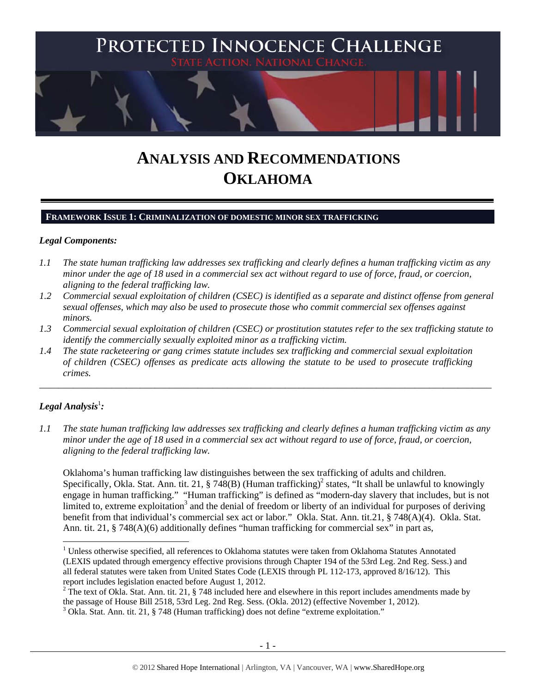

# **ANALYSIS AND RECOMMENDATIONS OKLAHOMA**

## **FRAMEWORK ISSUE 1: CRIMINALIZATION OF DOMESTIC MINOR SEX TRAFFICKING**

#### *Legal Components:*

- *1.1 The state human trafficking law addresses sex trafficking and clearly defines a human trafficking victim as any minor under the age of 18 used in a commercial sex act without regard to use of force, fraud, or coercion, aligning to the federal trafficking law.*
- *1.2 Commercial sexual exploitation of children (CSEC) is identified as a separate and distinct offense from general sexual offenses, which may also be used to prosecute those who commit commercial sex offenses against minors.*
- *1.3 Commercial sexual exploitation of children (CSEC) or prostitution statutes refer to the sex trafficking statute to identify the commercially sexually exploited minor as a trafficking victim.*

\_\_\_\_\_\_\_\_\_\_\_\_\_\_\_\_\_\_\_\_\_\_\_\_\_\_\_\_\_\_\_\_\_\_\_\_\_\_\_\_\_\_\_\_\_\_\_\_\_\_\_\_\_\_\_\_\_\_\_\_\_\_\_\_\_\_\_\_\_\_\_\_\_\_\_\_\_\_\_\_\_\_\_\_\_\_\_\_\_\_\_\_\_\_

*1.4 The state racketeering or gang crimes statute includes sex trafficking and commercial sexual exploitation of children (CSEC) offenses as predicate acts allowing the statute to be used to prosecute trafficking crimes.* 

# $\bm{L}$ egal Analysis $^{\rm l}$ :

*1.1 The state human trafficking law addresses sex trafficking and clearly defines a human trafficking victim as any minor under the age of 18 used in a commercial sex act without regard to use of force, fraud, or coercion, aligning to the federal trafficking law.* 

Oklahoma's human trafficking law distinguishes between the sex trafficking of adults and children. Specifically, Okla. Stat. Ann. tit. 21, § 748(B) (Human trafficking)<sup>2</sup> states, "It shall be unlawful to knowingly engage in human trafficking." "Human trafficking" is defined as "modern-day slavery that includes, but is not limited to, extreme exploitation<sup>3</sup> and the denial of freedom or liberty of an individual for purposes of deriving benefit from that individual's commercial sex act or labor." Okla. Stat. Ann. tit.21, § 748(A)(4). Okla. Stat. Ann. tit.  $21$ , § 748(A)(6) additionally defines "human trafficking for commercial sex" in part as,

<sup>&</sup>lt;sup>1</sup> Unless otherwise specified, all references to Oklahoma statutes were taken from Oklahoma Statutes Annotated (LEXIS updated through emergency effective provisions through Chapter 194 of the 53rd Leg. 2nd Reg. Sess.) and all federal statutes were taken from United States Code (LEXIS through PL 112-173, approved 8/16/12). This report includes legislation enacted before August 1, 2012.

<sup>&</sup>lt;sup>2</sup> The text of Okla. Stat. Ann. tit. 21, § 748 included here and elsewhere in this report includes amendments made by the passage of House Bill 2518, 53rd Leg. 2nd Reg. Sess. (Okla. 2012) (effective November 1, 2012).

<sup>&</sup>lt;sup>3</sup> Okla. Stat. Ann. tit. 21, § 748 (Human trafficking) does not define "extreme exploitation."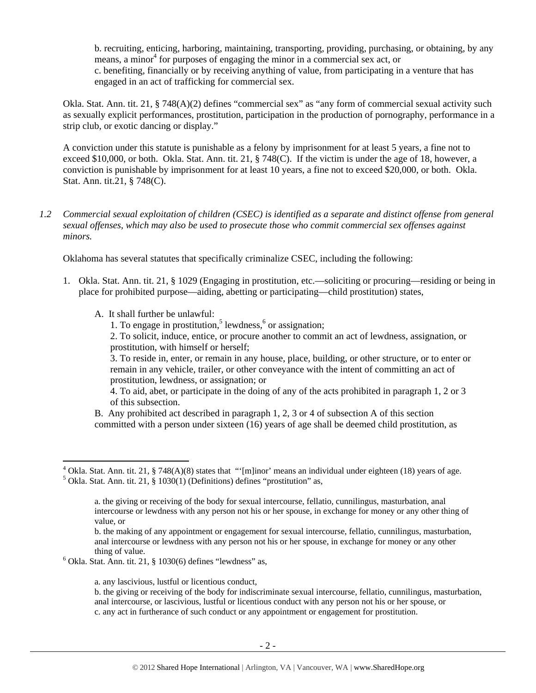b. recruiting, enticing, harboring, maintaining, transporting, providing, purchasing, or obtaining, by any means, a minor<sup>4</sup> for purposes of engaging the minor in a commercial sex act, or c. benefiting, financially or by receiving anything of value, from participating in a venture that has engaged in an act of trafficking for commercial sex.

Okla. Stat. Ann. tit. 21, § 748(A)(2) defines "commercial sex" as "any form of commercial sexual activity such as sexually explicit performances, prostitution, participation in the production of pornography, performance in a strip club, or exotic dancing or display."

A conviction under this statute is punishable as a felony by imprisonment for at least 5 years, a fine not to exceed \$10,000, or both. Okla. Stat. Ann. tit. 21, § 748(C). If the victim is under the age of 18, however, a conviction is punishable by imprisonment for at least 10 years, a fine not to exceed \$20,000, or both. Okla. Stat. Ann. tit.21, § 748(C).

*1.2 Commercial sexual exploitation of children (CSEC) is identified as a separate and distinct offense from general sexual offenses, which may also be used to prosecute those who commit commercial sex offenses against minors.* 

Oklahoma has several statutes that specifically criminalize CSEC, including the following:

- 1. Okla. Stat. Ann. tit. 21, § 1029 (Engaging in prostitution, etc.—soliciting or procuring—residing or being in place for prohibited purpose—aiding, abetting or participating—child prostitution) states,
	- A. It shall further be unlawful:

1. To engage in prostitution,<sup>5</sup> lewdness, $6$  or assignation;

2. To solicit, induce, entice, or procure another to commit an act of lewdness, assignation, or prostitution, with himself or herself;

3. To reside in, enter, or remain in any house, place, building, or other structure, or to enter or remain in any vehicle, trailer, or other conveyance with the intent of committing an act of prostitution, lewdness, or assignation; or

4. To aid, abet, or participate in the doing of any of the acts prohibited in paragraph 1, 2 or 3 of this subsection.

B. Any prohibited act described in paragraph 1, 2, 3 or 4 of subsection A of this section committed with a person under sixteen (16) years of age shall be deemed child prostitution, as

a. any lascivious, lustful or licentious conduct,

<sup>&</sup>lt;sup>4</sup> Okla. Stat. Ann. tit. 21, § 748(A)(8) states that "'[m]inor' means an individual under eighteen (18) years of age.<br><sup>5</sup> Okla. Stat. Ann. tit. 21, § 1030(1) (Definitional defines "prestitution" as  $5$  Okla. Stat. Ann. tit. 21, § 1030(1) (Definitions) defines "prostitution" as,

a. the giving or receiving of the body for sexual intercourse, fellatio, cunnilingus, masturbation, anal intercourse or lewdness with any person not his or her spouse, in exchange for money or any other thing of value, or

b. the making of any appointment or engagement for sexual intercourse, fellatio, cunnilingus, masturbation, anal intercourse or lewdness with any person not his or her spouse, in exchange for money or any other

thing of value.<br>
<sup>6</sup> Okla. Stat. Ann. tit. 21, § 1030(6) defines "lewdness" as,

b. the giving or receiving of the body for indiscriminate sexual intercourse, fellatio, cunnilingus, masturbation, anal intercourse, or lascivious, lustful or licentious conduct with any person not his or her spouse, or c. any act in furtherance of such conduct or any appointment or engagement for prostitution.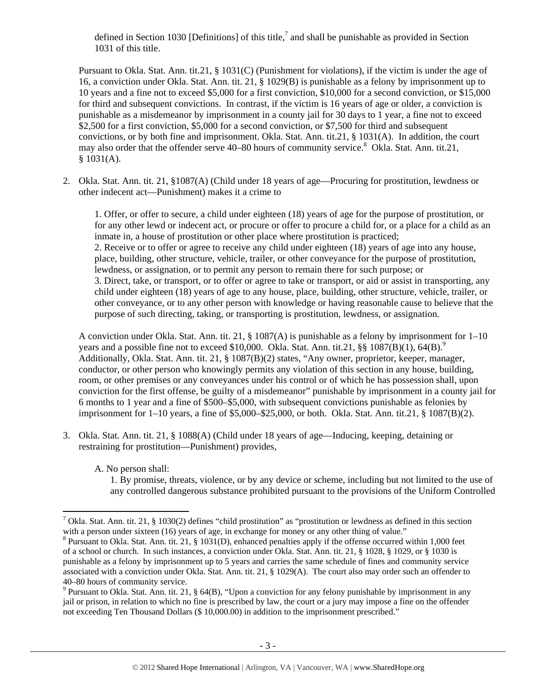defined in Section 1030 [Definitions] of this title,<sup>7</sup> and shall be punishable as provided in Section 1031 of this title.

Pursuant to Okla. Stat. Ann. tit.21, § 1031(C) (Punishment for violations), if the victim is under the age of 16, a conviction under Okla. Stat. Ann. tit. 21, § 1029(B) is punishable as a felony by imprisonment up to 10 years and a fine not to exceed \$5,000 for a first conviction, \$10,000 for a second conviction, or \$15,000 for third and subsequent convictions. In contrast, if the victim is 16 years of age or older, a conviction is punishable as a misdemeanor by imprisonment in a county jail for 30 days to 1 year, a fine not to exceed \$2,500 for a first conviction, \$5,000 for a second conviction, or \$7,500 for third and subsequent convictions, or by both fine and imprisonment. Okla. Stat. Ann. tit.21, § 1031(A). In addition, the court may also order that the offender serve 40–80 hours of community service.<sup>8</sup> Okla. Stat. Ann. tit.21,  $$1031(A).$ 

2. Okla. Stat. Ann. tit. 21, §1087(A) (Child under 18 years of age—Procuring for prostitution, lewdness or other indecent act—Punishment) makes it a crime to

1. Offer, or offer to secure, a child under eighteen (18) years of age for the purpose of prostitution, or for any other lewd or indecent act, or procure or offer to procure a child for, or a place for a child as an inmate in, a house of prostitution or other place where prostitution is practiced; 2. Receive or to offer or agree to receive any child under eighteen (18) years of age into any house, place, building, other structure, vehicle, trailer, or other conveyance for the purpose of prostitution, lewdness, or assignation, or to permit any person to remain there for such purpose; or 3. Direct, take, or transport, or to offer or agree to take or transport, or aid or assist in transporting, any child under eighteen (18) years of age to any house, place, building, other structure, vehicle, trailer, or other conveyance, or to any other person with knowledge or having reasonable cause to believe that the purpose of such directing, taking, or transporting is prostitution, lewdness, or assignation.

A conviction under Okla. Stat. Ann. tit. 21, § 1087(A) is punishable as a felony by imprisonment for 1–10 years and a possible fine not to exceed \$10,000. Okla. Stat. Ann. tit.21,  $\S\$   $1087(B)(1)$ , 64(B).<sup>9</sup> Additionally, Okla. Stat. Ann. tit. 21, § 1087(B)(2) states, "Any owner, proprietor, keeper, manager, conductor, or other person who knowingly permits any violation of this section in any house, building, room, or other premises or any conveyances under his control or of which he has possession shall, upon conviction for the first offense, be guilty of a misdemeanor" punishable by imprisonment in a county jail for 6 months to 1 year and a fine of \$500–\$5,000, with subsequent convictions punishable as felonies by imprisonment for  $1-10$  years, a fine of \$5,000–\$25,000, or both. Okla. Stat. Ann. tit.21, § 1087(B)(2).

3. Okla. Stat. Ann. tit. 21, § 1088(A) (Child under 18 years of age—Inducing, keeping, detaining or restraining for prostitution—Punishment) provides,

A. No person shall:

1. By promise, threats, violence, or by any device or scheme, including but not limited to the use of any controlled dangerous substance prohibited pursuant to the provisions of the Uniform Controlled

<sup>&</sup>lt;sup>7</sup> Okla. Stat. Ann. tit. 21, § 1030(2) defines "child prostitution" as "prostitution or lewdness as defined in this section with a person under sixteen (16) years of age, in exchange for money or any other thing of value."

 $8$  Pursuant to Okla. Stat. Ann. tit. 21, § 1031(D), enhanced penalties apply if the offense occurred within 1,000 feet of a school or church. In such instances, a conviction under Okla. Stat. Ann. tit. 21, § 1028, § 1029, or § 1030 is punishable as a felony by imprisonment up to 5 years and carries the same schedule of fines and community service associated with a conviction under Okla. Stat. Ann. tit. 21, § 1029(A). The court also may order such an offender to 40–80 hours of community service.

<sup>&</sup>lt;sup>9</sup> Pursuant to Okla. Stat. Ann. tit. 21, § 64(B), "Upon a conviction for any felony punishable by imprisonment in any jail or prison, in relation to which no fine is prescribed by law, the court or a jury may impose a fine on the offender not exceeding Ten Thousand Dollars (\$ 10,000.00) in addition to the imprisonment prescribed."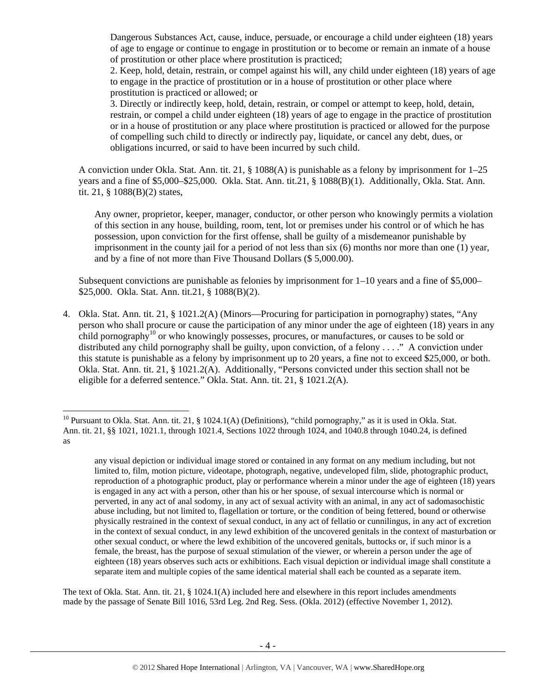Dangerous Substances Act, cause, induce, persuade, or encourage a child under eighteen (18) years of age to engage or continue to engage in prostitution or to become or remain an inmate of a house of prostitution or other place where prostitution is practiced;

2. Keep, hold, detain, restrain, or compel against his will, any child under eighteen (18) years of age to engage in the practice of prostitution or in a house of prostitution or other place where prostitution is practiced or allowed; or

3. Directly or indirectly keep, hold, detain, restrain, or compel or attempt to keep, hold, detain, restrain, or compel a child under eighteen (18) years of age to engage in the practice of prostitution or in a house of prostitution or any place where prostitution is practiced or allowed for the purpose of compelling such child to directly or indirectly pay, liquidate, or cancel any debt, dues, or obligations incurred, or said to have been incurred by such child.

A conviction under Okla. Stat. Ann. tit. 21, § 1088(A) is punishable as a felony by imprisonment for 1–25 years and a fine of \$5,000–\$25,000. Okla. Stat. Ann. tit.21, § 1088(B)(1). Additionally, Okla. Stat. Ann. tit. 21, § 1088(B)(2) states,

Any owner, proprietor, keeper, manager, conductor, or other person who knowingly permits a violation of this section in any house, building, room, tent, lot or premises under his control or of which he has possession, upon conviction for the first offense, shall be guilty of a misdemeanor punishable by imprisonment in the county jail for a period of not less than six (6) months nor more than one (1) year, and by a fine of not more than Five Thousand Dollars (\$ 5,000.00).

Subsequent convictions are punishable as felonies by imprisonment for  $1-10$  years and a fine of \$5,000– \$25,000. Okla. Stat. Ann. tit.21, § 1088(B)(2).

4. Okla. Stat. Ann. tit. 21, § 1021.2(A) (Minors—Procuring for participation in pornography) states, "Any person who shall procure or cause the participation of any minor under the age of eighteen (18) years in any child pornography<sup>10</sup> or who knowingly possesses, procures, or manufactures, or causes to be sold or distributed any child pornography shall be guilty, upon conviction, of a felony . . . ." A conviction under this statute is punishable as a felony by imprisonment up to 20 years, a fine not to exceed \$25,000, or both. Okla. Stat. Ann. tit. 21, § 1021.2(A). Additionally, "Persons convicted under this section shall not be eligible for a deferred sentence." Okla. Stat. Ann. tit. 21, § 1021.2(A).

The text of Okla. Stat. Ann. tit. 21, § 1024.1(A) included here and elsewhere in this report includes amendments made by the passage of Senate Bill 1016, 53rd Leg. 2nd Reg. Sess. (Okla. 2012) (effective November 1, 2012).

 <sup>10</sup> Pursuant to Okla. Stat. Ann. tit. 21, § 1024.1(A) (Definitions), "child pornography," as it is used in Okla. Stat. Ann. tit. 21, §§ 1021, 1021.1, through 1021.4, Sections 1022 through 1024, and 1040.8 through 1040.24, is defined as

any visual depiction or individual image stored or contained in any format on any medium including, but not limited to, film, motion picture, videotape, photograph, negative, undeveloped film, slide, photographic product, reproduction of a photographic product, play or performance wherein a minor under the age of eighteen (18) years is engaged in any act with a person, other than his or her spouse, of sexual intercourse which is normal or perverted, in any act of anal sodomy, in any act of sexual activity with an animal, in any act of sadomasochistic abuse including, but not limited to, flagellation or torture, or the condition of being fettered, bound or otherwise physically restrained in the context of sexual conduct, in any act of fellatio or cunnilingus, in any act of excretion in the context of sexual conduct, in any lewd exhibition of the uncovered genitals in the context of masturbation or other sexual conduct, or where the lewd exhibition of the uncovered genitals, buttocks or, if such minor is a female, the breast, has the purpose of sexual stimulation of the viewer, or wherein a person under the age of eighteen (18) years observes such acts or exhibitions. Each visual depiction or individual image shall constitute a separate item and multiple copies of the same identical material shall each be counted as a separate item.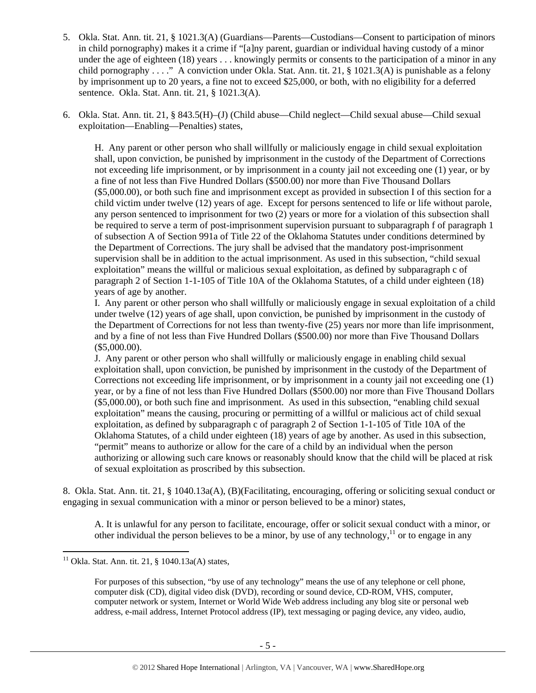- 5. Okla. Stat. Ann. tit. 21, § 1021.3(A) (Guardians—Parents—Custodians—Consent to participation of minors in child pornography) makes it a crime if "[a]ny parent, guardian or individual having custody of a minor under the age of eighteen (18) years . . . knowingly permits or consents to the participation of a minor in any child pornography . . . ." A conviction under Okla. Stat. Ann. tit. 21, § 1021.3(A) is punishable as a felony by imprisonment up to 20 years, a fine not to exceed \$25,000, or both, with no eligibility for a deferred sentence. Okla. Stat. Ann. tit. 21, § 1021.3(A).
- 6. Okla. Stat. Ann. tit. 21, § 843.5(H)–(J) (Child abuse—Child neglect—Child sexual abuse—Child sexual exploitation—Enabling—Penalties) states,

H. Any parent or other person who shall willfully or maliciously engage in child sexual exploitation shall, upon conviction, be punished by imprisonment in the custody of the Department of Corrections not exceeding life imprisonment, or by imprisonment in a county jail not exceeding one (1) year, or by a fine of not less than Five Hundred Dollars (\$500.00) nor more than Five Thousand Dollars (\$5,000.00), or both such fine and imprisonment except as provided in subsection I of this section for a child victim under twelve (12) years of age. Except for persons sentenced to life or life without parole, any person sentenced to imprisonment for two (2) years or more for a violation of this subsection shall be required to serve a term of post-imprisonment supervision pursuant to subparagraph f of paragraph 1 of subsection A of Section 991a of Title 22 of the Oklahoma Statutes under conditions determined by the Department of Corrections. The jury shall be advised that the mandatory post-imprisonment supervision shall be in addition to the actual imprisonment. As used in this subsection, "child sexual exploitation" means the willful or malicious sexual exploitation, as defined by subparagraph c of paragraph 2 of Section 1-1-105 of Title 10A of the Oklahoma Statutes, of a child under eighteen (18) years of age by another.

I. Any parent or other person who shall willfully or maliciously engage in sexual exploitation of a child under twelve (12) years of age shall, upon conviction, be punished by imprisonment in the custody of the Department of Corrections for not less than twenty-five (25) years nor more than life imprisonment, and by a fine of not less than Five Hundred Dollars (\$500.00) nor more than Five Thousand Dollars (\$5,000.00).

J. Any parent or other person who shall willfully or maliciously engage in enabling child sexual exploitation shall, upon conviction, be punished by imprisonment in the custody of the Department of Corrections not exceeding life imprisonment, or by imprisonment in a county jail not exceeding one (1) year, or by a fine of not less than Five Hundred Dollars (\$500.00) nor more than Five Thousand Dollars (\$5,000.00), or both such fine and imprisonment. As used in this subsection, "enabling child sexual exploitation" means the causing, procuring or permitting of a willful or malicious act of child sexual exploitation, as defined by subparagraph c of paragraph 2 of Section 1-1-105 of Title 10A of the Oklahoma Statutes, of a child under eighteen (18) years of age by another. As used in this subsection, "permit" means to authorize or allow for the care of a child by an individual when the person authorizing or allowing such care knows or reasonably should know that the child will be placed at risk of sexual exploitation as proscribed by this subsection.

8. Okla. Stat. Ann. tit. 21, § 1040.13a(A), (B)(Facilitating, encouraging, offering or soliciting sexual conduct or engaging in sexual communication with a minor or person believed to be a minor) states,

A. It is unlawful for any person to facilitate, encourage, offer or solicit sexual conduct with a minor, or other individual the person believes to be a minor, by use of any technology,  $\frac{11}{11}$  or to engage in any

 $11$  Okla. Stat. Ann. tit. 21, § 1040.13a(A) states,

For purposes of this subsection, "by use of any technology" means the use of any telephone or cell phone, computer disk (CD), digital video disk (DVD), recording or sound device, CD-ROM, VHS, computer, computer network or system, Internet or World Wide Web address including any blog site or personal web address, e-mail address, Internet Protocol address (IP), text messaging or paging device, any video, audio,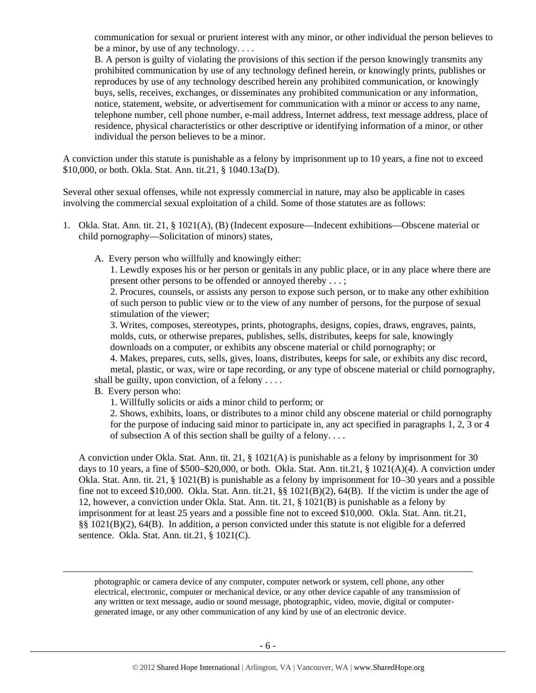communication for sexual or prurient interest with any minor, or other individual the person believes to be a minor, by use of any technology. . . .

B. A person is guilty of violating the provisions of this section if the person knowingly transmits any prohibited communication by use of any technology defined herein, or knowingly prints, publishes or reproduces by use of any technology described herein any prohibited communication, or knowingly buys, sells, receives, exchanges, or disseminates any prohibited communication or any information, notice, statement, website, or advertisement for communication with a minor or access to any name, telephone number, cell phone number, e-mail address, Internet address, text message address, place of residence, physical characteristics or other descriptive or identifying information of a minor, or other individual the person believes to be a minor.

A conviction under this statute is punishable as a felony by imprisonment up to 10 years, a fine not to exceed \$10,000, or both. Okla. Stat. Ann. tit.21, § 1040.13a(D).

Several other sexual offenses, while not expressly commercial in nature, may also be applicable in cases involving the commercial sexual exploitation of a child. Some of those statutes are as follows:

- 1. Okla. Stat. Ann. tit. 21, § 1021(A), (B) (Indecent exposure—Indecent exhibitions—Obscene material or child pornography—Solicitation of minors) states,
	- A. Every person who willfully and knowingly either:

1. Lewdly exposes his or her person or genitals in any public place, or in any place where there are present other persons to be offended or annoyed thereby . . . ;

2. Procures, counsels, or assists any person to expose such person, or to make any other exhibition of such person to public view or to the view of any number of persons, for the purpose of sexual stimulation of the viewer;

3. Writes, composes, stereotypes, prints, photographs, designs, copies, draws, engraves, paints, molds, cuts, or otherwise prepares, publishes, sells, distributes, keeps for sale, knowingly downloads on a computer, or exhibits any obscene material or child pornography; or

4. Makes, prepares, cuts, sells, gives, loans, distributes, keeps for sale, or exhibits any disc record, metal, plastic, or wax, wire or tape recording, or any type of obscene material or child pornography, shall be guilty, upon conviction, of a felony . . . .

B. Every person who:

1. Willfully solicits or aids a minor child to perform; or

2. Shows, exhibits, loans, or distributes to a minor child any obscene material or child pornography for the purpose of inducing said minor to participate in, any act specified in paragraphs 1, 2, 3 or 4 of subsection A of this section shall be guilty of a felony. . . .

A conviction under Okla. Stat. Ann. tit. 21, § 1021(A) is punishable as a felony by imprisonment for 30 days to 10 years, a fine of \$500–\$20,000, or both. Okla. Stat. Ann. tit.21, § 1021(A)(4). A conviction under Okla. Stat. Ann. tit. 21, § 1021(B) is punishable as a felony by imprisonment for 10–30 years and a possible fine not to exceed \$10,000. Okla. Stat. Ann. tit.21, §§ 1021(B)(2), 64(B). If the victim is under the age of 12, however, a conviction under Okla. Stat. Ann. tit. 21, § 1021(B) is punishable as a felony by imprisonment for at least 25 years and a possible fine not to exceed \$10,000. Okla. Stat. Ann. tit.21, §§ 1021(B)(2), 64(B). In addition, a person convicted under this statute is not eligible for a deferred sentence. Okla. Stat. Ann. tit.21, § 1021(C).

photographic or camera device of any computer, computer network or system, cell phone, any other electrical, electronic, computer or mechanical device, or any other device capable of any transmission of any written or text message, audio or sound message, photographic, video, movie, digital or computergenerated image, or any other communication of any kind by use of an electronic device.

<u> Alexandro de la contrada de la contrada de la contrada de la contrada de la contrada de la contrada de la co</u>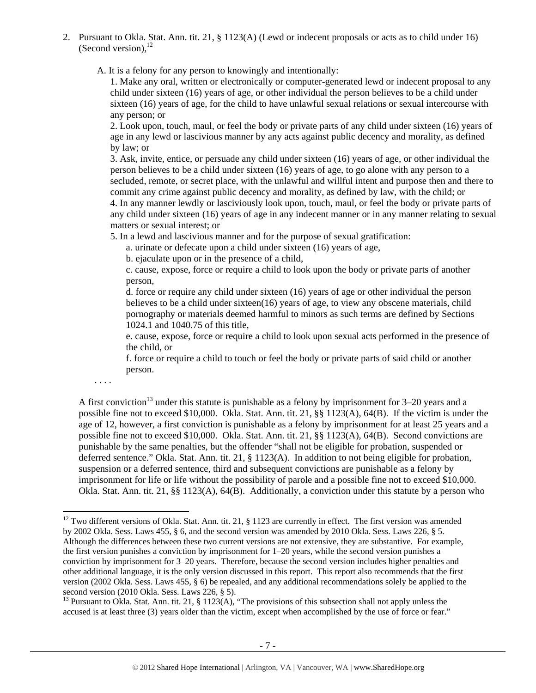2. Pursuant to Okla. Stat. Ann. tit. 21, § 1123(A) (Lewd or indecent proposals or acts as to child under 16) (Second version),  $^{12}$ 

A. It is a felony for any person to knowingly and intentionally:

1. Make any oral, written or electronically or computer-generated lewd or indecent proposal to any child under sixteen (16) years of age, or other individual the person believes to be a child under sixteen (16) years of age, for the child to have unlawful sexual relations or sexual intercourse with any person; or

2. Look upon, touch, maul, or feel the body or private parts of any child under sixteen (16) years of age in any lewd or lascivious manner by any acts against public decency and morality, as defined by law; or

3. Ask, invite, entice, or persuade any child under sixteen (16) years of age, or other individual the person believes to be a child under sixteen (16) years of age, to go alone with any person to a secluded, remote, or secret place, with the unlawful and willful intent and purpose then and there to commit any crime against public decency and morality, as defined by law, with the child; or 4. In any manner lewdly or lasciviously look upon, touch, maul, or feel the body or private parts of any child under sixteen (16) years of age in any indecent manner or in any manner relating to sexual matters or sexual interest; or

5. In a lewd and lascivious manner and for the purpose of sexual gratification:

a. urinate or defecate upon a child under sixteen (16) years of age,

b. ejaculate upon or in the presence of a child,

c. cause, expose, force or require a child to look upon the body or private parts of another person,

d. force or require any child under sixteen (16) years of age or other individual the person believes to be a child under sixteen(16) years of age, to view any obscene materials, child pornography or materials deemed harmful to minors as such terms are defined by Sections 1024.1 and 1040.75 of this title,

e. cause, expose, force or require a child to look upon sexual acts performed in the presence of the child, or

f. force or require a child to touch or feel the body or private parts of said child or another person.

. . . .

A first conviction<sup>13</sup> under this statute is punishable as a felony by imprisonment for  $3-20$  years and a possible fine not to exceed \$10,000. Okla. Stat. Ann. tit. 21, §§ 1123(A), 64(B). If the victim is under the age of 12, however, a first conviction is punishable as a felony by imprisonment for at least 25 years and a possible fine not to exceed \$10,000. Okla. Stat. Ann. tit. 21, §§ 1123(A), 64(B). Second convictions are punishable by the same penalties, but the offender "shall not be eligible for probation, suspended or deferred sentence." Okla. Stat. Ann. tit. 21, § 1123(A). In addition to not being eligible for probation, suspension or a deferred sentence, third and subsequent convictions are punishable as a felony by imprisonment for life or life without the possibility of parole and a possible fine not to exceed \$10,000. Okla. Stat. Ann. tit. 21, §§ 1123(A), 64(B). Additionally, a conviction under this statute by a person who

<sup>&</sup>lt;sup>12</sup> Two different versions of Okla. Stat. Ann. tit. 21, § 1123 are currently in effect. The first version was amended by 2002 Okla. Sess. Laws 455, § 6, and the second version was amended by 2010 Okla. Sess. Laws 226, § 5. Although the differences between these two current versions are not extensive, they are substantive. For example, the first version punishes a conviction by imprisonment for 1–20 years, while the second version punishes a conviction by imprisonment for 3–20 years. Therefore, because the second version includes higher penalties and other additional language, it is the only version discussed in this report. This report also recommends that the first version (2002 Okla. Sess. Laws 455, § 6) be repealed, and any additional recommendations solely be applied to the second version (2010 Okla. Sess. Laws 226, § 5).

<sup>&</sup>lt;sup>13</sup> Pursuant to Okla. Stat. Ann. tit. 21, § 1123(A), "The provisions of this subsection shall not apply unless the accused is at least three (3) years older than the victim, except when accomplished by the use of force or fear."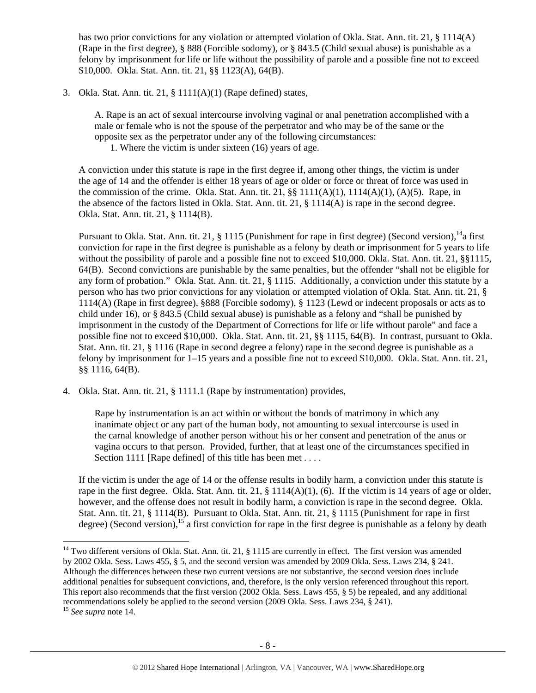has two prior convictions for any violation or attempted violation of Okla. Stat. Ann. tit. 21, § 1114(A) (Rape in the first degree), § 888 (Forcible sodomy), or § 843.5 (Child sexual abuse) is punishable as a felony by imprisonment for life or life without the possibility of parole and a possible fine not to exceed \$10,000. Okla. Stat. Ann. tit. 21, §§ 1123(A), 64(B).

3. Okla. Stat. Ann. tit. 21, § 1111(A)(1) (Rape defined) states,

A. Rape is an act of sexual intercourse involving vaginal or anal penetration accomplished with a male or female who is not the spouse of the perpetrator and who may be of the same or the opposite sex as the perpetrator under any of the following circumstances:

1. Where the victim is under sixteen (16) years of age.

A conviction under this statute is rape in the first degree if, among other things, the victim is under the age of 14 and the offender is either 18 years of age or older or force or threat of force was used in the commission of the crime. Okla. Stat. Ann. tit. 21,  $\S$  1111(A)(1), 1114(A)(1), (A)(5). Rape, in the absence of the factors listed in Okla. Stat. Ann. tit. 21, § 1114(A) is rape in the second degree. Okla. Stat. Ann. tit. 21, § 1114(B).

Pursuant to Okla. Stat. Ann. tit. 21,  $\S$  1115 (Punishment for rape in first degree) (Second version),  $^{14}$ a first conviction for rape in the first degree is punishable as a felony by death or imprisonment for 5 years to life without the possibility of parole and a possible fine not to exceed \$10,000. Okla. Stat. Ann. tit. 21, §§1115, 64(B). Second convictions are punishable by the same penalties, but the offender "shall not be eligible for any form of probation." Okla. Stat. Ann. tit. 21, § 1115. Additionally, a conviction under this statute by a person who has two prior convictions for any violation or attempted violation of Okla. Stat. Ann. tit. 21, § 1114(A) (Rape in first degree), §888 (Forcible sodomy), § 1123 (Lewd or indecent proposals or acts as to child under 16), or § 843.5 (Child sexual abuse) is punishable as a felony and "shall be punished by imprisonment in the custody of the Department of Corrections for life or life without parole" and face a possible fine not to exceed \$10,000. Okla. Stat. Ann. tit. 21, §§ 1115, 64(B). In contrast, pursuant to Okla. Stat. Ann. tit. 21, § 1116 (Rape in second degree a felony) rape in the second degree is punishable as a felony by imprisonment for 1–15 years and a possible fine not to exceed \$10,000. Okla. Stat. Ann. tit. 21, §§ 1116, 64(B).

4. Okla. Stat. Ann. tit. 21, § 1111.1 (Rape by instrumentation) provides,

Rape by instrumentation is an act within or without the bonds of matrimony in which any inanimate object or any part of the human body, not amounting to sexual intercourse is used in the carnal knowledge of another person without his or her consent and penetration of the anus or vagina occurs to that person. Provided, further, that at least one of the circumstances specified in Section 1111 [Rape defined] of this title has been met . . . .

If the victim is under the age of 14 or the offense results in bodily harm, a conviction under this statute is rape in the first degree. Okla. Stat. Ann. tit. 21, § 1114(A)(1), (6). If the victim is 14 years of age or older, however, and the offense does not result in bodily harm, a conviction is rape in the second degree. Okla. Stat. Ann. tit. 21, § 1114(B). Pursuant to Okla. Stat. Ann. tit. 21, § 1115 (Punishment for rape in first degree) (Second version),<sup>15</sup> a first conviction for rape in the first degree is punishable as a felony by death

 $14$  Two different versions of Okla. Stat. Ann. tit. 21, § 1115 are currently in effect. The first version was amended by 2002 Okla. Sess. Laws 455, § 5, and the second version was amended by 2009 Okla. Sess. Laws 234, § 241. Although the differences between these two current versions are not substantive, the second version does include additional penalties for subsequent convictions, and, therefore, is the only version referenced throughout this report. This report also recommends that the first version (2002 Okla. Sess. Laws 455, § 5) be repealed, and any additional recommendations solely be applied to the second version (2009 Okla. Sess. Laws 234, § 241).

<sup>15</sup> *See supra* note 14.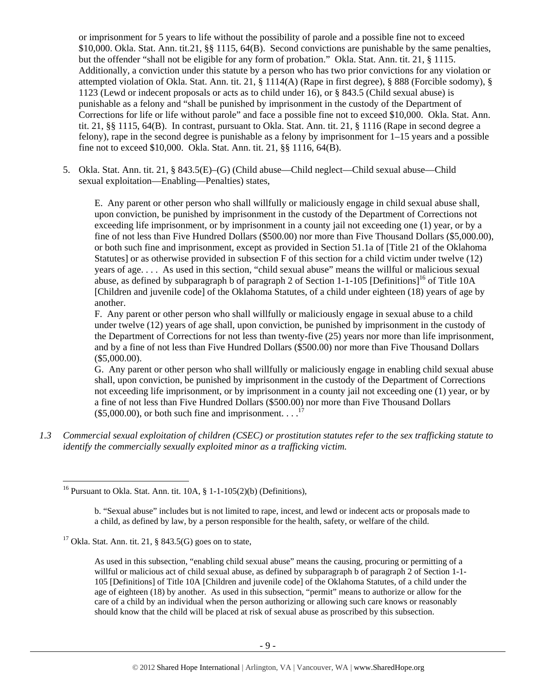or imprisonment for 5 years to life without the possibility of parole and a possible fine not to exceed \$10,000. Okla. Stat. Ann. tit.21, §§ 1115, 64(B). Second convictions are punishable by the same penalties, but the offender "shall not be eligible for any form of probation." Okla. Stat. Ann. tit. 21, § 1115. Additionally, a conviction under this statute by a person who has two prior convictions for any violation or attempted violation of Okla. Stat. Ann. tit. 21, § 1114(A) (Rape in first degree), § 888 (Forcible sodomy), § 1123 (Lewd or indecent proposals or acts as to child under 16), or § 843.5 (Child sexual abuse) is punishable as a felony and "shall be punished by imprisonment in the custody of the Department of Corrections for life or life without parole" and face a possible fine not to exceed \$10,000. Okla. Stat. Ann. tit. 21, §§ 1115, 64(B). In contrast, pursuant to Okla. Stat. Ann. tit. 21, § 1116 (Rape in second degree a felony), rape in the second degree is punishable as a felony by imprisonment for 1–15 years and a possible fine not to exceed \$10,000. Okla. Stat. Ann. tit. 21, §§ 1116, 64(B).

5. Okla. Stat. Ann. tit. 21, § 843.5(E)–(G) (Child abuse—Child neglect—Child sexual abuse—Child sexual exploitation—Enabling—Penalties) states,

E. Any parent or other person who shall willfully or maliciously engage in child sexual abuse shall, upon conviction, be punished by imprisonment in the custody of the Department of Corrections not exceeding life imprisonment, or by imprisonment in a county jail not exceeding one (1) year, or by a fine of not less than Five Hundred Dollars (\$500.00) nor more than Five Thousand Dollars (\$5,000.00), or both such fine and imprisonment, except as provided in Section 51.1a of [Title 21 of the Oklahoma Statutes] or as otherwise provided in subsection F of this section for a child victim under twelve (12) years of age. . . . As used in this section, "child sexual abuse" means the willful or malicious sexual abuse, as defined by subparagraph b of paragraph 2 of Section 1-1-105 [Definitions]<sup>16</sup> of Title 10A [Children and juvenile code] of the Oklahoma Statutes, of a child under eighteen (18) years of age by another.

F. Any parent or other person who shall willfully or maliciously engage in sexual abuse to a child under twelve (12) years of age shall, upon conviction, be punished by imprisonment in the custody of the Department of Corrections for not less than twenty-five (25) years nor more than life imprisonment, and by a fine of not less than Five Hundred Dollars (\$500.00) nor more than Five Thousand Dollars (\$5,000.00).

G. Any parent or other person who shall willfully or maliciously engage in enabling child sexual abuse shall, upon conviction, be punished by imprisonment in the custody of the Department of Corrections not exceeding life imprisonment, or by imprisonment in a county jail not exceeding one (1) year, or by a fine of not less than Five Hundred Dollars (\$500.00) nor more than Five Thousand Dollars (\$5,000.00), or both such fine and imprisonment.  $\ldots$ <sup>17</sup>

*1.3 Commercial sexual exploitation of children (CSEC) or prostitution statutes refer to the sex trafficking statute to identify the commercially sexually exploited minor as a trafficking victim.* 

 <sup>16</sup> Pursuant to Okla. Stat. Ann. tit.  $10A$ ,  $\S$  1-1-105(2)(b) (Definitions),

b. "Sexual abuse" includes but is not limited to rape, incest, and lewd or indecent acts or proposals made to a child, as defined by law, by a person responsible for the health, safety, or welfare of the child.

<sup>&</sup>lt;sup>17</sup> Okla. Stat. Ann. tit. 21, § 843.5(G) goes on to state,

As used in this subsection, "enabling child sexual abuse" means the causing, procuring or permitting of a willful or malicious act of child sexual abuse, as defined by subparagraph b of paragraph 2 of Section 1-1- 105 [Definitions] of Title 10A [Children and juvenile code] of the Oklahoma Statutes, of a child under the age of eighteen (18) by another. As used in this subsection, "permit" means to authorize or allow for the care of a child by an individual when the person authorizing or allowing such care knows or reasonably should know that the child will be placed at risk of sexual abuse as proscribed by this subsection.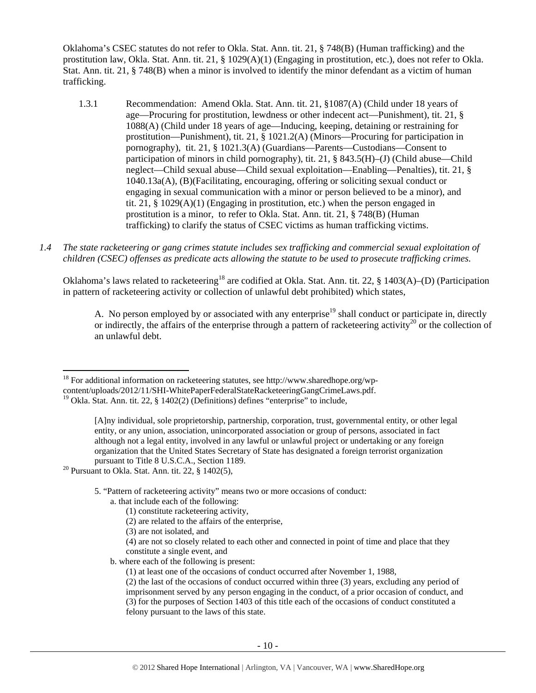Oklahoma's CSEC statutes do not refer to Okla. Stat. Ann. tit. 21, § 748(B) (Human trafficking) and the prostitution law, Okla. Stat. Ann. tit. 21, § 1029(A)(1) (Engaging in prostitution, etc.), does not refer to Okla. Stat. Ann. tit. 21, § 748(B) when a minor is involved to identify the minor defendant as a victim of human trafficking.

- 1.3.1 Recommendation: Amend Okla. Stat. Ann. tit. 21, §1087(A) (Child under 18 years of age—Procuring for prostitution, lewdness or other indecent act—Punishment), tit. 21, § 1088(A) (Child under 18 years of age—Inducing, keeping, detaining or restraining for prostitution—Punishment), tit. 21, § 1021.2(A) (Minors—Procuring for participation in pornography), tit. 21, § 1021.3(A) (Guardians—Parents—Custodians—Consent to participation of minors in child pornography), tit. 21, § 843.5(H)–(J) (Child abuse—Child neglect—Child sexual abuse—Child sexual exploitation—Enabling—Penalties), tit. 21, § 1040.13a(A), (B)(Facilitating, encouraging, offering or soliciting sexual conduct or engaging in sexual communication with a minor or person believed to be a minor), and tit. 21,  $\S$  1029(A)(1) (Engaging in prostitution, etc.) when the person engaged in prostitution is a minor, to refer to Okla. Stat. Ann. tit. 21, § 748(B) (Human trafficking) to clarify the status of CSEC victims as human trafficking victims.
- *1.4 The state racketeering or gang crimes statute includes sex trafficking and commercial sexual exploitation of children (CSEC) offenses as predicate acts allowing the statute to be used to prosecute trafficking crimes.*

Oklahoma's laws related to racketeering<sup>18</sup> are codified at Okla. Stat. Ann. tit. 22, § 1403(A)–(D) (Participation in pattern of racketeering activity or collection of unlawful debt prohibited) which states,

A. No person employed by or associated with any enterprise<sup>19</sup> shall conduct or participate in, directly or indirectly, the affairs of the enterprise through a pattern of racketeering activity<sup>20</sup> or the collection of an unlawful debt.

 $18$  For additional information on racketeering statutes, see http://www.sharedhope.org/wp-

content/uploads/2012/11/SHI-WhitePaperFederalStateRacketeeringGangCrimeLaws.pdf.

5. "Pattern of racketeering activity" means two or more occasions of conduct:

- a. that include each of the following:
	- (1) constitute racketeering activity,
	- (2) are related to the affairs of the enterprise,
	- (3) are not isolated, and

b. where each of the following is present:

(1) at least one of the occasions of conduct occurred after November 1, 1988,

<sup>&</sup>lt;sup>19</sup> Okla. Stat. Ann. tit. 22, § 1402(2) (Definitions) defines "enterprise" to include,

<sup>[</sup>A]ny individual, sole proprietorship, partnership, corporation, trust, governmental entity, or other legal entity, or any union, association, unincorporated association or group of persons, associated in fact although not a legal entity, involved in any lawful or unlawful project or undertaking or any foreign organization that the United States Secretary of State has designated a foreign terrorist organization pursuant to Title 8 U.S.C.A., Section 1189.<br><sup>20</sup> Pursuant to Okla. Stat. Ann. tit. 22, § 1402(5),

<sup>(4)</sup> are not so closely related to each other and connected in point of time and place that they constitute a single event, and

<sup>(2)</sup> the last of the occasions of conduct occurred within three (3) years, excluding any period of imprisonment served by any person engaging in the conduct, of a prior occasion of conduct, and (3) for the purposes of Section 1403 of this title each of the occasions of conduct constituted a felony pursuant to the laws of this state.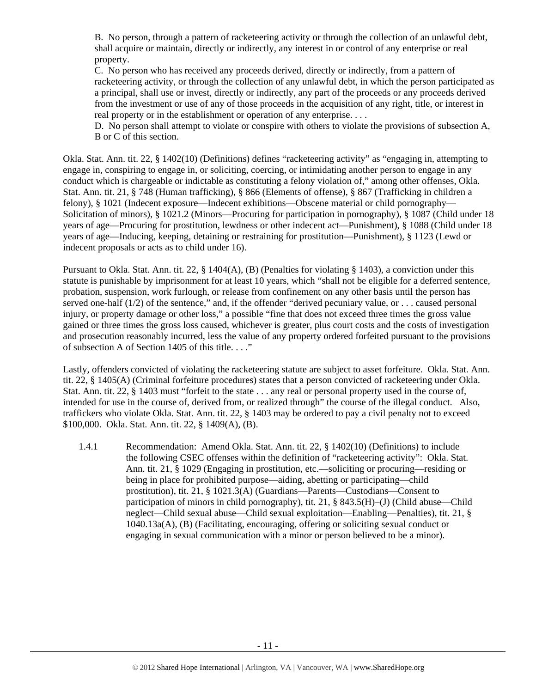B. No person, through a pattern of racketeering activity or through the collection of an unlawful debt, shall acquire or maintain, directly or indirectly, any interest in or control of any enterprise or real property.

C. No person who has received any proceeds derived, directly or indirectly, from a pattern of racketeering activity, or through the collection of any unlawful debt, in which the person participated as a principal, shall use or invest, directly or indirectly, any part of the proceeds or any proceeds derived from the investment or use of any of those proceeds in the acquisition of any right, title, or interest in real property or in the establishment or operation of any enterprise. . . .

D. No person shall attempt to violate or conspire with others to violate the provisions of subsection A, B or C of this section.

Okla. Stat. Ann. tit. 22, § 1402(10) (Definitions) defines "racketeering activity" as "engaging in, attempting to engage in, conspiring to engage in, or soliciting, coercing, or intimidating another person to engage in any conduct which is chargeable or indictable as constituting a felony violation of," among other offenses, Okla. Stat. Ann. tit. 21, § 748 (Human trafficking), § 866 (Elements of offense), § 867 (Trafficking in children a felony), § 1021 (Indecent exposure—Indecent exhibitions—Obscene material or child pornography— Solicitation of minors), § 1021.2 (Minors—Procuring for participation in pornography), § 1087 (Child under 18 years of age—Procuring for prostitution, lewdness or other indecent act—Punishment), § 1088 (Child under 18 years of age—Inducing, keeping, detaining or restraining for prostitution—Punishment), § 1123 (Lewd or indecent proposals or acts as to child under 16).

Pursuant to Okla. Stat. Ann. tit. 22, § 1404(A), (B) (Penalties for violating § 1403), a conviction under this statute is punishable by imprisonment for at least 10 years, which "shall not be eligible for a deferred sentence, probation, suspension, work furlough, or release from confinement on any other basis until the person has served one-half (1/2) of the sentence," and, if the offender "derived pecuniary value, or . . . caused personal injury, or property damage or other loss," a possible "fine that does not exceed three times the gross value gained or three times the gross loss caused, whichever is greater, plus court costs and the costs of investigation and prosecution reasonably incurred, less the value of any property ordered forfeited pursuant to the provisions of subsection A of Section 1405 of this title. . . ."

Lastly, offenders convicted of violating the racketeering statute are subject to asset forfeiture. Okla. Stat. Ann. tit. 22, § 1405(A) (Criminal forfeiture procedures) states that a person convicted of racketeering under Okla. Stat. Ann. tit. 22, § 1403 must "forfeit to the state . . . any real or personal property used in the course of, intended for use in the course of, derived from, or realized through" the course of the illegal conduct. Also, traffickers who violate Okla. Stat. Ann. tit. 22, § 1403 may be ordered to pay a civil penalty not to exceed \$100,000. Okla. Stat. Ann. tit. 22, § 1409(A), (B).

1.4.1 Recommendation: Amend Okla. Stat. Ann. tit. 22, § 1402(10) (Definitions) to include the following CSEC offenses within the definition of "racketeering activity": Okla. Stat. Ann. tit. 21, § 1029 (Engaging in prostitution, etc.—soliciting or procuring—residing or being in place for prohibited purpose—aiding, abetting or participating—child prostitution), tit. 21, § 1021.3(A) (Guardians—Parents—Custodians—Consent to participation of minors in child pornography), tit. 21, § 843.5(H)–(J) (Child abuse—Child neglect—Child sexual abuse—Child sexual exploitation—Enabling—Penalties), tit. 21, § 1040.13a(A), (B) (Facilitating, encouraging, offering or soliciting sexual conduct or engaging in sexual communication with a minor or person believed to be a minor).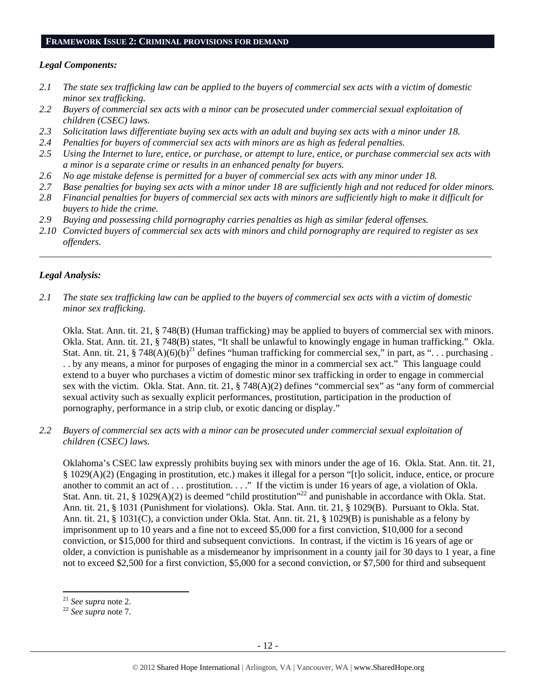#### **FRAMEWORK ISSUE 2: CRIMINAL PROVISIONS FOR DEMAND**

#### *Legal Components:*

- *2.1 The state sex trafficking law can be applied to the buyers of commercial sex acts with a victim of domestic minor sex trafficking.*
- *2.2 Buyers of commercial sex acts with a minor can be prosecuted under commercial sexual exploitation of children (CSEC) laws.*
- *2.3 Solicitation laws differentiate buying sex acts with an adult and buying sex acts with a minor under 18.*
- *2.4 Penalties for buyers of commercial sex acts with minors are as high as federal penalties.*
- *2.5 Using the Internet to lure, entice, or purchase, or attempt to lure, entice, or purchase commercial sex acts with a minor is a separate crime or results in an enhanced penalty for buyers.*
- *2.6 No age mistake defense is permitted for a buyer of commercial sex acts with any minor under 18.*
- *2.7 Base penalties for buying sex acts with a minor under 18 are sufficiently high and not reduced for older minors.*
- *2.8 Financial penalties for buyers of commercial sex acts with minors are sufficiently high to make it difficult for buyers to hide the crime.*
- *2.9 Buying and possessing child pornography carries penalties as high as similar federal offenses.*
- *2.10 Convicted buyers of commercial sex acts with minors and child pornography are required to register as sex offenders.*

\_\_\_\_\_\_\_\_\_\_\_\_\_\_\_\_\_\_\_\_\_\_\_\_\_\_\_\_\_\_\_\_\_\_\_\_\_\_\_\_\_\_\_\_\_\_\_\_\_\_\_\_\_\_\_\_\_\_\_\_\_\_\_\_\_\_\_\_\_\_\_\_\_\_\_\_\_\_\_\_\_\_\_\_\_\_\_\_\_\_\_\_\_\_

## *Legal Analysis:*

*2.1 The state sex trafficking law can be applied to the buyers of commercial sex acts with a victim of domestic minor sex trafficking.* 

Okla. Stat. Ann. tit. 21, § 748(B) (Human trafficking) may be applied to buyers of commercial sex with minors. Okla. Stat. Ann. tit. 21, § 748(B) states, "It shall be unlawful to knowingly engage in human trafficking." Okla. Stat. Ann. tit. 21, § 748(A)(6)(b)<sup>21</sup> defines "human trafficking for commercial sex," in part, as "... purchasing. . . by any means, a minor for purposes of engaging the minor in a commercial sex act." This language could extend to a buyer who purchases a victim of domestic minor sex trafficking in order to engage in commercial sex with the victim. Okla. Stat. Ann. tit. 21, § 748(A)(2) defines "commercial sex" as "any form of commercial sexual activity such as sexually explicit performances, prostitution, participation in the production of pornography, performance in a strip club, or exotic dancing or display."

*2.2 Buyers of commercial sex acts with a minor can be prosecuted under commercial sexual exploitation of children (CSEC) laws.* 

Oklahoma's CSEC law expressly prohibits buying sex with minors under the age of 16. Okla. Stat. Ann. tit. 21, § 1029(A)(2) (Engaging in prostitution, etc.) makes it illegal for a person "[t]o solicit, induce, entice, or procure another to commit an act of  $\dots$  prostitution.  $\dots$  If the victim is under 16 years of age, a violation of Okla. Stat. Ann. tit. 21, § 1029(A)(2) is deemed "child prostitution"<sup>22</sup> and punishable in accordance with Okla. Stat. Ann. tit. 21, § 1031 (Punishment for violations). Okla. Stat. Ann. tit. 21, § 1029(B). Pursuant to Okla. Stat. Ann. tit. 21, § 1031(C), a conviction under Okla. Stat. Ann. tit. 21, § 1029(B) is punishable as a felony by imprisonment up to 10 years and a fine not to exceed \$5,000 for a first conviction, \$10,000 for a second conviction, or \$15,000 for third and subsequent convictions. In contrast, if the victim is 16 years of age or older, a conviction is punishable as a misdemeanor by imprisonment in a county jail for 30 days to 1 year, a fine not to exceed \$2,500 for a first conviction, \$5,000 for a second conviction, or \$7,500 for third and subsequent

<sup>21</sup> *See supra* note 2. 22 *See supra* note 7.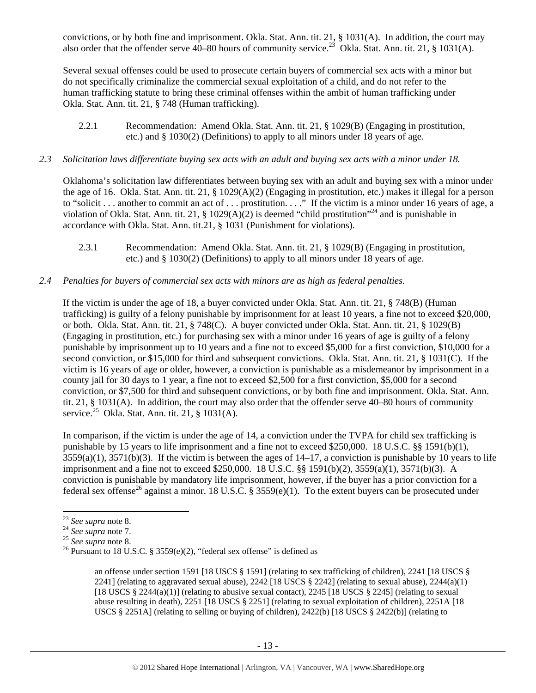convictions, or by both fine and imprisonment. Okla. Stat. Ann. tit. 21, § 1031(A). In addition, the court may also order that the offender serve  $40-80$  hours of community service.<sup>23</sup> Okla. Stat. Ann. tit. 21, § 1031(A).

Several sexual offenses could be used to prosecute certain buyers of commercial sex acts with a minor but do not specifically criminalize the commercial sexual exploitation of a child, and do not refer to the human trafficking statute to bring these criminal offenses within the ambit of human trafficking under Okla. Stat. Ann. tit. 21, § 748 (Human trafficking).

2.2.1 Recommendation: Amend Okla. Stat. Ann. tit. 21, § 1029(B) (Engaging in prostitution, etc.) and § 1030(2) (Definitions) to apply to all minors under 18 years of age.

#### *2.3 Solicitation laws differentiate buying sex acts with an adult and buying sex acts with a minor under 18.*

Oklahoma's solicitation law differentiates between buying sex with an adult and buying sex with a minor under the age of 16. Okla. Stat. Ann. tit. 21, § 1029(A)(2) (Engaging in prostitution, etc.) makes it illegal for a person to "solicit . . . another to commit an act of . . . prostitution. . . ." If the victim is a minor under 16 years of age, a violation of Okla. Stat. Ann. tit. 21, § 1029(A)(2) is deemed "child prostitution"<sup>24</sup> and is punishable in accordance with Okla. Stat. Ann. tit.21, § 1031 (Punishment for violations).

2.3.1 Recommendation: Amend Okla. Stat. Ann. tit. 21, § 1029(B) (Engaging in prostitution, etc.) and § 1030(2) (Definitions) to apply to all minors under 18 years of age.

#### *2.4 Penalties for buyers of commercial sex acts with minors are as high as federal penalties.*

If the victim is under the age of 18, a buyer convicted under Okla. Stat. Ann. tit. 21, § 748(B) (Human trafficking) is guilty of a felony punishable by imprisonment for at least 10 years, a fine not to exceed \$20,000, or both. Okla. Stat. Ann. tit. 21, § 748(C). A buyer convicted under Okla. Stat. Ann. tit. 21, § 1029(B) (Engaging in prostitution, etc.) for purchasing sex with a minor under 16 years of age is guilty of a felony punishable by imprisonment up to 10 years and a fine not to exceed \$5,000 for a first conviction, \$10,000 for a second conviction, or \$15,000 for third and subsequent convictions. Okla. Stat. Ann. tit. 21, § 1031(C). If the victim is 16 years of age or older, however, a conviction is punishable as a misdemeanor by imprisonment in a county jail for 30 days to 1 year, a fine not to exceed \$2,500 for a first conviction, \$5,000 for a second conviction, or \$7,500 for third and subsequent convictions, or by both fine and imprisonment. Okla. Stat. Ann. tit. 21, § 1031(A). In addition, the court may also order that the offender serve 40–80 hours of community service.<sup>25</sup> Okla. Stat. Ann. tit. 21, § 1031(A).

In comparison, if the victim is under the age of 14, a conviction under the TVPA for child sex trafficking is punishable by 15 years to life imprisonment and a fine not to exceed \$250,000. 18 U.S.C. §§ 1591(b)(1),  $3559(a)(1)$ ,  $3571(b)(3)$ . If the victim is between the ages of  $14-17$ , a conviction is punishable by 10 years to life imprisonment and a fine not to exceed \$250,000. 18 U.S.C. §§ 1591(b)(2), 3559(a)(1), 3571(b)(3). A conviction is punishable by mandatory life imprisonment, however, if the buyer has a prior conviction for a federal sex offense<sup>26</sup> against a minor. 18 U.S.C. § 3559(e)(1). To the extent buyers can be prosecuted under

an offense under section 1591 [18 USCS § 1591] (relating to sex trafficking of children), 2241 [18 USCS § 2241] (relating to aggravated sexual abuse), 2242 [18 USCS  $\S$  2242] (relating to sexual abuse), 2244(a)(1) [18 USCS  $\S$  2244(a)(1)] (relating to abusive sexual contact), 2245 [18 USCS  $\S$  2245] (relating to sexual abuse resulting in death), 2251 [18 USCS § 2251] (relating to sexual exploitation of children), 2251A [18 USCS § 2251A] (relating to selling or buying of children), 2422(b) [18 USCS § 2422(b)] (relating to

<sup>&</sup>lt;sup>23</sup> *See supra* note 8.<br><sup>24</sup> *See supra* note 7.<br><sup>25</sup> *See supra* note 8.<br><sup>26</sup> Pursuant to 18 U.S.C. § 3559(e)(2), "federal sex offense" is defined as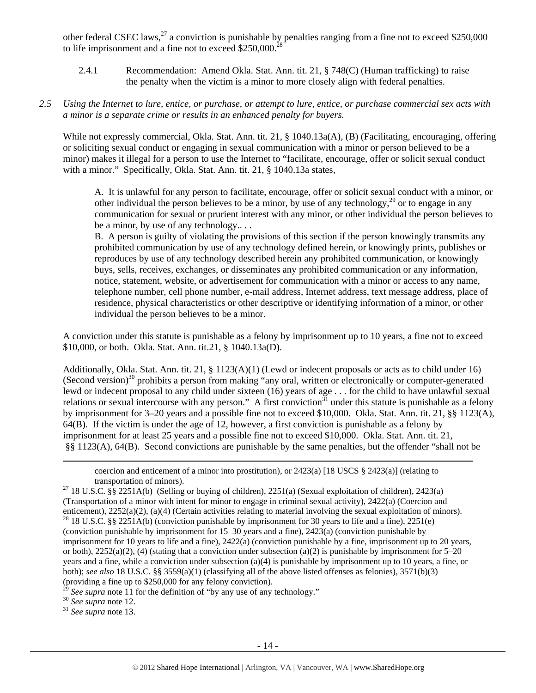other federal CSEC laws,<sup>27</sup> a conviction is punishable by penalties ranging from a fine not to exceed \$250,000 to life imprisonment and a fine not to exceed  $$250,000$ .<sup>2</sup>

2.4.1 Recommendation: Amend Okla. Stat. Ann. tit. 21, § 748(C) (Human trafficking) to raise the penalty when the victim is a minor to more closely align with federal penalties.

#### *2.5 Using the Internet to lure, entice, or purchase, or attempt to lure, entice, or purchase commercial sex acts with a minor is a separate crime or results in an enhanced penalty for buyers.*

While not expressly commercial, Okla. Stat. Ann. tit. 21, § 1040.13a(A), (B) (Facilitating, encouraging, offering or soliciting sexual conduct or engaging in sexual communication with a minor or person believed to be a minor) makes it illegal for a person to use the Internet to "facilitate, encourage, offer or solicit sexual conduct with a minor." Specifically, Okla. Stat. Ann. tit. 21, § 1040.13a states,

A. It is unlawful for any person to facilitate, encourage, offer or solicit sexual conduct with a minor, or other individual the person believes to be a minor, by use of any technology,<sup>29</sup> or to engage in any communication for sexual or prurient interest with any minor, or other individual the person believes to be a minor, by use of any technology.. . .

B. A person is guilty of violating the provisions of this section if the person knowingly transmits any prohibited communication by use of any technology defined herein, or knowingly prints, publishes or reproduces by use of any technology described herein any prohibited communication, or knowingly buys, sells, receives, exchanges, or disseminates any prohibited communication or any information, notice, statement, website, or advertisement for communication with a minor or access to any name, telephone number, cell phone number, e-mail address, Internet address, text message address, place of residence, physical characteristics or other descriptive or identifying information of a minor, or other individual the person believes to be a minor.

A conviction under this statute is punishable as a felony by imprisonment up to 10 years, a fine not to exceed \$10,000, or both. Okla. Stat. Ann. tit.21, § 1040.13a(D).

Additionally, Okla. Stat. Ann. tit. 21, § 1123(A)(1) (Lewd or indecent proposals or acts as to child under 16) (Second version) $30$  prohibits a person from making "any oral, written or electronically or computer-generated lewd or indecent proposal to any child under sixteen (16) years of age . . . for the child to have unlawful sexual relations or sexual intercourse with any person." A first conviction  $31$  under this statute is punishable as a felony by imprisonment for 3–20 years and a possible fine not to exceed \$10,000. Okla. Stat. Ann. tit. 21, §§ 1123(A), 64(B). If the victim is under the age of 12, however, a first conviction is punishable as a felony by imprisonment for at least 25 years and a possible fine not to exceed \$10,000. Okla. Stat. Ann. tit. 21, §§ 1123(A), 64(B). Second convictions are punishable by the same penalties, but the offender "shall not be

<u> Andrewski politika (za obrazu pod predsjednika u predsjednika u predsjednika u predsjednika (za obrazu pod p</u> coercion and enticement of a minor into prostitution), or  $2423(a)$  [18 USCS §  $2423(a)$ ] (relating to transportation of minors).<br><sup>27</sup> 18 U.S.C. §§ 2251A(b) (Selling or buying of children), 2251(a) (Sexual exploitation of children), 2423(a)

(Transportation of a minor with intent for minor to engage in criminal sexual activity), 2422(a) (Coercion and enticement), 2252(a)(2), (a)(4) (Certain activities relating to material involving the sexual exploitation of minors). <sup>28</sup> 18 U.S.C. §§ 2251A(b) (conviction punishable by imprisonment for 30 years to life and a fine), 225 (conviction punishable by imprisonment for 15–30 years and a fine), 2423(a) (conviction punishable by imprisonment for 10 years to life and a fine), 2422(a) (conviction punishable by a fine, imprisonment up to 20 years, or both),  $2252(a)(2)$ , (4) (stating that a conviction under subsection (a)(2) is punishable by imprisonment for 5–20 years and a fine, while a conviction under subsection (a)(4) is punishable by imprisonment up to 10 years, a fine, or both); *see also* 18 U.S.C. §§ 3559(a)(1) (classifying all of the above listed offenses as felonies), 3571(b)(3) (providing a fine up to \$250,000 for any felony conviction).

<sup>29</sup> *See supra* note 11 for the definition of "by any use of any technology."<br><sup>30</sup> *See supra* note 12. <sup>31</sup> *See supra* note 13.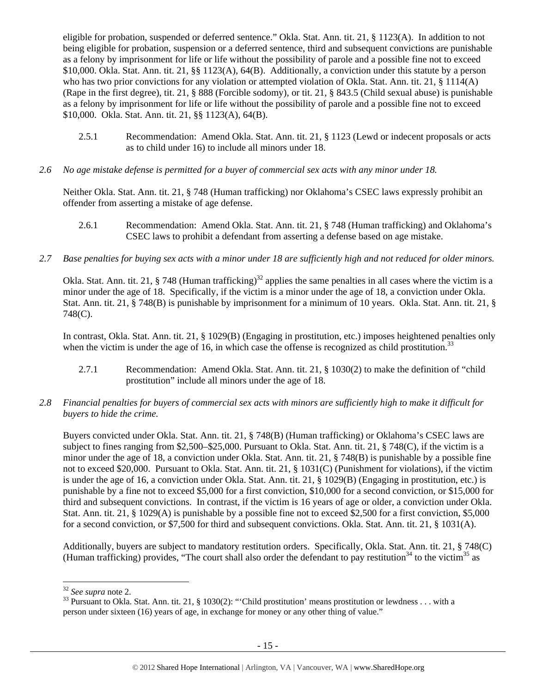eligible for probation, suspended or deferred sentence." Okla. Stat. Ann. tit. 21, § 1123(A). In addition to not being eligible for probation, suspension or a deferred sentence, third and subsequent convictions are punishable as a felony by imprisonment for life or life without the possibility of parole and a possible fine not to exceed \$10,000. Okla. Stat. Ann. tit. 21, §§ 1123(A), 64(B). Additionally, a conviction under this statute by a person who has two prior convictions for any violation or attempted violation of Okla. Stat. Ann. tit. 21, § 1114(A) (Rape in the first degree), tit. 21, § 888 (Forcible sodomy), or tit. 21, § 843.5 (Child sexual abuse) is punishable as a felony by imprisonment for life or life without the possibility of parole and a possible fine not to exceed \$10,000. Okla. Stat. Ann. tit. 21, §§ 1123(A), 64(B).

- 2.5.1 Recommendation: Amend Okla. Stat. Ann. tit. 21, § 1123 (Lewd or indecent proposals or acts as to child under 16) to include all minors under 18.
- *2.6 No age mistake defense is permitted for a buyer of commercial sex acts with any minor under 18.*

Neither Okla. Stat. Ann. tit. 21, § 748 (Human trafficking) nor Oklahoma's CSEC laws expressly prohibit an offender from asserting a mistake of age defense.

- 2.6.1 Recommendation: Amend Okla. Stat. Ann. tit. 21, § 748 (Human trafficking) and Oklahoma's CSEC laws to prohibit a defendant from asserting a defense based on age mistake.
- *2.7 Base penalties for buying sex acts with a minor under 18 are sufficiently high and not reduced for older minors.*

Okla. Stat. Ann. tit. 21,  $\S$  748 (Human trafficking)<sup>32</sup> applies the same penalties in all cases where the victim is a minor under the age of 18. Specifically, if the victim is a minor under the age of 18, a conviction under Okla. Stat. Ann. tit. 21, § 748(B) is punishable by imprisonment for a minimum of 10 years. Okla. Stat. Ann. tit. 21, § 748(C).

In contrast, Okla. Stat. Ann. tit. 21, § 1029(B) (Engaging in prostitution, etc.) imposes heightened penalties only when the victim is under the age of 16, in which case the offense is recognized as child prostitution.<sup>33</sup>

- 2.7.1 Recommendation: Amend Okla. Stat. Ann. tit. 21, § 1030(2) to make the definition of "child prostitution" include all minors under the age of 18.
- *2.8 Financial penalties for buyers of commercial sex acts with minors are sufficiently high to make it difficult for buyers to hide the crime.*

Buyers convicted under Okla. Stat. Ann. tit. 21, § 748(B) (Human trafficking) or Oklahoma's CSEC laws are subject to fines ranging from \$2,500–\$25,000. Pursuant to Okla. Stat. Ann. tit. 21, § 748(C), if the victim is a minor under the age of 18, a conviction under Okla. Stat. Ann. tit. 21, § 748(B) is punishable by a possible fine not to exceed \$20,000. Pursuant to Okla. Stat. Ann. tit. 21, § 1031(C) (Punishment for violations), if the victim is under the age of 16, a conviction under Okla. Stat. Ann. tit. 21, § 1029(B) (Engaging in prostitution, etc.) is punishable by a fine not to exceed \$5,000 for a first conviction, \$10,000 for a second conviction, or \$15,000 for third and subsequent convictions. In contrast, if the victim is 16 years of age or older, a conviction under Okla. Stat. Ann. tit. 21, § 1029(A) is punishable by a possible fine not to exceed \$2,500 for a first conviction, \$5,000 for a second conviction, or \$7,500 for third and subsequent convictions. Okla. Stat. Ann. tit. 21, § 1031(A).

Additionally, buyers are subject to mandatory restitution orders. Specifically, Okla. Stat. Ann. tit. 21, § 748(C) (Human trafficking) provides, "The court shall also order the defendant to pay restitution<sup>34</sup> to the victim<sup>35</sup> as

<sup>&</sup>lt;sup>32</sup> *See supra* note 2.<br><sup>33</sup> Pursuant to Okla. Stat. Ann. tit. 21, § 1030(2): "'Child prostitution' means prostitution or lewdness . . . with a person under sixteen (16) years of age, in exchange for money or any other thing of value."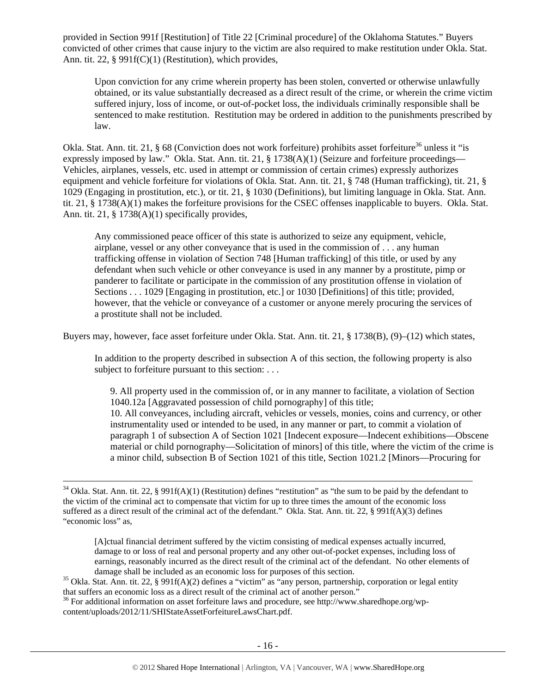provided in Section 991f [Restitution] of Title 22 [Criminal procedure] of the Oklahoma Statutes." Buyers convicted of other crimes that cause injury to the victim are also required to make restitution under Okla. Stat. Ann. tit. 22, § 991f(C)(1) (Restitution), which provides,

Upon conviction for any crime wherein property has been stolen, converted or otherwise unlawfully obtained, or its value substantially decreased as a direct result of the crime, or wherein the crime victim suffered injury, loss of income, or out-of-pocket loss, the individuals criminally responsible shall be sentenced to make restitution. Restitution may be ordered in addition to the punishments prescribed by law.

Okla. Stat. Ann. tit. 21, § 68 (Conviction does not work forfeiture) prohibits asset forfeiture<sup>36</sup> unless it "is expressly imposed by law." Okla. Stat. Ann. tit. 21, § 1738(A)(1) (Seizure and forfeiture proceedings— Vehicles, airplanes, vessels, etc. used in attempt or commission of certain crimes) expressly authorizes equipment and vehicle forfeiture for violations of Okla. Stat. Ann. tit. 21, § 748 (Human trafficking), tit. 21, § 1029 (Engaging in prostitution, etc.), or tit. 21, § 1030 (Definitions), but limiting language in Okla. Stat. Ann. tit. 21, § 1738(A)(1) makes the forfeiture provisions for the CSEC offenses inapplicable to buyers. Okla. Stat. Ann. tit. 21, § 1738(A)(1) specifically provides,

Any commissioned peace officer of this state is authorized to seize any equipment, vehicle, airplane, vessel or any other conveyance that is used in the commission of . . . any human trafficking offense in violation of Section 748 [Human trafficking] of this title, or used by any defendant when such vehicle or other conveyance is used in any manner by a prostitute, pimp or panderer to facilitate or participate in the commission of any prostitution offense in violation of Sections . . . 1029 [Engaging in prostitution, etc.] or 1030 [Definitions] of this title; provided, however, that the vehicle or conveyance of a customer or anyone merely procuring the services of a prostitute shall not be included.

Buyers may, however, face asset forfeiture under Okla. Stat. Ann. tit. 21, § 1738(B), (9)–(12) which states,

In addition to the property described in subsection A of this section, the following property is also subject to forfeiture pursuant to this section: . . .

9. All property used in the commission of, or in any manner to facilitate, a violation of Section 1040.12a [Aggravated possession of child pornography] of this title;

10. All conveyances, including aircraft, vehicles or vessels, monies, coins and currency, or other instrumentality used or intended to be used, in any manner or part, to commit a violation of paragraph 1 of subsection A of Section 1021 [Indecent exposure—Indecent exhibitions—Obscene material or child pornography—Solicitation of minors] of this title, where the victim of the crime is a minor child, subsection B of Section 1021 of this title, Section 1021.2 [Minors—Procuring for

[A]ctual financial detriment suffered by the victim consisting of medical expenses actually incurred, damage to or loss of real and personal property and any other out-of-pocket expenses, including loss of earnings, reasonably incurred as the direct result of the criminal act of the defendant. No other elements of

<sup>36</sup> For additional information on asset forfeiture laws and procedure, see http://www.sharedhope.org/wpcontent/uploads/2012/11/SHIStateAssetForfeitureLawsChart.pdf.

 $34$  Okla. Stat. Ann. tit. 22, § 991f(A)(1) (Restitution) defines "restitution" as "the sum to be paid by the defendant to the victim of the criminal act to compensate that victim for up to three times the amount of the economic loss suffered as a direct result of the criminal act of the defendant." Okla. Stat. Ann. tit. 22, § 991f(A)(3) defines "economic loss" as,

damage shall be included as an economic loss for purposes of this section.<br><sup>35</sup> Okla. Stat. Ann. tit. 22, § 991f(A)(2) defines a "victim" as "any person, partnership, corporation or legal entity<br>that suffers an economic l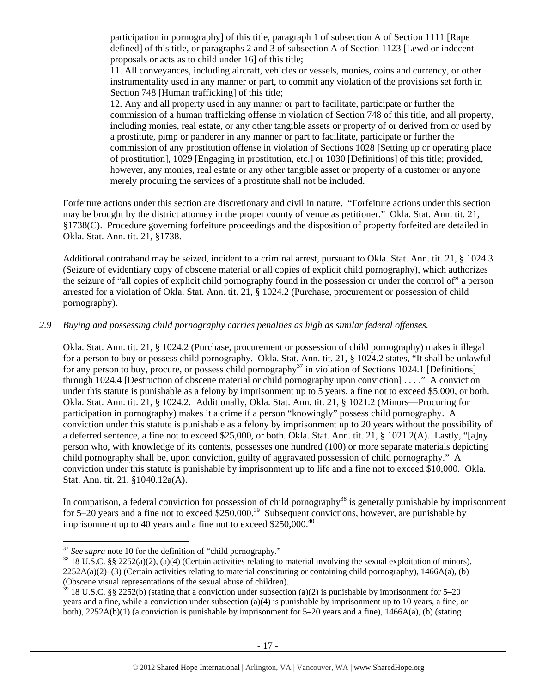participation in pornography] of this title, paragraph 1 of subsection A of Section 1111 [Rape defined] of this title, or paragraphs 2 and 3 of subsection A of Section 1123 [Lewd or indecent proposals or acts as to child under 16] of this title;

11. All conveyances, including aircraft, vehicles or vessels, monies, coins and currency, or other instrumentality used in any manner or part, to commit any violation of the provisions set forth in Section 748 [Human trafficking] of this title:

12. Any and all property used in any manner or part to facilitate, participate or further the commission of a human trafficking offense in violation of Section 748 of this title, and all property, including monies, real estate, or any other tangible assets or property of or derived from or used by a prostitute, pimp or panderer in any manner or part to facilitate, participate or further the commission of any prostitution offense in violation of Sections 1028 [Setting up or operating place of prostitution], 1029 [Engaging in prostitution, etc.] or 1030 [Definitions] of this title; provided, however, any monies, real estate or any other tangible asset or property of a customer or anyone merely procuring the services of a prostitute shall not be included.

Forfeiture actions under this section are discretionary and civil in nature. "Forfeiture actions under this section may be brought by the district attorney in the proper county of venue as petitioner." Okla. Stat. Ann. tit. 21, §1738(C). Procedure governing forfeiture proceedings and the disposition of property forfeited are detailed in Okla. Stat. Ann. tit. 21, §1738.

Additional contraband may be seized, incident to a criminal arrest, pursuant to Okla. Stat. Ann. tit. 21, § 1024.3 (Seizure of evidentiary copy of obscene material or all copies of explicit child pornography), which authorizes the seizure of "all copies of explicit child pornography found in the possession or under the control of" a person arrested for a violation of Okla. Stat. Ann. tit. 21, § 1024.2 (Purchase, procurement or possession of child pornography).

#### *2.9 Buying and possessing child pornography carries penalties as high as similar federal offenses.*

Okla. Stat. Ann. tit. 21, § 1024.2 (Purchase, procurement or possession of child pornography) makes it illegal for a person to buy or possess child pornography. Okla. Stat. Ann. tit. 21, § 1024.2 states, "It shall be unlawful for any person to buy, procure, or possess child pornography<sup>37</sup> in violation of Sections 1024.1 [Definitions] through 1024.4 [Destruction of obscene material or child pornography upon conviction] . . . ." A conviction under this statute is punishable as a felony by imprisonment up to 5 years, a fine not to exceed \$5,000, or both. Okla. Stat. Ann. tit. 21, § 1024.2. Additionally, Okla. Stat. Ann. tit. 21, § 1021.2 (Minors—Procuring for participation in pornography) makes it a crime if a person "knowingly" possess child pornography. A conviction under this statute is punishable as a felony by imprisonment up to 20 years without the possibility of a deferred sentence, a fine not to exceed \$25,000, or both. Okla. Stat. Ann. tit. 21, § 1021.2(A). Lastly, "[a]ny person who, with knowledge of its contents, possesses one hundred (100) or more separate materials depicting child pornography shall be, upon conviction, guilty of aggravated possession of child pornography." A conviction under this statute is punishable by imprisonment up to life and a fine not to exceed \$10,000. Okla. Stat. Ann. tit. 21, §1040.12a(A).

In comparison, a federal conviction for possession of child pornography<sup>38</sup> is generally punishable by imprisonment for 5–20 years and a fine not to exceed \$250,000.<sup>39</sup> Subsequent convictions, however, are punishable by imprisonment up to 40 years and a fine not to exceed  $$250,000.<sup>40</sup>$ 

 $37$  See supra note 10 for the definition of "child pornography."

<sup>&</sup>lt;sup>38</sup> 18 U.S.C. §§ 2252(a)(2), (a)(4) (Certain activities relating to material involving the sexual exploitation of minors),  $2252A(a)(2)$ –(3) (Certain activities relating to material constituting or containing child pornography), 1466A(a), (b) (Obscene visual representations of the sexual abuse of children).

<sup>39 18</sup> U.S.C. §§ 2252(b) (stating that a conviction under subsection (a)(2) is punishable by imprisonment for 5–20 years and a fine, while a conviction under subsection (a)(4) is punishable by imprisonment up to 10 years, a fine, or both), 2252A(b)(1) (a conviction is punishable by imprisonment for 5–20 years and a fine), 1466A(a), (b) (stating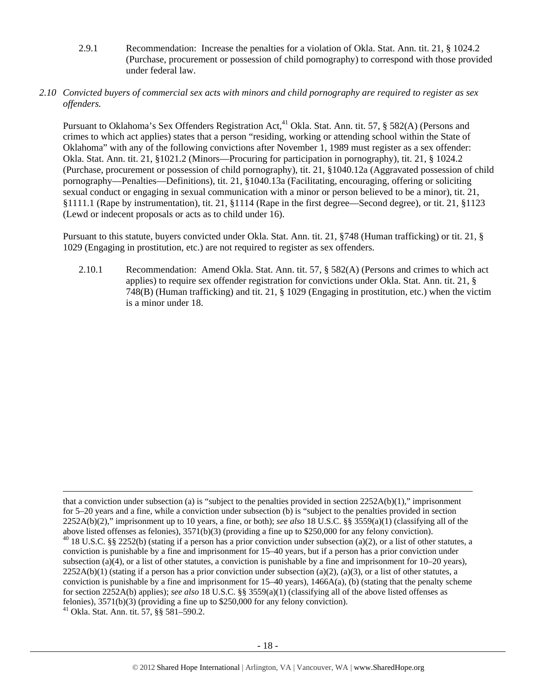2.9.1 Recommendation: Increase the penalties for a violation of Okla. Stat. Ann. tit. 21, § 1024.2 (Purchase, procurement or possession of child pornography) to correspond with those provided under federal law.

#### *2.10 Convicted buyers of commercial sex acts with minors and child pornography are required to register as sex offenders.*

Pursuant to Oklahoma's Sex Offenders Registration Act,<sup>41</sup> Okla. Stat. Ann. tit. 57, § 582(A) (Persons and crimes to which act applies) states that a person "residing, working or attending school within the State of Oklahoma" with any of the following convictions after November 1, 1989 must register as a sex offender: Okla. Stat. Ann. tit. 21, §1021.2 (Minors—Procuring for participation in pornography), tit. 21, § 1024.2 (Purchase, procurement or possession of child pornography), tit. 21, §1040.12a (Aggravated possession of child pornography—Penalties—Definitions), tit. 21, §1040.13a (Facilitating, encouraging, offering or soliciting sexual conduct or engaging in sexual communication with a minor or person believed to be a minor), tit. 21, §1111.1 (Rape by instrumentation), tit. 21, §1114 (Rape in the first degree—Second degree), or tit. 21, §1123 (Lewd or indecent proposals or acts as to child under 16).

Pursuant to this statute, buyers convicted under Okla. Stat. Ann. tit. 21, §748 (Human trafficking) or tit. 21, § 1029 (Engaging in prostitution, etc.) are not required to register as sex offenders.

2.10.1 Recommendation: Amend Okla. Stat. Ann. tit. 57, § 582(A) (Persons and crimes to which act applies) to require sex offender registration for convictions under Okla. Stat. Ann. tit. 21, § 748(B) (Human trafficking) and tit. 21, § 1029 (Engaging in prostitution, etc.) when the victim is a minor under 18.

<u> Andrewski politika (za obrazu pod predsjednika u predsjednika u predsjednika u predsjednika (za obrazu pod p</u>

that a conviction under subsection (a) is "subject to the penalties provided in section  $2252A(b)(1)$ ," imprisonment for 5–20 years and a fine, while a conviction under subsection (b) is "subject to the penalties provided in section 2252A(b)(2)," imprisonment up to 10 years, a fine, or both); *see also* 18 U.S.C. §§ 3559(a)(1) (classifying all of the above listed offenses as felonies), 3571(b)(3) (providing a fine up to \$250,000 for any felony conviction). 40 18 U.S.C. §§ 2252(b) (stating if a person has a prior conviction under subsection (a)(2), or a list of other statutes, a conviction is punishable by a fine and imprisonment for 15–40 years, but if a person has a prior conviction under subsection (a)(4), or a list of other statutes, a conviction is punishable by a fine and imprisonment for  $10-20$  years),  $2252A(b)(1)$  (stating if a person has a prior conviction under subsection (a)(2), (a)(3), or a list of other statutes, a conviction is punishable by a fine and imprisonment for  $15-40$  years),  $1466A(a)$ , (b) (stating that the penalty scheme for section 2252A(b) applies); *see also* 18 U.S.C. §§ 3559(a)(1) (classifying all of the above listed offenses as felonies),  $3571(b)(3)$  (providing a fine up to \$250,000 for any felony conviction). 41 Okla. Stat. Ann. tit. 57, §§ 581–590.2.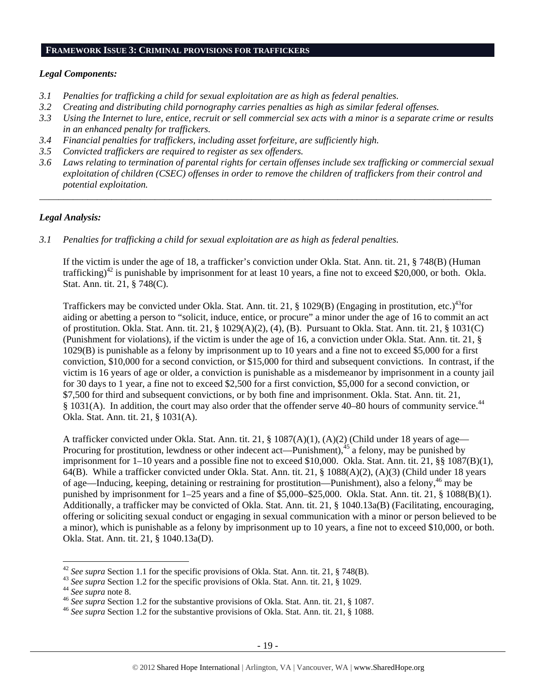## **FRAMEWORK ISSUE 3: CRIMINAL PROVISIONS FOR TRAFFICKERS**

#### *Legal Components:*

- *3.1 Penalties for trafficking a child for sexual exploitation are as high as federal penalties.*
- *3.2 Creating and distributing child pornography carries penalties as high as similar federal offenses.*
- *3.3 Using the Internet to lure, entice, recruit or sell commercial sex acts with a minor is a separate crime or results in an enhanced penalty for traffickers.*
- *3.4 Financial penalties for traffickers, including asset forfeiture, are sufficiently high.*
- *3.5 Convicted traffickers are required to register as sex offenders.*
- *3.6 Laws relating to termination of parental rights for certain offenses include sex trafficking or commercial sexual exploitation of children (CSEC) offenses in order to remove the children of traffickers from their control and potential exploitation.*

*\_\_\_\_\_\_\_\_\_\_\_\_\_\_\_\_\_\_\_\_\_\_\_\_\_\_\_\_\_\_\_\_\_\_\_\_\_\_\_\_\_\_\_\_\_\_\_\_\_\_\_\_\_\_\_\_\_\_\_\_\_\_\_\_\_\_\_\_\_\_\_\_\_\_\_\_\_\_\_\_\_\_\_\_\_\_\_\_\_\_\_\_\_\_* 

#### *Legal Analysis:*

*3.1 Penalties for trafficking a child for sexual exploitation are as high as federal penalties.* 

If the victim is under the age of 18, a trafficker's conviction under Okla. Stat. Ann. tit. 21, § 748(B) (Human trafficking)<sup>42</sup> is punishable by imprisonment for at least 10 years, a fine not to exceed \$20,000, or both. Okla. Stat. Ann. tit. 21, § 748(C).

Traffickers may be convicted under Okla. Stat. Ann. tit. 21,  $\S$  1029(B) (Engaging in prostitution, etc.)<sup>43</sup>for aiding or abetting a person to "solicit, induce, entice, or procure" a minor under the age of 16 to commit an act of prostitution. Okla. Stat. Ann. tit. 21, § 1029(A)(2), (4), (B). Pursuant to Okla. Stat. Ann. tit. 21, § 1031(C) (Punishment for violations), if the victim is under the age of 16, a conviction under Okla. Stat. Ann. tit. 21, § 1029(B) is punishable as a felony by imprisonment up to 10 years and a fine not to exceed \$5,000 for a first conviction, \$10,000 for a second conviction, or \$15,000 for third and subsequent convictions. In contrast, if the victim is 16 years of age or older, a conviction is punishable as a misdemeanor by imprisonment in a county jail for 30 days to 1 year, a fine not to exceed \$2,500 for a first conviction, \$5,000 for a second conviction, or \$7,500 for third and subsequent convictions, or by both fine and imprisonment. Okla. Stat. Ann. tit. 21, § 1031(A). In addition, the court may also order that the offender serve 40–80 hours of community service.<sup>44</sup> Okla. Stat. Ann. tit. 21, § 1031(A).

A trafficker convicted under Okla. Stat. Ann. tit. 21, § 1087(A)(1), (A)(2) (Child under 18 years of age— Procuring for prostitution, lewdness or other indecent act—Punishment), $45$  a felony, may be punished by imprisonment for 1–10 years and a possible fine not to exceed \$10,000. Okla. Stat. Ann. tit. 21, §§ 1087(B)(1), 64(B). While a trafficker convicted under Okla. Stat. Ann. tit. 21, § 1088(A)(2), (A)(3) (Child under 18 years of age—Inducing, keeping, detaining or restraining for prostitution—Punishment), also a felony,46 may be punished by imprisonment for 1–25 years and a fine of \$5,000–\$25,000. Okla. Stat. Ann. tit. 21, § 1088(B)(1). Additionally, a trafficker may be convicted of Okla. Stat. Ann. tit. 21, § 1040.13a(B) (Facilitating, encouraging, offering or soliciting sexual conduct or engaging in sexual communication with a minor or person believed to be a minor), which is punishable as a felony by imprisonment up to 10 years, a fine not to exceed \$10,000, or both. Okla. Stat. Ann. tit. 21, § 1040.13a(D).

<sup>&</sup>lt;sup>42</sup> See supra Section 1.1 for the specific provisions of Okla. Stat. Ann. tit. 21, § 748(B).<br><sup>43</sup> See supra Section 1.2 for the specific provisions of Okla. Stat. Ann. tit. 21, § 1029.<br><sup>44</sup> See supra note 8.<br><sup>46</sup> See sup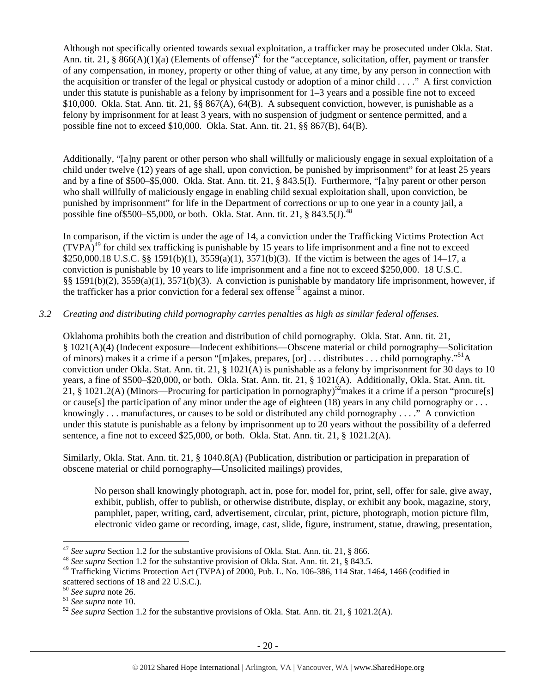Although not specifically oriented towards sexual exploitation, a trafficker may be prosecuted under Okla. Stat. Ann. tit. 21, §  $866(A)(1)(a)$  (Elements of offense)<sup>47</sup> for the "acceptance, solicitation, offer, payment or transfer of any compensation, in money, property or other thing of value, at any time, by any person in connection with the acquisition or transfer of the legal or physical custody or adoption of a minor child . . . ." A first conviction under this statute is punishable as a felony by imprisonment for 1–3 years and a possible fine not to exceed \$10,000. Okla. Stat. Ann. tit. 21, §§ 867(A), 64(B). A subsequent conviction, however, is punishable as a felony by imprisonment for at least 3 years, with no suspension of judgment or sentence permitted, and a possible fine not to exceed \$10,000. Okla. Stat. Ann. tit. 21, §§ 867(B), 64(B).

Additionally, "[a]ny parent or other person who shall willfully or maliciously engage in sexual exploitation of a child under twelve (12) years of age shall, upon conviction, be punished by imprisonment" for at least 25 years and by a fine of \$500–\$5,000. Okla. Stat. Ann. tit. 21, § 843.5(I). Furthermore, "[a]ny parent or other person who shall willfully of maliciously engage in enabling child sexual exploitation shall, upon conviction, be punished by imprisonment" for life in the Department of corrections or up to one year in a county jail, a possible fine of \$500–\$5,000, or both. Okla. Stat. Ann. tit. 21,  $\S$  843.5(J).<sup>48</sup>

In comparison, if the victim is under the age of 14, a conviction under the Trafficking Victims Protection Act  $(TVPA)<sup>49</sup>$  for child sex trafficking is punishable by 15 years to life imprisonment and a fine not to exceed \$250,000.18 U.S.C. §§ 1591(b)(1), 3559(a)(1), 3571(b)(3). If the victim is between the ages of 14–17, a conviction is punishable by 10 years to life imprisonment and a fine not to exceed \$250,000. 18 U.S.C. §§ 1591(b)(2), 3559(a)(1), 3571(b)(3). A conviction is punishable by mandatory life imprisonment, however, if the trafficker has a prior conviction for a federal sex offense<sup>50</sup> against a minor.

## *3.2 Creating and distributing child pornography carries penalties as high as similar federal offenses.*

Oklahoma prohibits both the creation and distribution of child pornography. Okla. Stat. Ann. tit. 21, § 1021(A)(4) (Indecent exposure—Indecent exhibitions—Obscene material or child pornography—Solicitation of minors) makes it a crime if a person "[m]akes, prepares, [or] . . . distributes . . . child pornography."51A conviction under Okla. Stat. Ann. tit. 21, § 1021(A) is punishable as a felony by imprisonment for 30 days to 10 years, a fine of \$500–\$20,000, or both. Okla. Stat. Ann. tit. 21, § 1021(A). Additionally, Okla. Stat. Ann. tit. 21, § 1021.2(A) (Minors—Procuring for participation in pornography)<sup>52</sup>makes it a crime if a person "procure[s] or cause[s] the participation of any minor under the age of eighteen (18) years in any child pornography or  $\dots$ knowingly . . . manufactures, or causes to be sold or distributed any child pornography . . . ." A conviction under this statute is punishable as a felony by imprisonment up to 20 years without the possibility of a deferred sentence, a fine not to exceed \$25,000, or both. Okla. Stat. Ann. tit. 21, § 1021.2(A).

Similarly, Okla. Stat. Ann. tit. 21, § 1040.8(A) (Publication, distribution or participation in preparation of obscene material or child pornography—Unsolicited mailings) provides,

No person shall knowingly photograph, act in, pose for, model for, print, sell, offer for sale, give away, exhibit, publish, offer to publish, or otherwise distribute, display, or exhibit any book, magazine, story, pamphlet, paper, writing, card, advertisement, circular, print, picture, photograph, motion picture film, electronic video game or recording, image, cast, slide, figure, instrument, statue, drawing, presentation,

 <sup>47</sup> *See supra* Section 1.2 for the substantive provisions of Okla. Stat. Ann. tit. 21, § 866. 48 *See supra* Section 1.2 for the substantive provision of Okla. Stat. Ann. tit. 21, § 843.5.

<sup>&</sup>lt;sup>49</sup> Trafficking Victims Protection Act (TVPA) of 2000, Pub. L. No. 106-386, 114 Stat. 1464, 1466 (codified in scattered sections of 18 and 22 U.S.C.).<br><sup>50</sup> See supra note 26.

<sup>50</sup> *See supra* note 26. 51 *See supra* note 10. 52 *See supra* Section 1.2 for the substantive provisions of Okla. Stat. Ann. tit. 21, § 1021.2(A).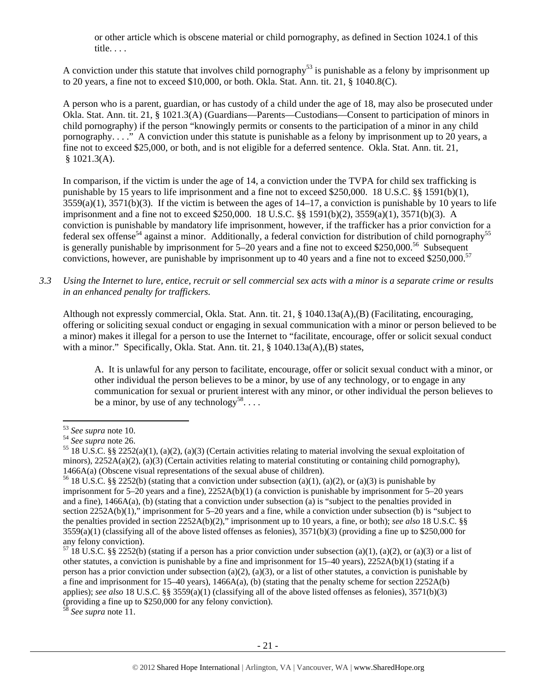or other article which is obscene material or child pornography, as defined in Section 1024.1 of this title. . . .

A conviction under this statute that involves child pornography<sup>53</sup> is punishable as a felony by imprisonment up to 20 years, a fine not to exceed \$10,000, or both. Okla. Stat. Ann. tit. 21, § 1040.8(C).

A person who is a parent, guardian, or has custody of a child under the age of 18, may also be prosecuted under Okla. Stat. Ann. tit. 21, § 1021.3(A) (Guardians—Parents—Custodians—Consent to participation of minors in child pornography) if the person "knowingly permits or consents to the participation of a minor in any child pornography. . . ." A conviction under this statute is punishable as a felony by imprisonment up to 20 years, a fine not to exceed \$25,000, or both, and is not eligible for a deferred sentence. Okla. Stat. Ann. tit. 21,  $$1021.3(A).$ 

In comparison, if the victim is under the age of 14, a conviction under the TVPA for child sex trafficking is punishable by 15 years to life imprisonment and a fine not to exceed \$250,000. 18 U.S.C. §§ 1591(b)(1),  $3559(a)(1)$ ,  $3571(b)(3)$ . If the victim is between the ages of  $14-17$ , a conviction is punishable by 10 years to life imprisonment and a fine not to exceed \$250,000. 18 U.S.C. §§ 1591(b)(2), 3559(a)(1), 3571(b)(3). A conviction is punishable by mandatory life imprisonment, however, if the trafficker has a prior conviction for a federal sex offense<sup>54</sup> against a minor. Additionally, a federal conviction for distribution of child pornography<sup>55</sup> is generally punishable by imprisonment for  $5-20$  years and a fine not to exceed \$250,000.<sup>56</sup> Subsequent convictions, however, are punishable by imprisonment up to 40 years and a fine not to exceed \$250,000.<sup>57</sup>

*3.3 Using the Internet to lure, entice, recruit or sell commercial sex acts with a minor is a separate crime or results in an enhanced penalty for traffickers.* 

Although not expressly commercial, Okla. Stat. Ann. tit. 21, § 1040.13a(A),(B) (Facilitating, encouraging, offering or soliciting sexual conduct or engaging in sexual communication with a minor or person believed to be a minor) makes it illegal for a person to use the Internet to "facilitate, encourage, offer or solicit sexual conduct with a minor." Specifically, Okla. Stat. Ann. tit. 21, § 1040.13a(A),(B) states,

A. It is unlawful for any person to facilitate, encourage, offer or solicit sexual conduct with a minor, or other individual the person believes to be a minor, by use of any technology, or to engage in any communication for sexual or prurient interest with any minor, or other individual the person believes to be a minor, by use of any technology<sup>58</sup>...

<sup>58</sup> *See supra* note 11.

<sup>&</sup>lt;sup>53</sup> *See supra* note 10.<br><sup>54</sup> *See supra* note 26.<br><sup>55</sup> 18 U.S.C. §§ 2252(a)(1), (a)(2), (a)(3) (Certain activities relating to material involving the sexual exploitation of minors),  $2252A(a)(2)$ , (a)(3) (Certain activities relating to material constituting or containing child pornography), 1466A(a) (Obscene visual representations of the sexual abuse of children).<br><sup>56</sup> 18 U.S.C. §§ 2252(b) (stating that a conviction under subsection (a)(1), (a)(2), or (a)(3) is punishable by

imprisonment for 5–20 years and a fine), 2252A(b)(1) (a conviction is punishable by imprisonment for 5–20 years and a fine), 1466A(a), (b) (stating that a conviction under subsection (a) is "subject to the penalties provided in section 2252A(b)(1)," imprisonment for 5–20 years and a fine, while a conviction under subsection (b) is "subject to the penalties provided in section 2252A(b)(2)," imprisonment up to 10 years, a fine, or both); *see also* 18 U.S.C. §§  $3559(a)(1)$  (classifying all of the above listed offenses as felonies),  $3571(b)(3)$  (providing a fine up to \$250,000 for any felony conviction).

 $57$  18 U.S.C. §§ 2252(b) (stating if a person has a prior conviction under subsection (a)(1), (a)(2), or (a)(3) or a list of other statutes, a conviction is punishable by a fine and imprisonment for 15–40 years), 2252A(b)(1) (stating if a person has a prior conviction under subsection (a)(2), (a)(3), or a list of other statutes, a conviction is punishable by a fine and imprisonment for  $15-40$  years),  $1466A(a)$ , (b) (stating that the penalty scheme for section  $2252A(b)$ applies); *see also* 18 U.S.C. §§ 3559(a)(1) (classifying all of the above listed offenses as felonies), 3571(b)(3) (providing a fine up to \$250,000 for any felony conviction).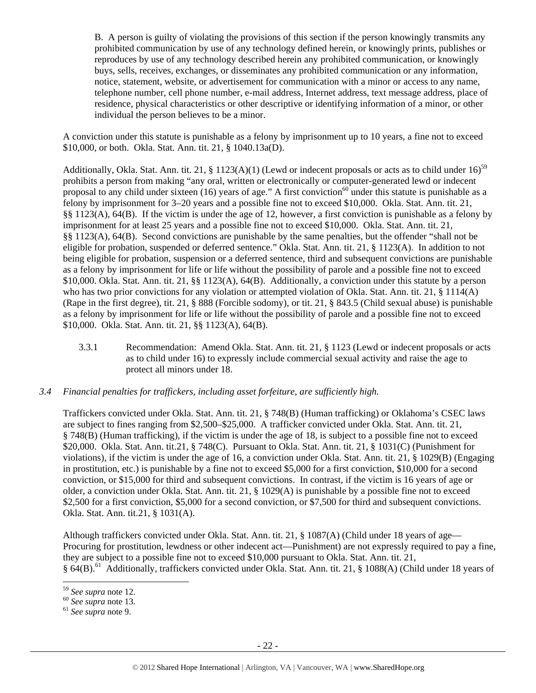B. A person is guilty of violating the provisions of this section if the person knowingly transmits any prohibited communication by use of any technology defined herein, or knowingly prints, publishes or reproduces by use of any technology described herein any prohibited communication, or knowingly buys, sells, receives, exchanges, or disseminates any prohibited communication or any information, notice, statement, website, or advertisement for communication with a minor or access to any name, telephone number, cell phone number, e-mail address, Internet address, text message address, place of residence, physical characteristics or other descriptive or identifying information of a minor, or other individual the person believes to be a minor.

A conviction under this statute is punishable as a felony by imprisonment up to 10 years, a fine not to exceed \$10,000, or both. Okla. Stat. Ann. tit. 21, § 1040.13a(D).

Additionally, Okla. Stat. Ann. tit. 21, § 1123(A)(1) (Lewd or indecent proposals or acts as to child under  $16$ )<sup>59</sup> prohibits a person from making "any oral, written or electronically or computer-generated lewd or indecent proposal to any child under sixteen (16) years of age." A first conviction<sup>60</sup> under this statute is punishable as a felony by imprisonment for 3–20 years and a possible fine not to exceed \$10,000. Okla. Stat. Ann. tit. 21, §§ 1123(A), 64(B). If the victim is under the age of 12, however, a first conviction is punishable as a felony by imprisonment for at least 25 years and a possible fine not to exceed \$10,000. Okla. Stat. Ann. tit. 21, §§ 1123(A), 64(B). Second convictions are punishable by the same penalties, but the offender "shall not be eligible for probation, suspended or deferred sentence." Okla. Stat. Ann. tit. 21, § 1123(A). In addition to not being eligible for probation, suspension or a deferred sentence, third and subsequent convictions are punishable as a felony by imprisonment for life or life without the possibility of parole and a possible fine not to exceed \$10,000. Okla. Stat. Ann. tit. 21, §§ 1123(A), 64(B). Additionally, a conviction under this statute by a person who has two prior convictions for any violation or attempted violation of Okla. Stat. Ann. tit. 21, § 1114(A) (Rape in the first degree), tit. 21, § 888 (Forcible sodomy), or tit. 21, § 843.5 (Child sexual abuse) is punishable as a felony by imprisonment for life or life without the possibility of parole and a possible fine not to exceed \$10,000. Okla. Stat. Ann. tit. 21, §§ 1123(A), 64(B).

3.3.1 Recommendation: Amend Okla. Stat. Ann. tit. 21, § 1123 (Lewd or indecent proposals or acts as to child under 16) to expressly include commercial sexual activity and raise the age to protect all minors under 18.

## *3.4 Financial penalties for traffickers, including asset forfeiture, are sufficiently high.*

Traffickers convicted under Okla. Stat. Ann. tit. 21, § 748(B) (Human trafficking) or Oklahoma's CSEC laws are subject to fines ranging from \$2,500–\$25,000. A trafficker convicted under Okla. Stat. Ann. tit. 21, § 748(B) (Human trafficking), if the victim is under the age of 18, is subject to a possible fine not to exceed \$20,000. Okla. Stat. Ann. tit.21, § 748(C). Pursuant to Okla. Stat. Ann. tit. 21, § 1031(C) (Punishment for violations), if the victim is under the age of 16, a conviction under Okla. Stat. Ann. tit. 21, § 1029(B) (Engaging in prostitution, etc.) is punishable by a fine not to exceed \$5,000 for a first conviction, \$10,000 for a second conviction, or \$15,000 for third and subsequent convictions. In contrast, if the victim is 16 years of age or older, a conviction under Okla. Stat. Ann. tit. 21, § 1029(A) is punishable by a possible fine not to exceed \$2,500 for a first conviction, \$5,000 for a second conviction, or \$7,500 for third and subsequent convictions. Okla. Stat. Ann. tit.21, § 1031(A).

Although traffickers convicted under Okla. Stat. Ann. tit. 21, § 1087(A) (Child under 18 years of age— Procuring for prostitution, lewdness or other indecent act—Punishment) are not expressly required to pay a fine, they are subject to a possible fine not to exceed \$10,000 pursuant to Okla. Stat. Ann. tit. 21, § 64(B).<sup>61</sup> Additionally, traffickers convicted under Okla. Stat. Ann. tit. 21, § 1088(A) (Child under 18 years of

 <sup>59</sup> *See supra* note 12. 60 *See supra* note 13. 61 *See supra* note 9.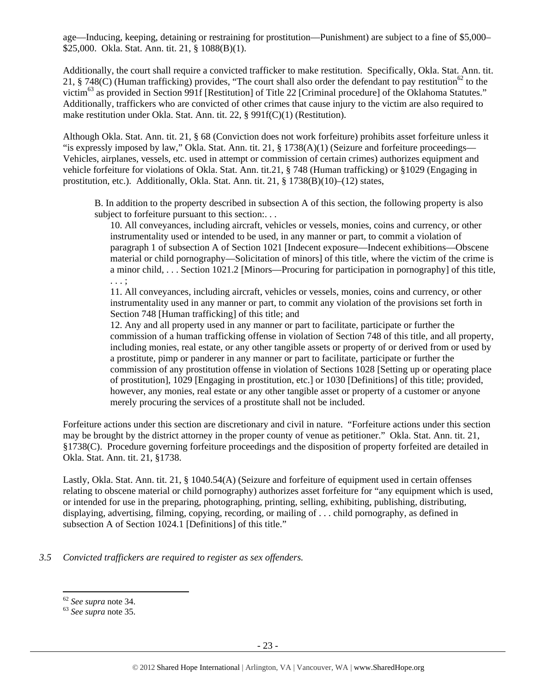age—Inducing, keeping, detaining or restraining for prostitution—Punishment) are subject to a fine of \$5,000– \$25,000. Okla. Stat. Ann. tit. 21, § 1088(B)(1).

Additionally, the court shall require a convicted trafficker to make restitution. Specifically, Okla. Stat. Ann. tit. 21, § 748(C) (Human trafficking) provides, "The court shall also order the defendant to pay restitution<sup>62</sup> to the victim<sup>63</sup> as provided in Section 991f [Restitution] of Title 22 [Criminal procedure] of the Oklahoma Statutes." Additionally, traffickers who are convicted of other crimes that cause injury to the victim are also required to make restitution under Okla. Stat. Ann. tit. 22, § 991f(C)(1) (Restitution).

Although Okla. Stat. Ann. tit. 21, § 68 (Conviction does not work forfeiture) prohibits asset forfeiture unless it "is expressly imposed by law," Okla. Stat. Ann. tit. 21, § 1738(A)(1) (Seizure and forfeiture proceedings— Vehicles, airplanes, vessels, etc. used in attempt or commission of certain crimes) authorizes equipment and vehicle forfeiture for violations of Okla. Stat. Ann. tit.21, § 748 (Human trafficking) or §1029 (Engaging in prostitution, etc.). Additionally, Okla. Stat. Ann. tit. 21, § 1738(B)(10)–(12) states,

B. In addition to the property described in subsection A of this section, the following property is also subject to forfeiture pursuant to this section:...

10. All conveyances, including aircraft, vehicles or vessels, monies, coins and currency, or other instrumentality used or intended to be used, in any manner or part, to commit a violation of paragraph 1 of subsection A of Section 1021 [Indecent exposure—Indecent exhibitions—Obscene material or child pornography—Solicitation of minors] of this title, where the victim of the crime is a minor child, . . . Section 1021.2 [Minors—Procuring for participation in pornography] of this title, . . . ;

11. All conveyances, including aircraft, vehicles or vessels, monies, coins and currency, or other instrumentality used in any manner or part, to commit any violation of the provisions set forth in Section 748 [Human trafficking] of this title; and

12. Any and all property used in any manner or part to facilitate, participate or further the commission of a human trafficking offense in violation of Section 748 of this title, and all property, including monies, real estate, or any other tangible assets or property of or derived from or used by a prostitute, pimp or panderer in any manner or part to facilitate, participate or further the commission of any prostitution offense in violation of Sections 1028 [Setting up or operating place of prostitution], 1029 [Engaging in prostitution, etc.] or 1030 [Definitions] of this title; provided, however, any monies, real estate or any other tangible asset or property of a customer or anyone merely procuring the services of a prostitute shall not be included.

Forfeiture actions under this section are discretionary and civil in nature. "Forfeiture actions under this section may be brought by the district attorney in the proper county of venue as petitioner." Okla. Stat. Ann. tit. 21, §1738(C). Procedure governing forfeiture proceedings and the disposition of property forfeited are detailed in Okla. Stat. Ann. tit. 21, §1738.

Lastly, Okla. Stat. Ann. tit. 21, § 1040.54(A) (Seizure and forfeiture of equipment used in certain offenses relating to obscene material or child pornography) authorizes asset forfeiture for "any equipment which is used, or intended for use in the preparing, photographing, printing, selling, exhibiting, publishing, distributing, displaying, advertising, filming, copying, recording, or mailing of . . . child pornography, as defined in subsection A of Section 1024.1 [Definitions] of this title."

#### *3.5 Convicted traffickers are required to register as sex offenders.*

<sup>62</sup> *See supra* note 34. 63 *See supra* note 35.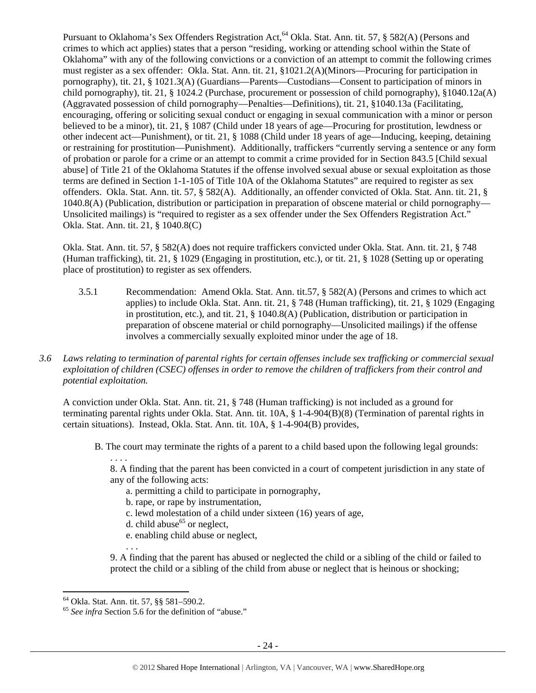Pursuant to Oklahoma's Sex Offenders Registration Act,<sup>64</sup> Okla. Stat. Ann. tit. 57, § 582(A) (Persons and crimes to which act applies) states that a person "residing, working or attending school within the State of Oklahoma" with any of the following convictions or a conviction of an attempt to commit the following crimes must register as a sex offender: Okla. Stat. Ann. tit. 21, §1021.2(A)(Minors—Procuring for participation in pornography), tit. 21, § 1021.3(A) (Guardians—Parents—Custodians—Consent to participation of minors in child pornography), tit. 21, § 1024.2 (Purchase, procurement or possession of child pornography), §1040.12a(A) (Aggravated possession of child pornography—Penalties—Definitions), tit. 21, §1040.13a (Facilitating, encouraging, offering or soliciting sexual conduct or engaging in sexual communication with a minor or person believed to be a minor), tit. 21, § 1087 (Child under 18 years of age—Procuring for prostitution, lewdness or other indecent act—Punishment), or tit. 21, § 1088 (Child under 18 years of age—Inducing, keeping, detaining or restraining for prostitution—Punishment). Additionally, traffickers "currently serving a sentence or any form of probation or parole for a crime or an attempt to commit a crime provided for in Section 843.5 [Child sexual abuse] of Title 21 of the Oklahoma Statutes if the offense involved sexual abuse or sexual exploitation as those terms are defined in Section 1-1-105 of Title 10A of the Oklahoma Statutes" are required to register as sex offenders. Okla. Stat. Ann. tit. 57, § 582(A). Additionally, an offender convicted of Okla. Stat. Ann. tit. 21, § 1040.8(A) (Publication, distribution or participation in preparation of obscene material or child pornography— Unsolicited mailings) is "required to register as a sex offender under the Sex Offenders Registration Act." Okla. Stat. Ann. tit. 21, § 1040.8(C)

Okla. Stat. Ann. tit. 57, § 582(A) does not require traffickers convicted under Okla. Stat. Ann. tit. 21, § 748 (Human trafficking), tit. 21, § 1029 (Engaging in prostitution, etc.), or tit. 21, § 1028 (Setting up or operating place of prostitution) to register as sex offenders.

- 3.5.1 Recommendation: Amend Okla. Stat. Ann. tit.57, § 582(A) (Persons and crimes to which act applies) to include Okla. Stat. Ann. tit. 21, § 748 (Human trafficking), tit. 21, § 1029 (Engaging in prostitution, etc.), and tit. 21, § 1040.8(A) (Publication, distribution or participation in preparation of obscene material or child pornography—Unsolicited mailings) if the offense involves a commercially sexually exploited minor under the age of 18.
- *3.6 Laws relating to termination of parental rights for certain offenses include sex trafficking or commercial sexual exploitation of children (CSEC) offenses in order to remove the children of traffickers from their control and potential exploitation.*

A conviction under Okla. Stat. Ann. tit. 21, § 748 (Human trafficking) is not included as a ground for terminating parental rights under Okla. Stat. Ann. tit. 10A, § 1-4-904(B)(8) (Termination of parental rights in certain situations). Instead, Okla. Stat. Ann. tit. 10A, § 1-4-904(B) provides,

B. The court may terminate the rights of a parent to a child based upon the following legal grounds:

. . . . 8. A finding that the parent has been convicted in a court of competent jurisdiction in any state of any of the following acts:

- a. permitting a child to participate in pornography,
- b. rape, or rape by instrumentation,
- c. lewd molestation of a child under sixteen (16) years of age,
- d. child abuse<sup>65</sup> or neglect,
- e. enabling child abuse or neglect,
- . . .

9. A finding that the parent has abused or neglected the child or a sibling of the child or failed to protect the child or a sibling of the child from abuse or neglect that is heinous or shocking;

 64 Okla. Stat. Ann. tit. 57, §§ 581–590.2.

<sup>65</sup> *See infra* Section 5.6 for the definition of "abuse."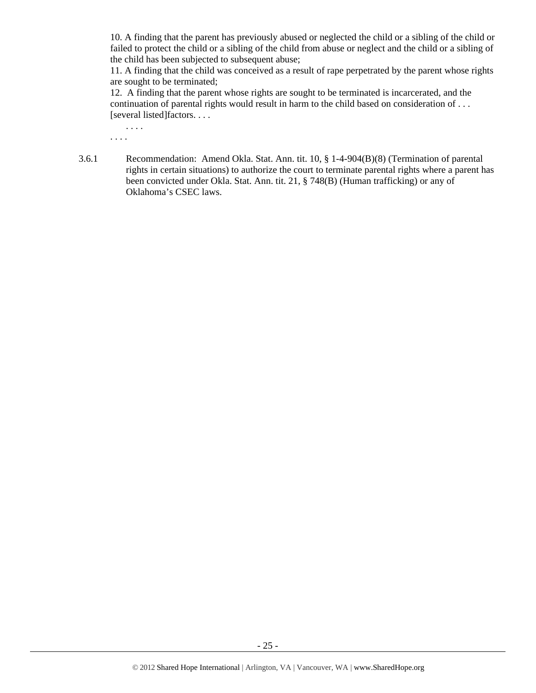10. A finding that the parent has previously abused or neglected the child or a sibling of the child or failed to protect the child or a sibling of the child from abuse or neglect and the child or a sibling of the child has been subjected to subsequent abuse;

11. A finding that the child was conceived as a result of rape perpetrated by the parent whose rights are sought to be terminated;

12. A finding that the parent whose rights are sought to be terminated is incarcerated, and the continuation of parental rights would result in harm to the child based on consideration of . . . [several listed]factors. . . .

. . . . . . . .

3.6.1 Recommendation: Amend Okla. Stat. Ann. tit. 10, § 1-4-904(B)(8) (Termination of parental rights in certain situations) to authorize the court to terminate parental rights where a parent has been convicted under Okla. Stat. Ann. tit. 21, § 748(B) (Human trafficking) or any of Oklahoma's CSEC laws.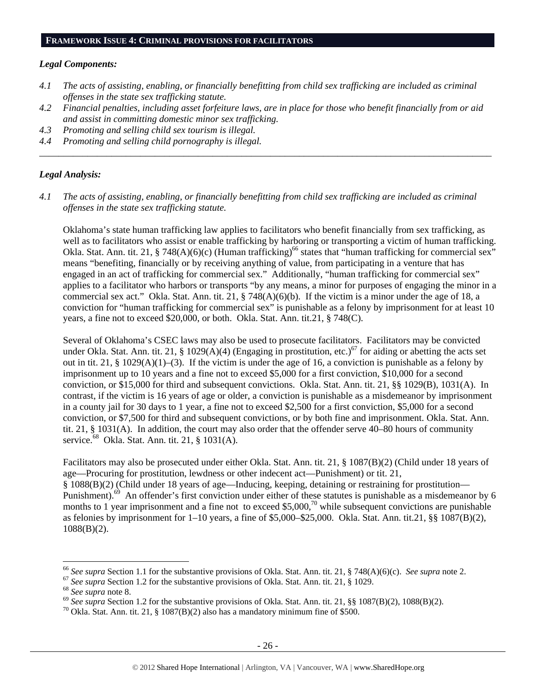#### *Legal Components:*

- *4.1 The acts of assisting, enabling, or financially benefitting from child sex trafficking are included as criminal offenses in the state sex trafficking statute.*
- *4.2 Financial penalties, including asset forfeiture laws, are in place for those who benefit financially from or aid and assist in committing domestic minor sex trafficking.*

*\_\_\_\_\_\_\_\_\_\_\_\_\_\_\_\_\_\_\_\_\_\_\_\_\_\_\_\_\_\_\_\_\_\_\_\_\_\_\_\_\_\_\_\_\_\_\_\_\_\_\_\_\_\_\_\_\_\_\_\_\_\_\_\_\_\_\_\_\_\_\_\_\_\_\_\_\_\_\_\_\_\_\_\_\_\_\_\_\_\_\_\_\_\_* 

- *4.3 Promoting and selling child sex tourism is illegal.*
- *4.4 Promoting and selling child pornography is illegal.*

#### *Legal Analysis:*

*4.1 The acts of assisting, enabling, or financially benefitting from child sex trafficking are included as criminal offenses in the state sex trafficking statute.* 

Oklahoma's state human trafficking law applies to facilitators who benefit financially from sex trafficking, as well as to facilitators who assist or enable trafficking by harboring or transporting a victim of human trafficking. Okla. Stat. Ann. tit. 21, § 748(A)(6)(c) (Human trafficking)<sup>66</sup> states that "human trafficking for commercial sex" means "benefiting, financially or by receiving anything of value, from participating in a venture that has engaged in an act of trafficking for commercial sex." Additionally, "human trafficking for commercial sex" applies to a facilitator who harbors or transports "by any means, a minor for purposes of engaging the minor in a commercial sex act." Okla. Stat. Ann. tit. 21, § 748(A)(6)(b). If the victim is a minor under the age of 18, a conviction for "human trafficking for commercial sex" is punishable as a felony by imprisonment for at least 10 years, a fine not to exceed \$20,000, or both. Okla. Stat. Ann. tit.21, § 748(C).

Several of Oklahoma's CSEC laws may also be used to prosecute facilitators. Facilitators may be convicted under Okla. Stat. Ann. tit. 21, § 1029(A)(4) (Engaging in prostitution, etc.)<sup>67</sup> for aiding or abetting the acts set out in tit. 21, § 1029(A)(1)–(3). If the victim is under the age of 16, a conviction is punishable as a felony by imprisonment up to 10 years and a fine not to exceed \$5,000 for a first conviction, \$10,000 for a second conviction, or \$15,000 for third and subsequent convictions. Okla. Stat. Ann. tit. 21, §§ 1029(B), 1031(A). In contrast, if the victim is 16 years of age or older, a conviction is punishable as a misdemeanor by imprisonment in a county jail for 30 days to 1 year, a fine not to exceed \$2,500 for a first conviction, \$5,000 for a second conviction, or \$7,500 for third and subsequent convictions, or by both fine and imprisonment. Okla. Stat. Ann. tit. 21, § 1031(A). In addition, the court may also order that the offender serve 40–80 hours of community service.<sup>68</sup> Okla. Stat. Ann. tit. 21, § 1031(A).

Facilitators may also be prosecuted under either Okla. Stat. Ann. tit. 21, § 1087(B)(2) (Child under 18 years of age—Procuring for prostitution, lewdness or other indecent act—Punishment) or tit. 21, § 1088(B)(2) (Child under 18 years of age—Inducing, keeping, detaining or restraining for prostitution— Punishment).<sup>69</sup> An offender's first conviction under either of these statutes is punishable as a misdemeanor by 6 months to 1 year imprisonment and a fine not to exceed \$5,000,<sup>70</sup> while subsequent convictions are punishable as felonies by imprisonment for 1–10 years, a fine of \$5,000–\$25,000. Okla. Stat. Ann. tit.21, §§ 1087(B)(2), 1088(B)(2).

<sup>&</sup>lt;sup>66</sup> See supra Section 1.1 for the substantive provisions of Okla. Stat. Ann. tit. 21, § 748(A)(6)(c). *See supra* note 2.<br><sup>67</sup> See supra Section 1.2 for the substantive provisions of Okla. Stat. Ann. tit. 21, § 1029.<br><sup>68</sup>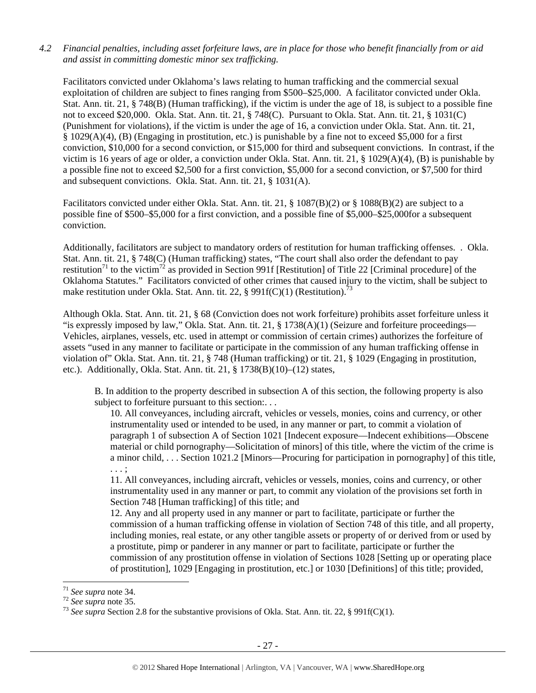## *4.2 Financial penalties, including asset forfeiture laws, are in place for those who benefit financially from or aid and assist in committing domestic minor sex trafficking.*

Facilitators convicted under Oklahoma's laws relating to human trafficking and the commercial sexual exploitation of children are subject to fines ranging from \$500–\$25,000. A facilitator convicted under Okla. Stat. Ann. tit. 21, § 748(B) (Human trafficking), if the victim is under the age of 18, is subject to a possible fine not to exceed \$20,000. Okla. Stat. Ann. tit. 21, § 748(C). Pursuant to Okla. Stat. Ann. tit. 21, § 1031(C) (Punishment for violations), if the victim is under the age of 16, a conviction under Okla. Stat. Ann. tit. 21, § 1029(A)(4), (B) (Engaging in prostitution, etc.) is punishable by a fine not to exceed \$5,000 for a first conviction, \$10,000 for a second conviction, or \$15,000 for third and subsequent convictions. In contrast, if the victim is 16 years of age or older, a conviction under Okla. Stat. Ann. tit. 21, § 1029(A)(4), (B) is punishable by a possible fine not to exceed \$2,500 for a first conviction, \$5,000 for a second conviction, or \$7,500 for third and subsequent convictions. Okla. Stat. Ann. tit. 21, § 1031(A).

Facilitators convicted under either Okla. Stat. Ann. tit. 21, § 1087(B)(2) or § 1088(B)(2) are subject to a possible fine of \$500–\$5,000 for a first conviction, and a possible fine of \$5,000–\$25,000for a subsequent conviction.

Additionally, facilitators are subject to mandatory orders of restitution for human trafficking offenses. . Okla. Stat. Ann. tit. 21, § 748(C) (Human trafficking) states, "The court shall also order the defendant to pay restitution<sup>71</sup> to the victim<sup>72</sup> as provided in Section 991f [Restitution] of Title 22 [Criminal procedure] of the Oklahoma Statutes." Facilitators convicted of other crimes that caused injury to the victim, shall be subject to make restitution under Okla. Stat. Ann. tit. 22, § 991f(C)(1) (Restitution).<sup>73</sup>

Although Okla. Stat. Ann. tit. 21, § 68 (Conviction does not work forfeiture) prohibits asset forfeiture unless it "is expressly imposed by law," Okla. Stat. Ann. tit. 21,  $\S$  1738(A)(1) (Seizure and forfeiture proceedings— Vehicles, airplanes, vessels, etc. used in attempt or commission of certain crimes) authorizes the forfeiture of assets "used in any manner to facilitate or participate in the commission of any human trafficking offense in violation of" Okla. Stat. Ann. tit. 21, § 748 (Human trafficking) or tit. 21, § 1029 (Engaging in prostitution, etc.). Additionally, Okla. Stat. Ann. tit. 21, § 1738(B)(10)–(12) states,

B. In addition to the property described in subsection A of this section, the following property is also subject to forfeiture pursuant to this section:...

10. All conveyances, including aircraft, vehicles or vessels, monies, coins and currency, or other instrumentality used or intended to be used, in any manner or part, to commit a violation of paragraph 1 of subsection A of Section 1021 [Indecent exposure—Indecent exhibitions—Obscene material or child pornography—Solicitation of minors] of this title, where the victim of the crime is a minor child, . . . Section 1021.2 [Minors—Procuring for participation in pornography] of this title, . . . ;

11. All conveyances, including aircraft, vehicles or vessels, monies, coins and currency, or other instrumentality used in any manner or part, to commit any violation of the provisions set forth in Section 748 [Human trafficking] of this title; and

12. Any and all property used in any manner or part to facilitate, participate or further the commission of a human trafficking offense in violation of Section 748 of this title, and all property, including monies, real estate, or any other tangible assets or property of or derived from or used by a prostitute, pimp or panderer in any manner or part to facilitate, participate or further the commission of any prostitution offense in violation of Sections 1028 [Setting up or operating place of prostitution], 1029 [Engaging in prostitution, etc.] or 1030 [Definitions] of this title; provided,

<sup>&</sup>lt;sup>71</sup> *See supra* note 34.<br><sup>72</sup> *See supra* note 35.<br><sup>73</sup> *See supra* Section 2.8 for the substantive provisions of Okla. Stat. Ann. tit. 22, § 991f(C)(1).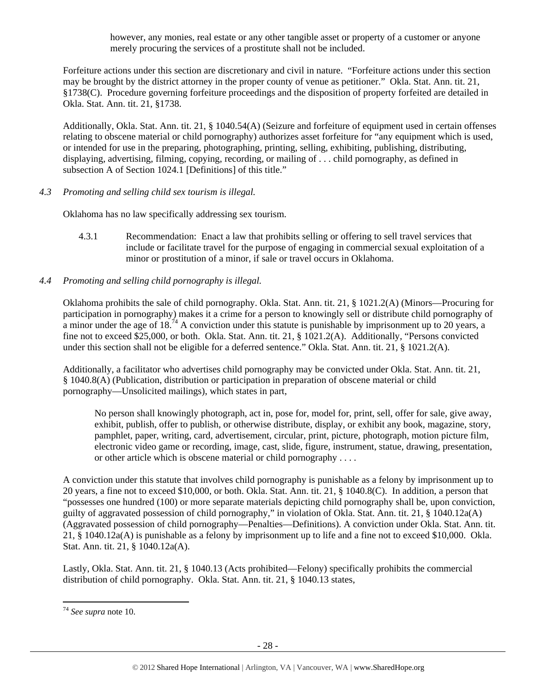however, any monies, real estate or any other tangible asset or property of a customer or anyone merely procuring the services of a prostitute shall not be included.

Forfeiture actions under this section are discretionary and civil in nature. "Forfeiture actions under this section may be brought by the district attorney in the proper county of venue as petitioner." Okla. Stat. Ann. tit. 21, §1738(C). Procedure governing forfeiture proceedings and the disposition of property forfeited are detailed in Okla. Stat. Ann. tit. 21, §1738.

Additionally, Okla. Stat. Ann. tit. 21, § 1040.54(A) (Seizure and forfeiture of equipment used in certain offenses relating to obscene material or child pornography) authorizes asset forfeiture for "any equipment which is used, or intended for use in the preparing, photographing, printing, selling, exhibiting, publishing, distributing, displaying, advertising, filming, copying, recording, or mailing of . . . child pornography, as defined in subsection A of Section 1024.1 [Definitions] of this title."

*4.3 Promoting and selling child sex tourism is illegal.* 

Oklahoma has no law specifically addressing sex tourism.

- 4.3.1 Recommendation: Enact a law that prohibits selling or offering to sell travel services that include or facilitate travel for the purpose of engaging in commercial sexual exploitation of a minor or prostitution of a minor, if sale or travel occurs in Oklahoma.
- *4.4 Promoting and selling child pornography is illegal.*

Oklahoma prohibits the sale of child pornography. Okla. Stat. Ann. tit. 21, § 1021.2(A) (Minors—Procuring for participation in pornography) makes it a crime for a person to knowingly sell or distribute child pornography of a minor under the age of 18.74 A conviction under this statute is punishable by imprisonment up to 20 years, a fine not to exceed \$25,000, or both. Okla. Stat. Ann. tit. 21, § 1021.2(A). Additionally, "Persons convicted under this section shall not be eligible for a deferred sentence." Okla. Stat. Ann. tit. 21, § 1021.2(A).

Additionally, a facilitator who advertises child pornography may be convicted under Okla. Stat. Ann. tit. 21, § 1040.8(A) (Publication, distribution or participation in preparation of obscene material or child pornography—Unsolicited mailings), which states in part,

No person shall knowingly photograph, act in, pose for, model for, print, sell, offer for sale, give away, exhibit, publish, offer to publish, or otherwise distribute, display, or exhibit any book, magazine, story, pamphlet, paper, writing, card, advertisement, circular, print, picture, photograph, motion picture film, electronic video game or recording, image, cast, slide, figure, instrument, statue, drawing, presentation, or other article which is obscene material or child pornography . . . .

A conviction under this statute that involves child pornography is punishable as a felony by imprisonment up to 20 years, a fine not to exceed \$10,000, or both. Okla. Stat. Ann. tit. 21, § 1040.8(C). In addition, a person that "possesses one hundred (100) or more separate materials depicting child pornography shall be, upon conviction, guilty of aggravated possession of child pornography," in violation of Okla. Stat. Ann. tit. 21, § 1040.12a(A) (Aggravated possession of child pornography—Penalties—Definitions). A conviction under Okla. Stat. Ann. tit. 21, § 1040.12a(A) is punishable as a felony by imprisonment up to life and a fine not to exceed \$10,000. Okla. Stat. Ann. tit. 21, § 1040.12a(A).

Lastly, Okla. Stat. Ann. tit. 21, § 1040.13 (Acts prohibited—Felony) specifically prohibits the commercial distribution of child pornography. Okla. Stat. Ann. tit. 21, § 1040.13 states,

<sup>74</sup> *See supra* note 10.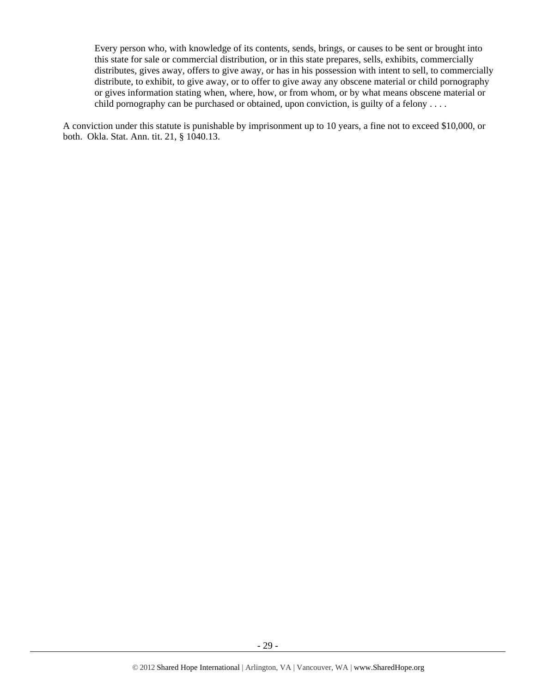Every person who, with knowledge of its contents, sends, brings, or causes to be sent or brought into this state for sale or commercial distribution, or in this state prepares, sells, exhibits, commercially distributes, gives away, offers to give away, or has in his possession with intent to sell, to commercially distribute, to exhibit, to give away, or to offer to give away any obscene material or child pornography or gives information stating when, where, how, or from whom, or by what means obscene material or child pornography can be purchased or obtained, upon conviction, is guilty of a felony . . . .

A conviction under this statute is punishable by imprisonment up to 10 years, a fine not to exceed \$10,000, or both. Okla. Stat. Ann. tit. 21, § 1040.13.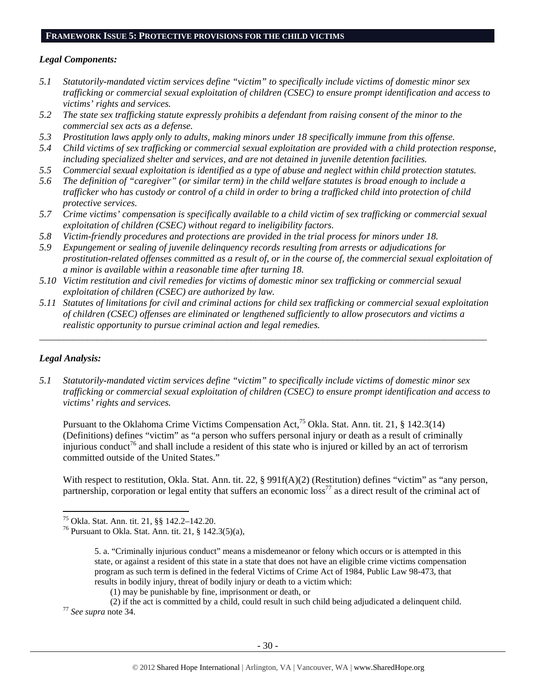## **FRAMEWORK ISSUE 5: PROTECTIVE PROVISIONS FOR THE CHILD VICTIMS**

#### *Legal Components:*

- *5.1 Statutorily-mandated victim services define "victim" to specifically include victims of domestic minor sex trafficking or commercial sexual exploitation of children (CSEC) to ensure prompt identification and access to victims' rights and services.*
- *5.2 The state sex trafficking statute expressly prohibits a defendant from raising consent of the minor to the commercial sex acts as a defense.*
- *5.3 Prostitution laws apply only to adults, making minors under 18 specifically immune from this offense.*
- *5.4 Child victims of sex trafficking or commercial sexual exploitation are provided with a child protection response, including specialized shelter and services, and are not detained in juvenile detention facilities.*
- *5.5 Commercial sexual exploitation is identified as a type of abuse and neglect within child protection statutes.*
- *5.6 The definition of "caregiver" (or similar term) in the child welfare statutes is broad enough to include a trafficker who has custody or control of a child in order to bring a trafficked child into protection of child protective services.*
- *5.7 Crime victims' compensation is specifically available to a child victim of sex trafficking or commercial sexual exploitation of children (CSEC) without regard to ineligibility factors.*
- *5.8 Victim-friendly procedures and protections are provided in the trial process for minors under 18.*
- *5.9 Expungement or sealing of juvenile delinquency records resulting from arrests or adjudications for prostitution-related offenses committed as a result of, or in the course of, the commercial sexual exploitation of a minor is available within a reasonable time after turning 18.*
- *5.10 Victim restitution and civil remedies for victims of domestic minor sex trafficking or commercial sexual exploitation of children (CSEC) are authorized by law.*
- *5.11 Statutes of limitations for civil and criminal actions for child sex trafficking or commercial sexual exploitation of children (CSEC) offenses are eliminated or lengthened sufficiently to allow prosecutors and victims a realistic opportunity to pursue criminal action and legal remedies.*

*\_\_\_\_\_\_\_\_\_\_\_\_\_\_\_\_\_\_\_\_\_\_\_\_\_\_\_\_\_\_\_\_\_\_\_\_\_\_\_\_\_\_\_\_\_\_\_\_\_\_\_\_\_\_\_\_\_\_\_\_\_\_\_\_\_\_\_\_\_\_\_\_\_\_\_\_\_\_\_\_\_\_\_\_\_\_\_\_\_\_\_\_\_* 

## *Legal Analysis:*

*5.1 Statutorily-mandated victim services define "victim" to specifically include victims of domestic minor sex trafficking or commercial sexual exploitation of children (CSEC) to ensure prompt identification and access to victims' rights and services.* 

Pursuant to the Oklahoma Crime Victims Compensation Act,<sup>75</sup> Okla. Stat. Ann. tit. 21, § 142.3(14) (Definitions) defines "victim" as "a person who suffers personal injury or death as a result of criminally injurious conduct<sup>76</sup> and shall include a resident of this state who is injured or killed by an act of terrorism committed outside of the United States."

With respect to restitution, Okla. Stat. Ann. tit. 22, § 991f(A)(2) (Restitution) defines "victim" as "any person, partnership, corporation or legal entity that suffers an economic  $\cos^{77}$  as a direct result of the criminal act of

<sup>75</sup> Okla. Stat. Ann. tit. 21, §§ 142.2–142.20.

<sup>76</sup> Pursuant to Okla. Stat. Ann. tit. 21, § 142.3(5)(a),

<sup>5.</sup> a. "Criminally injurious conduct" means a misdemeanor or felony which occurs or is attempted in this state, or against a resident of this state in a state that does not have an eligible crime victims compensation program as such term is defined in the federal Victims of Crime Act of 1984, Public Law 98-473, that results in bodily injury, threat of bodily injury or death to a victim which:

<sup>(1)</sup> may be punishable by fine, imprisonment or death, or

<sup>(2)</sup> if the act is committed by a child, could result in such child being adjudicated a delinquent child. 77 *See supra* note 34.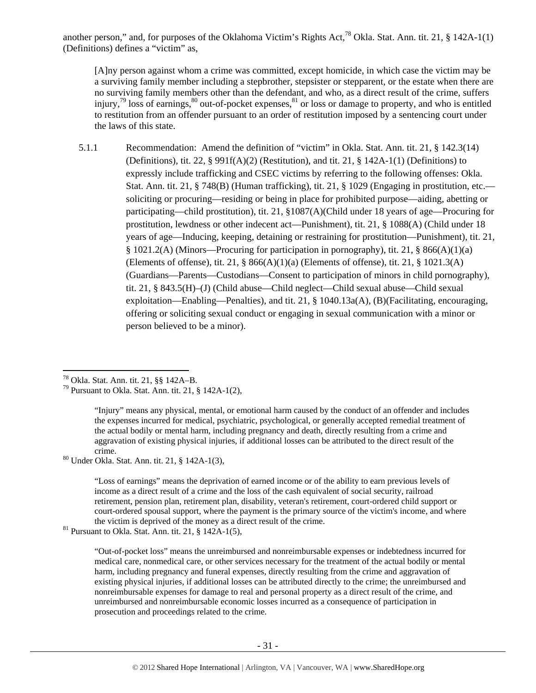another person," and, for purposes of the Oklahoma Victim's Rights Act,<sup>78</sup> Okla. Stat. Ann. tit. 21,  $\S$  142A-1(1) (Definitions) defines a "victim" as,

[A]ny person against whom a crime was committed, except homicide, in which case the victim may be a surviving family member including a stepbrother, stepsister or stepparent, or the estate when there are no surviving family members other than the defendant, and who, as a direct result of the crime, suffers injury,<sup>79</sup> loss of earnings, $80$  out-of-pocket expenses, $81$  or loss or damage to property, and who is entitled to restitution from an offender pursuant to an order of restitution imposed by a sentencing court under the laws of this state.

5.1.1 Recommendation: Amend the definition of "victim" in Okla. Stat. Ann. tit. 21, § 142.3(14) (Definitions), tit. 22, § 991f(A)(2) (Restitution), and tit. 21, § 142A-1(1) (Definitions) to expressly include trafficking and CSEC victims by referring to the following offenses: Okla. Stat. Ann. tit. 21, § 748(B) (Human trafficking), tit. 21, § 1029 (Engaging in prostitution, etc. soliciting or procuring—residing or being in place for prohibited purpose—aiding, abetting or participating—child prostitution), tit. 21, §1087(A)(Child under 18 years of age—Procuring for prostitution, lewdness or other indecent act—Punishment), tit. 21, § 1088(A) (Child under 18 years of age—Inducing, keeping, detaining or restraining for prostitution—Punishment), tit. 21, § 1021.2(A) (Minors—Procuring for participation in pornography), tit. 21, § 866(A)(1)(a) (Elements of offense), tit. 21,  $\S$  866(A)(1)(a) (Elements of offense), tit. 21,  $\S$  1021.3(A) (Guardians—Parents—Custodians—Consent to participation of minors in child pornography), tit. 21, § 843.5(H)–(J) (Child abuse—Child neglect—Child sexual abuse—Child sexual exploitation—Enabling—Penalties), and tit. 21, § 1040.13a(A), (B)(Facilitating, encouraging, offering or soliciting sexual conduct or engaging in sexual communication with a minor or person believed to be a minor).

erime.<br><sup>80</sup> Under Okla. Stat. Ann. tit. 21, § 142A-1(3),

"Loss of earnings" means the deprivation of earned income or of the ability to earn previous levels of income as a direct result of a crime and the loss of the cash equivalent of social security, railroad retirement, pension plan, retirement plan, disability, veteran's retirement, court-ordered child support or court-ordered spousal support, where the payment is the primary source of the victim's income, and where the victim is deprived of the money as a direct result of the crime. <sup>81</sup> Pursuant to Okla. Stat. Ann. tit. 21, § 142A-1(5),

 78 Okla. Stat. Ann. tit. 21, §§ 142A–B.

<sup>&</sup>lt;sup>79</sup> Pursuant to Okla. Stat. Ann. tit. 21, § 142A-1(2),

<sup>&</sup>quot;Injury" means any physical, mental, or emotional harm caused by the conduct of an offender and includes the expenses incurred for medical, psychiatric, psychological, or generally accepted remedial treatment of the actual bodily or mental harm, including pregnancy and death, directly resulting from a crime and aggravation of existing physical injuries, if additional losses can be attributed to the direct result of the

<sup>&</sup>quot;Out-of-pocket loss" means the unreimbursed and nonreimbursable expenses or indebtedness incurred for medical care, nonmedical care, or other services necessary for the treatment of the actual bodily or mental harm, including pregnancy and funeral expenses, directly resulting from the crime and aggravation of existing physical injuries, if additional losses can be attributed directly to the crime; the unreimbursed and nonreimbursable expenses for damage to real and personal property as a direct result of the crime, and unreimbursed and nonreimbursable economic losses incurred as a consequence of participation in prosecution and proceedings related to the crime.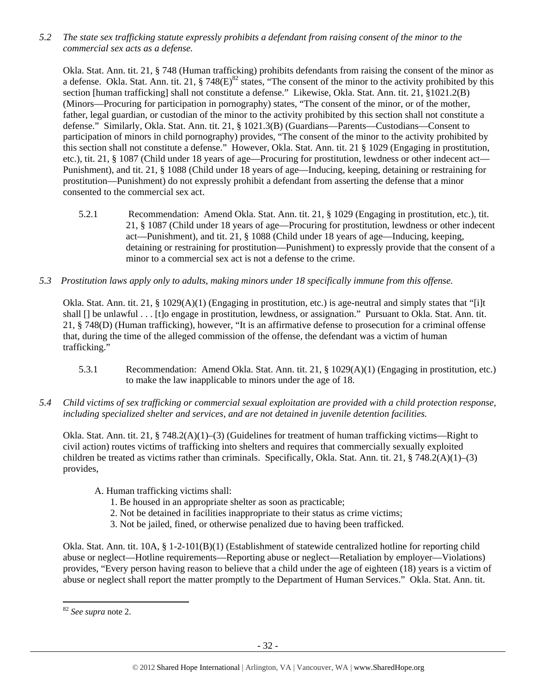*5.2 The state sex trafficking statute expressly prohibits a defendant from raising consent of the minor to the commercial sex acts as a defense.* 

Okla. Stat. Ann. tit. 21, § 748 (Human trafficking) prohibits defendants from raising the consent of the minor as a defense. Okla. Stat. Ann. tit. 21, § 748(E)<sup>82</sup> states, "The consent of the minor to the activity prohibited by this section [human trafficking] shall not constitute a defense." Likewise, Okla. Stat. Ann. tit. 21, §1021.2(B) (Minors—Procuring for participation in pornography) states, "The consent of the minor, or of the mother, father, legal guardian, or custodian of the minor to the activity prohibited by this section shall not constitute a defense." Similarly, Okla. Stat. Ann. tit. 21, § 1021.3(B) (Guardians—Parents—Custodians—Consent to participation of minors in child pornography) provides, "The consent of the minor to the activity prohibited by this section shall not constitute a defense." However, Okla. Stat. Ann. tit. 21 § 1029 (Engaging in prostitution, etc.), tit. 21, § 1087 (Child under 18 years of age—Procuring for prostitution, lewdness or other indecent act— Punishment), and tit. 21, § 1088 (Child under 18 years of age—Inducing, keeping, detaining or restraining for prostitution—Punishment) do not expressly prohibit a defendant from asserting the defense that a minor consented to the commercial sex act.

- 5.2.1 Recommendation: Amend Okla. Stat. Ann. tit. 21, § 1029 (Engaging in prostitution, etc.), tit. 21, § 1087 (Child under 18 years of age—Procuring for prostitution, lewdness or other indecent act—Punishment), and tit. 21, § 1088 (Child under 18 years of age—Inducing, keeping, detaining or restraining for prostitution—Punishment) to expressly provide that the consent of a minor to a commercial sex act is not a defense to the crime.
- *5.3 Prostitution laws apply only to adults, making minors under 18 specifically immune from this offense.*

Okla. Stat. Ann. tit. 21, § 1029(A)(1) (Engaging in prostitution, etc.) is age-neutral and simply states that "[i]t shall [] be unlawful . . . [t]o engage in prostitution, lewdness, or assignation." Pursuant to Okla. Stat. Ann. tit. 21, § 748(D) (Human trafficking), however, "It is an affirmative defense to prosecution for a criminal offense that, during the time of the alleged commission of the offense, the defendant was a victim of human trafficking."

- 5.3.1 Recommendation: Amend Okla. Stat. Ann. tit. 21, § 1029(A)(1) (Engaging in prostitution, etc.) to make the law inapplicable to minors under the age of 18.
- *5.4 Child victims of sex trafficking or commercial sexual exploitation are provided with a child protection response, including specialized shelter and services, and are not detained in juvenile detention facilities.*

Okla. Stat. Ann. tit. 21, § 748.2(A)(1)–(3) (Guidelines for treatment of human trafficking victims—Right to civil action) routes victims of trafficking into shelters and requires that commercially sexually exploited children be treated as victims rather than criminals. Specifically, Okla. Stat. Ann. tit. 21, § 748.2(A)(1)–(3) provides,

- A. Human trafficking victims shall:
	- 1. Be housed in an appropriate shelter as soon as practicable;
	- 2. Not be detained in facilities inappropriate to their status as crime victims;
	- 3. Not be jailed, fined, or otherwise penalized due to having been trafficked.

Okla. Stat. Ann. tit. 10A, § 1-2-101(B)(1) (Establishment of statewide centralized hotline for reporting child abuse or neglect—Hotline requirements—Reporting abuse or neglect—Retaliation by employer—Violations) provides, "Every person having reason to believe that a child under the age of eighteen (18) years is a victim of abuse or neglect shall report the matter promptly to the Department of Human Services." Okla. Stat. Ann. tit.

<sup>82</sup> *See supra* note 2.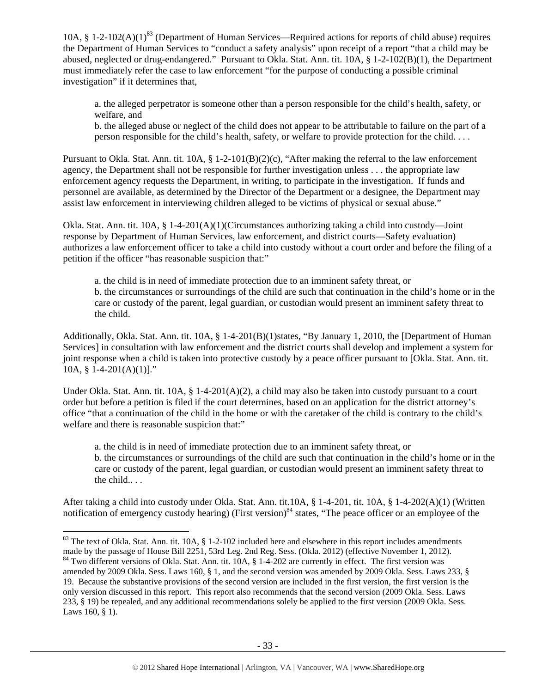10A,  $\S$  1-2-102(A)(1)<sup>83</sup> (Department of Human Services—Required actions for reports of child abuse) requires the Department of Human Services to "conduct a safety analysis" upon receipt of a report "that a child may be abused, neglected or drug-endangered." Pursuant to Okla. Stat. Ann. tit. 10A, § 1-2-102(B)(1), the Department must immediately refer the case to law enforcement "for the purpose of conducting a possible criminal investigation" if it determines that,

a. the alleged perpetrator is someone other than a person responsible for the child's health, safety, or welfare, and

b. the alleged abuse or neglect of the child does not appear to be attributable to failure on the part of a person responsible for the child's health, safety, or welfare to provide protection for the child. . . .

Pursuant to Okla. Stat. Ann. tit. 10A, § 1-2-101(B)(2)(c), "After making the referral to the law enforcement agency, the Department shall not be responsible for further investigation unless . . . the appropriate law enforcement agency requests the Department, in writing, to participate in the investigation. If funds and personnel are available, as determined by the Director of the Department or a designee, the Department may assist law enforcement in interviewing children alleged to be victims of physical or sexual abuse."

Okla. Stat. Ann. tit. 10A, § 1-4-201(A)(1)(Circumstances authorizing taking a child into custody—Joint response by Department of Human Services, law enforcement, and district courts—Safety evaluation) authorizes a law enforcement officer to take a child into custody without a court order and before the filing of a petition if the officer "has reasonable suspicion that:"

a. the child is in need of immediate protection due to an imminent safety threat, or b. the circumstances or surroundings of the child are such that continuation in the child's home or in the care or custody of the parent, legal guardian, or custodian would present an imminent safety threat to the child.

Additionally, Okla. Stat. Ann. tit. 10A, § 1-4-201(B)(1)states, "By January 1, 2010, the [Department of Human Services] in consultation with law enforcement and the district courts shall develop and implement a system for joint response when a child is taken into protective custody by a peace officer pursuant to [Okla. Stat. Ann. tit. 10A, § 1-4-201(A)(1)]."

Under Okla. Stat. Ann. tit.  $10A$ , §  $1-4-201(A)(2)$ , a child may also be taken into custody pursuant to a court order but before a petition is filed if the court determines, based on an application for the district attorney's office "that a continuation of the child in the home or with the caretaker of the child is contrary to the child's welfare and there is reasonable suspicion that:"

a. the child is in need of immediate protection due to an imminent safety threat, or b. the circumstances or surroundings of the child are such that continuation in the child's home or in the care or custody of the parent, legal guardian, or custodian would present an imminent safety threat to the child.. . .

After taking a child into custody under Okla. Stat. Ann. tit.10A, § 1-4-201, tit. 10A, § 1-4-202(A)(1) (Written notification of emergency custody hearing) (First version)<sup>84</sup> states, "The peace officer or an employee of the

  $83$  The text of Okla. Stat. Ann. tit. 10A, § 1-2-102 included here and elsewhere in this report includes amendments made by the passage of House Bill 2251, 53rd Leg. 2nd Reg. Sess. (Okla. 2012) (effective November 1, 2012). 84 Two different versions of Okla. Stat. Ann. tit. 10A, § 1-4-202 are currently in effect. The first version was

amended by 2009 Okla. Sess. Laws 160, § 1, and the second version was amended by 2009 Okla. Sess. Laws 233, § 19. Because the substantive provisions of the second version are included in the first version, the first version is the only version discussed in this report. This report also recommends that the second version (2009 Okla. Sess. Laws 233, § 19) be repealed, and any additional recommendations solely be applied to the first version (2009 Okla. Sess. Laws 160, § 1).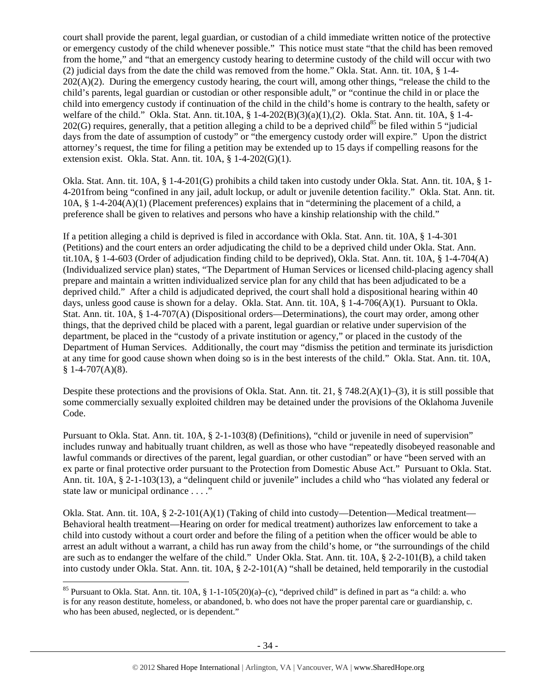court shall provide the parent, legal guardian, or custodian of a child immediate written notice of the protective or emergency custody of the child whenever possible." This notice must state "that the child has been removed from the home," and "that an emergency custody hearing to determine custody of the child will occur with two (2) judicial days from the date the child was removed from the home." Okla. Stat. Ann. tit. 10A, § 1-4-  $202(A)(2)$ . During the emergency custody hearing, the court will, among other things, "release the child to the child's parents, legal guardian or custodian or other responsible adult," or "continue the child in or place the child into emergency custody if continuation of the child in the child's home is contrary to the health, safety or welfare of the child." Okla. Stat. Ann. tit.10A, § 1-4-202(B)(3)(a)(1),(2). Okla. Stat. Ann. tit. 10A, § 1-4-  $202(G)$  requires, generally, that a petition alleging a child to be a deprived child<sup>85</sup> be filed within 5 "judicial days from the date of assumption of custody" or "the emergency custody order will expire." Upon the district attorney's request, the time for filing a petition may be extended up to 15 days if compelling reasons for the extension exist. Okla. Stat. Ann. tit. 10A, § 1-4-202(G)(1).

Okla. Stat. Ann. tit. 10A, § 1-4-201(G) prohibits a child taken into custody under Okla. Stat. Ann. tit. 10A, § 1- 4-201from being "confined in any jail, adult lockup, or adult or juvenile detention facility." Okla. Stat. Ann. tit. 10A, § 1-4-204(A)(1) (Placement preferences) explains that in "determining the placement of a child, a preference shall be given to relatives and persons who have a kinship relationship with the child."

If a petition alleging a child is deprived is filed in accordance with Okla. Stat. Ann. tit. 10A, § 1-4-301 (Petitions) and the court enters an order adjudicating the child to be a deprived child under Okla. Stat. Ann. tit.10A, § 1-4-603 (Order of adjudication finding child to be deprived), Okla. Stat. Ann. tit. 10A, § 1-4-704(A) (Individualized service plan) states, "The Department of Human Services or licensed child-placing agency shall prepare and maintain a written individualized service plan for any child that has been adjudicated to be a deprived child." After a child is adjudicated deprived, the court shall hold a dispositional hearing within 40 days, unless good cause is shown for a delay. Okla. Stat. Ann. tit. 10A, § 1-4-706(A)(1). Pursuant to Okla. Stat. Ann. tit. 10A, § 1-4-707(A) (Dispositional orders—Determinations), the court may order, among other things, that the deprived child be placed with a parent, legal guardian or relative under supervision of the department, be placed in the "custody of a private institution or agency," or placed in the custody of the Department of Human Services. Additionally, the court may "dismiss the petition and terminate its jurisdiction at any time for good cause shown when doing so is in the best interests of the child." Okla. Stat. Ann. tit. 10A,  $§ 1-4-707(A)(8).$ 

Despite these protections and the provisions of Okla. Stat. Ann. tit. 21,  $\S$  748.2(A)(1)–(3), it is still possible that some commercially sexually exploited children may be detained under the provisions of the Oklahoma Juvenile Code.

Pursuant to Okla. Stat. Ann. tit. 10A, § 2-1-103(8) (Definitions), "child or juvenile in need of supervision" includes runway and habitually truant children, as well as those who have "repeatedly disobeyed reasonable and lawful commands or directives of the parent, legal guardian, or other custodian" or have "been served with an ex parte or final protective order pursuant to the Protection from Domestic Abuse Act." Pursuant to Okla. Stat. Ann. tit. 10A, § 2-1-103(13), a "delinquent child or juvenile" includes a child who "has violated any federal or state law or municipal ordinance . . . ."

Okla. Stat. Ann. tit. 10A, § 2-2-101(A)(1) (Taking of child into custody—Detention—Medical treatment— Behavioral health treatment—Hearing on order for medical treatment) authorizes law enforcement to take a child into custody without a court order and before the filing of a petition when the officer would be able to arrest an adult without a warrant, a child has run away from the child's home, or "the surroundings of the child are such as to endanger the welfare of the child." Under Okla. Stat. Ann. tit. 10A, § 2-2-101(B), a child taken into custody under Okla. Stat. Ann. tit.  $10A$ ,  $\S$  2-2-101(A) "shall be detained, held temporarily in the custodial

<sup>&</sup>lt;sup>85</sup> Pursuant to Okla. Stat. Ann. tit. 10A, § 1-1-105(20)(a)–(c), "deprived child" is defined in part as "a child: a. who is for any reason destitute, homeless, or abandoned, b. who does not have the proper parental care or guardianship, c. who has been abused, neglected, or is dependent."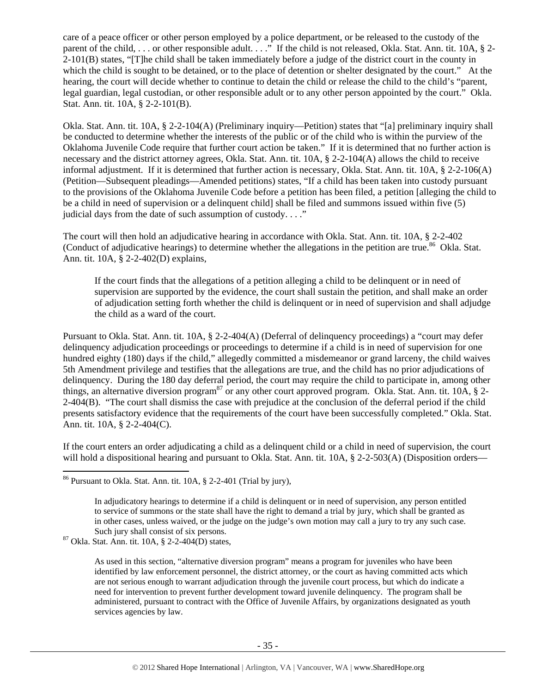care of a peace officer or other person employed by a police department, or be released to the custody of the parent of the child, ... or other responsible adult...." If the child is not released, Okla. Stat. Ann. tit. 10A, § 2-2-101(B) states, "[T]he child shall be taken immediately before a judge of the district court in the county in which the child is sought to be detained, or to the place of detention or shelter designated by the court." At the hearing, the court will decide whether to continue to detain the child or release the child to the child's "parent, legal guardian, legal custodian, or other responsible adult or to any other person appointed by the court." Okla. Stat. Ann. tit. 10A, § 2-2-101(B).

Okla. Stat. Ann. tit. 10A, § 2-2-104(A) (Preliminary inquiry—Petition) states that "[a] preliminary inquiry shall be conducted to determine whether the interests of the public or of the child who is within the purview of the Oklahoma Juvenile Code require that further court action be taken." If it is determined that no further action is necessary and the district attorney agrees, Okla. Stat. Ann. tit. 10A, § 2-2-104(A) allows the child to receive informal adjustment. If it is determined that further action is necessary, Okla. Stat. Ann. tit. 10A, § 2-2-106(A) (Petition—Subsequent pleadings—Amended petitions) states, "If a child has been taken into custody pursuant to the provisions of the Oklahoma Juvenile Code before a petition has been filed, a petition [alleging the child to be a child in need of supervision or a delinquent child] shall be filed and summons issued within five (5) judicial days from the date of such assumption of custody. . . ."

The court will then hold an adjudicative hearing in accordance with Okla. Stat. Ann. tit. 10A, § 2-2-402 (Conduct of adjudicative hearings) to determine whether the allegations in the petition are true.<sup>86</sup> Okla. Stat. Ann. tit. 10A, § 2-2-402(D) explains,

If the court finds that the allegations of a petition alleging a child to be delinquent or in need of supervision are supported by the evidence, the court shall sustain the petition, and shall make an order of adjudication setting forth whether the child is delinquent or in need of supervision and shall adjudge the child as a ward of the court.

Pursuant to Okla. Stat. Ann. tit. 10A, § 2-2-404(A) (Deferral of delinquency proceedings) a "court may defer delinquency adjudication proceedings or proceedings to determine if a child is in need of supervision for one hundred eighty (180) days if the child," allegedly committed a misdemeanor or grand larceny, the child waives 5th Amendment privilege and testifies that the allegations are true, and the child has no prior adjudications of delinquency. During the 180 day deferral period, the court may require the child to participate in, among other things, an alternative diversion program<sup>87</sup> or any other court approved program. Okla. Stat. Ann. tit. 10A, § 2-2-404(B). "The court shall dismiss the case with prejudice at the conclusion of the deferral period if the child presents satisfactory evidence that the requirements of the court have been successfully completed." Okla. Stat. Ann. tit. 10A, § 2-2-404(C).

If the court enters an order adjudicating a child as a delinquent child or a child in need of supervision, the court will hold a dispositional hearing and pursuant to Okla. Stat. Ann. tit. 10A, § 2-2-503(A) (Disposition orders—

 $86$  Pursuant to Okla. Stat. Ann. tit. 10A,  $\S$  2-2-401 (Trial by jury),

In adjudicatory hearings to determine if a child is delinquent or in need of supervision, any person entitled to service of summons or the state shall have the right to demand a trial by jury, which shall be granted as in other cases, unless waived, or the judge on the judge's own motion may call a jury to try any such case. Such jury shall consist of six persons.<br><sup>87</sup> Okla. Stat. Ann. tit. 10A, § 2-2-404(D) states,

As used in this section, "alternative diversion program" means a program for juveniles who have been identified by law enforcement personnel, the district attorney, or the court as having committed acts which are not serious enough to warrant adjudication through the juvenile court process, but which do indicate a need for intervention to prevent further development toward juvenile delinquency. The program shall be administered, pursuant to contract with the Office of Juvenile Affairs, by organizations designated as youth services agencies by law.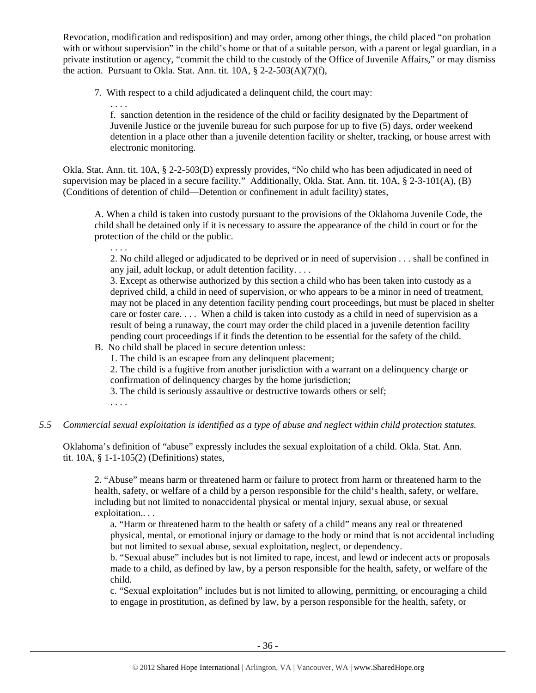Revocation, modification and redisposition) and may order, among other things, the child placed "on probation with or without supervision" in the child's home or that of a suitable person, with a parent or legal guardian, in a private institution or agency, "commit the child to the custody of the Office of Juvenile Affairs," or may dismiss the action. Pursuant to Okla. Stat. Ann. tit.  $10A$ ,  $\S$  2-2-503(A)(7)(f),

7. With respect to a child adjudicated a delinquent child, the court may:

f. sanction detention in the residence of the child or facility designated by the Department of Juvenile Justice or the juvenile bureau for such purpose for up to five (5) days, order weekend detention in a place other than a juvenile detention facility or shelter, tracking, or house arrest with electronic monitoring.

Okla. Stat. Ann. tit. 10A, § 2-2-503(D) expressly provides, "No child who has been adjudicated in need of supervision may be placed in a secure facility." Additionally, Okla. Stat. Ann. tit. 10A, § 2-3-101(A), (B) (Conditions of detention of child—Detention or confinement in adult facility) states,

A. When a child is taken into custody pursuant to the provisions of the Oklahoma Juvenile Code, the child shall be detained only if it is necessary to assure the appearance of the child in court or for the protection of the child or the public.

. . . .

. . . .

2. No child alleged or adjudicated to be deprived or in need of supervision . . . shall be confined in any jail, adult lockup, or adult detention facility. . . .

3. Except as otherwise authorized by this section a child who has been taken into custody as a deprived child, a child in need of supervision, or who appears to be a minor in need of treatment, may not be placed in any detention facility pending court proceedings, but must be placed in shelter care or foster care. . . . When a child is taken into custody as a child in need of supervision as a result of being a runaway, the court may order the child placed in a juvenile detention facility pending court proceedings if it finds the detention to be essential for the safety of the child.

- B. No child shall be placed in secure detention unless:
	- 1. The child is an escapee from any delinquent placement;
	- 2. The child is a fugitive from another jurisdiction with a warrant on a delinquency charge or confirmation of delinquency charges by the home jurisdiction;
	- 3. The child is seriously assaultive or destructive towards others or self;
	- . . . .

#### *5.5 Commercial sexual exploitation is identified as a type of abuse and neglect within child protection statutes.*

Oklahoma's definition of "abuse" expressly includes the sexual exploitation of a child. Okla. Stat. Ann. tit. 10A, § 1-1-105(2) (Definitions) states,

2. "Abuse" means harm or threatened harm or failure to protect from harm or threatened harm to the health, safety, or welfare of a child by a person responsible for the child's health, safety, or welfare, including but not limited to nonaccidental physical or mental injury, sexual abuse, or sexual exploitation.. . .

a. "Harm or threatened harm to the health or safety of a child" means any real or threatened physical, mental, or emotional injury or damage to the body or mind that is not accidental including but not limited to sexual abuse, sexual exploitation, neglect, or dependency.

b. "Sexual abuse" includes but is not limited to rape, incest, and lewd or indecent acts or proposals made to a child, as defined by law, by a person responsible for the health, safety, or welfare of the child.

c. "Sexual exploitation" includes but is not limited to allowing, permitting, or encouraging a child to engage in prostitution, as defined by law, by a person responsible for the health, safety, or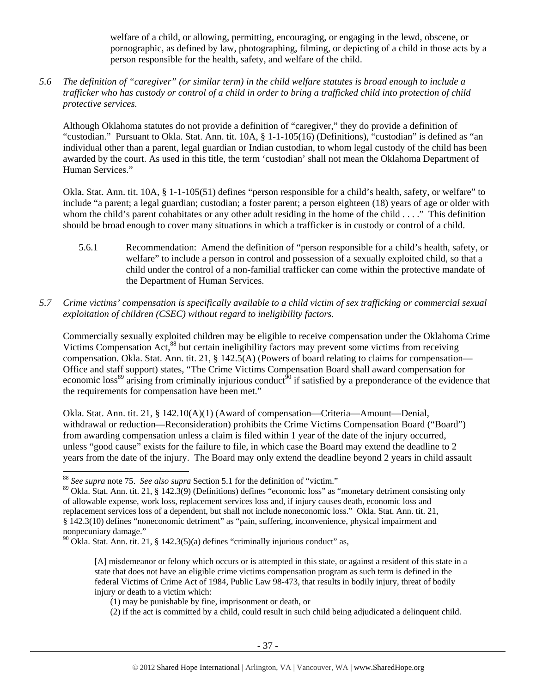welfare of a child, or allowing, permitting, encouraging, or engaging in the lewd, obscene, or pornographic, as defined by law, photographing, filming, or depicting of a child in those acts by a person responsible for the health, safety, and welfare of the child.

*5.6 The definition of "caregiver" (or similar term) in the child welfare statutes is broad enough to include a trafficker who has custody or control of a child in order to bring a trafficked child into protection of child protective services.* 

Although Oklahoma statutes do not provide a definition of "caregiver," they do provide a definition of "custodian." Pursuant to Okla. Stat. Ann. tit. 10A, § 1-1-105(16) (Definitions), "custodian" is defined as "an individual other than a parent, legal guardian or Indian custodian, to whom legal custody of the child has been awarded by the court. As used in this title, the term 'custodian' shall not mean the Oklahoma Department of Human Services."

Okla. Stat. Ann. tit. 10A, § 1-1-105(51) defines "person responsible for a child's health, safety, or welfare" to include "a parent; a legal guardian; custodian; a foster parent; a person eighteen (18) years of age or older with whom the child's parent cohabitates or any other adult residing in the home of the child . . . ." This definition should be broad enough to cover many situations in which a trafficker is in custody or control of a child.

- 5.6.1 Recommendation: Amend the definition of "person responsible for a child's health, safety, or welfare" to include a person in control and possession of a sexually exploited child, so that a child under the control of a non-familial trafficker can come within the protective mandate of the Department of Human Services.
- *5.7 Crime victims' compensation is specifically available to a child victim of sex trafficking or commercial sexual exploitation of children (CSEC) without regard to ineligibility factors.*

Commercially sexually exploited children may be eligible to receive compensation under the Oklahoma Crime Victims Compensation Act,<sup>88</sup> but certain ineligibility factors may prevent some victims from receiving compensation. Okla. Stat. Ann. tit. 21, § 142.5(A) (Powers of board relating to claims for compensation— Office and staff support) states, "The Crime Victims Compensation Board shall award compensation for economic loss<sup>89</sup> arising from criminally injurious conduct<sup>90</sup> if satisfied by a preponderance of the evidence that the requirements for compensation have been met."

Okla. Stat. Ann. tit. 21, § 142.10(A)(1) (Award of compensation—Criteria—Amount—Denial, withdrawal or reduction—Reconsideration) prohibits the Crime Victims Compensation Board ("Board") from awarding compensation unless a claim is filed within 1 year of the date of the injury occurred, unless "good cause" exists for the failure to file, in which case the Board may extend the deadline to 2 years from the date of the injury. The Board may only extend the deadline beyond 2 years in child assault

[A] misdemeanor or felony which occurs or is attempted in this state, or against a resident of this state in a state that does not have an eligible crime victims compensation program as such term is defined in the federal Victims of Crime Act of 1984, Public Law 98-473, that results in bodily injury, threat of bodily injury or death to a victim which:

<sup>88</sup> *See supra* note 75. *See also supra* Section 5.1 for the definition of "victim."

 $89$  Okla. Stat. Ann. tit. 21, § 142.3(9) (Definitions) defines "economic loss" as "monetary detriment consisting only of allowable expense, work loss, replacement services loss and, if injury causes death, economic loss and replacement services loss of a dependent, but shall not include noneconomic loss." Okla. Stat. Ann. tit. 21, § 142.3(10) defines "noneconomic detriment" as "pain, suffering, inconvenience, physical impairment and nonpecuniary damage."

 $90$  Okla. Stat. Ann. tit. 21, § 142.3(5)(a) defines "criminally injurious conduct" as,

<sup>(1)</sup> may be punishable by fine, imprisonment or death, or

<sup>(2)</sup> if the act is committed by a child, could result in such child being adjudicated a delinquent child.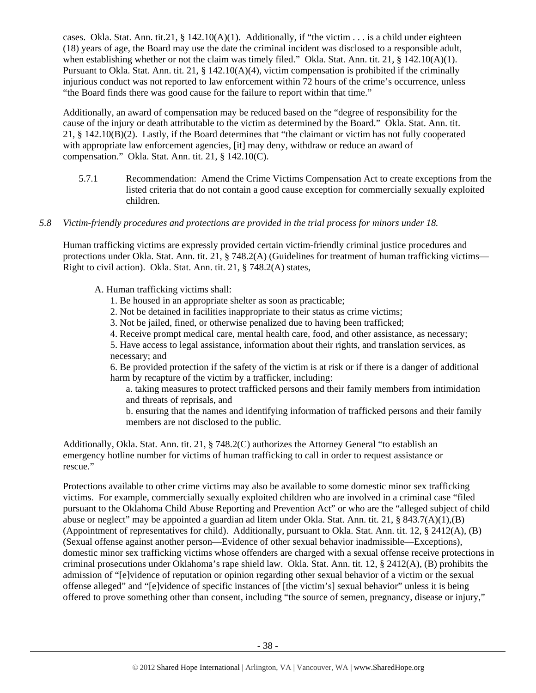cases. Okla. Stat. Ann. tit.21, § 142.10(A)(1). Additionally, if "the victim  $\dots$  is a child under eighteen (18) years of age, the Board may use the date the criminal incident was disclosed to a responsible adult, when establishing whether or not the claim was timely filed." Okla. Stat. Ann. tit. 21,  $\S$  142.10(A)(1). Pursuant to Okla. Stat. Ann. tit. 21, § 142.10(A)(4), victim compensation is prohibited if the criminally injurious conduct was not reported to law enforcement within 72 hours of the crime's occurrence, unless "the Board finds there was good cause for the failure to report within that time."

Additionally, an award of compensation may be reduced based on the "degree of responsibility for the cause of the injury or death attributable to the victim as determined by the Board." Okla. Stat. Ann. tit. 21, § 142.10(B)(2). Lastly, if the Board determines that "the claimant or victim has not fully cooperated with appropriate law enforcement agencies, [it] may deny, withdraw or reduce an award of compensation." Okla. Stat. Ann. tit. 21, § 142.10(C).

5.7.1 Recommendation: Amend the Crime Victims Compensation Act to create exceptions from the listed criteria that do not contain a good cause exception for commercially sexually exploited children.

## *5.8 Victim-friendly procedures and protections are provided in the trial process for minors under 18.*

Human trafficking victims are expressly provided certain victim-friendly criminal justice procedures and protections under Okla. Stat. Ann. tit. 21, § 748.2(A) (Guidelines for treatment of human trafficking victims— Right to civil action). Okla. Stat. Ann. tit. 21, § 748.2(A) states,

A. Human trafficking victims shall:

- 1. Be housed in an appropriate shelter as soon as practicable;
- 2. Not be detained in facilities inappropriate to their status as crime victims;
- 3. Not be jailed, fined, or otherwise penalized due to having been trafficked;
- 4. Receive prompt medical care, mental health care, food, and other assistance, as necessary;

5. Have access to legal assistance, information about their rights, and translation services, as necessary; and

6. Be provided protection if the safety of the victim is at risk or if there is a danger of additional harm by recapture of the victim by a trafficker, including:

a. taking measures to protect trafficked persons and their family members from intimidation and threats of reprisals, and

b. ensuring that the names and identifying information of trafficked persons and their family members are not disclosed to the public.

Additionally, Okla. Stat. Ann. tit. 21, § 748.2(C) authorizes the Attorney General "to establish an emergency hotline number for victims of human trafficking to call in order to request assistance or rescue."

Protections available to other crime victims may also be available to some domestic minor sex trafficking victims. For example, commercially sexually exploited children who are involved in a criminal case "filed pursuant to the Oklahoma Child Abuse Reporting and Prevention Act" or who are the "alleged subject of child abuse or neglect" may be appointed a guardian ad litem under Okla. Stat. Ann. tit. 21, § 843.7(A)(1),(B) (Appointment of representatives for child). Additionally, pursuant to Okla. Stat. Ann. tit. 12, § 2412(A), (B) (Sexual offense against another person—Evidence of other sexual behavior inadmissible—Exceptions), domestic minor sex trafficking victims whose offenders are charged with a sexual offense receive protections in criminal prosecutions under Oklahoma's rape shield law. Okla. Stat. Ann. tit. 12, § 2412(A), (B) prohibits the admission of "[e]vidence of reputation or opinion regarding other sexual behavior of a victim or the sexual offense alleged" and "[e]vidence of specific instances of [the victim's] sexual behavior" unless it is being offered to prove something other than consent, including "the source of semen, pregnancy, disease or injury,"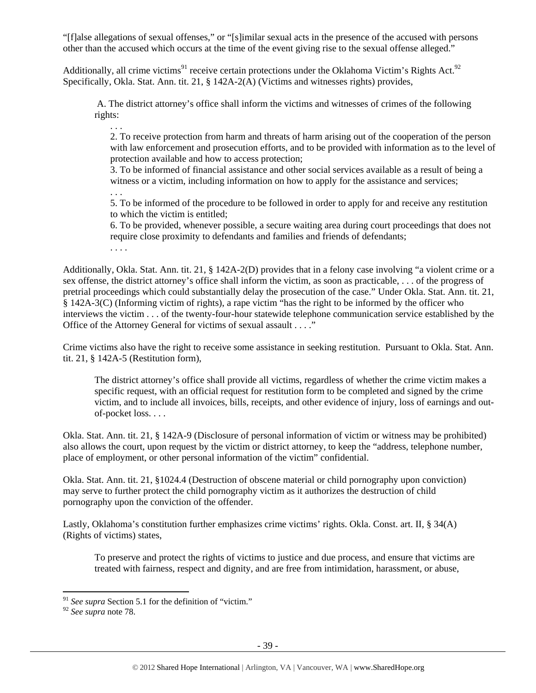"[f]alse allegations of sexual offenses," or "[s]imilar sexual acts in the presence of the accused with persons other than the accused which occurs at the time of the event giving rise to the sexual offense alleged."

Additionally, all crime victims<sup>91</sup> receive certain protections under the Oklahoma Victim's Rights Act.<sup>92</sup> Specifically, Okla. Stat. Ann. tit. 21, § 142A-2(A) (Victims and witnesses rights) provides,

 A. The district attorney's office shall inform the victims and witnesses of crimes of the following rights:

. . . 2. To receive protection from harm and threats of harm arising out of the cooperation of the person with law enforcement and prosecution efforts, and to be provided with information as to the level of protection available and how to access protection;

3. To be informed of financial assistance and other social services available as a result of being a witness or a victim, including information on how to apply for the assistance and services;

. . . 5. To be informed of the procedure to be followed in order to apply for and receive any restitution to which the victim is entitled;

6. To be provided, whenever possible, a secure waiting area during court proceedings that does not require close proximity to defendants and families and friends of defendants;

. . . .

Additionally, Okla. Stat. Ann. tit. 21, § 142A-2(D) provides that in a felony case involving "a violent crime or a sex offense, the district attorney's office shall inform the victim, as soon as practicable, . . . of the progress of pretrial proceedings which could substantially delay the prosecution of the case." Under Okla. Stat. Ann. tit. 21, § 142A-3(C) (Informing victim of rights), a rape victim "has the right to be informed by the officer who interviews the victim . . . of the twenty-four-hour statewide telephone communication service established by the Office of the Attorney General for victims of sexual assault . . . ."

Crime victims also have the right to receive some assistance in seeking restitution. Pursuant to Okla. Stat. Ann. tit. 21, § 142A-5 (Restitution form),

The district attorney's office shall provide all victims, regardless of whether the crime victim makes a specific request, with an official request for restitution form to be completed and signed by the crime victim, and to include all invoices, bills, receipts, and other evidence of injury, loss of earnings and outof-pocket loss. . . .

Okla. Stat. Ann. tit. 21, § 142A-9 (Disclosure of personal information of victim or witness may be prohibited) also allows the court, upon request by the victim or district attorney, to keep the "address, telephone number, place of employment, or other personal information of the victim" confidential.

Okla. Stat. Ann. tit. 21, §1024.4 (Destruction of obscene material or child pornography upon conviction) may serve to further protect the child pornography victim as it authorizes the destruction of child pornography upon the conviction of the offender.

Lastly, Oklahoma's constitution further emphasizes crime victims' rights. Okla. Const. art. II, § 34(A) (Rights of victims) states,

To preserve and protect the rights of victims to justice and due process, and ensure that victims are treated with fairness, respect and dignity, and are free from intimidation, harassment, or abuse,

<sup>&</sup>lt;sup>91</sup> See supra Section 5.1 for the definition of "victim."

<sup>92</sup> *See supra* note 78.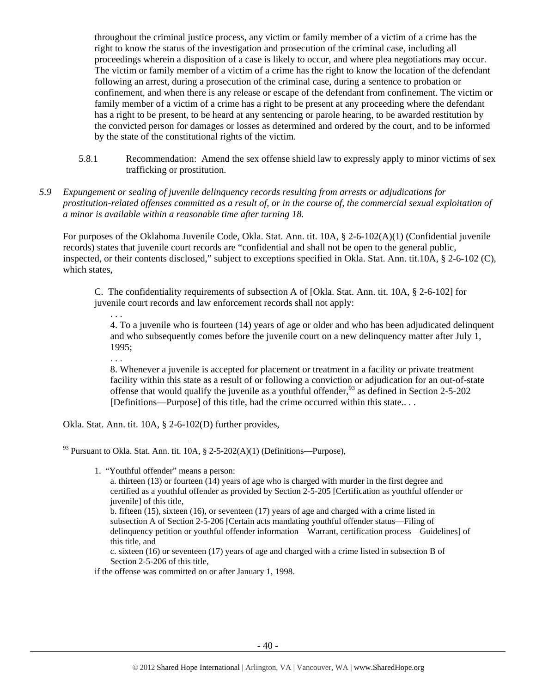throughout the criminal justice process, any victim or family member of a victim of a crime has the right to know the status of the investigation and prosecution of the criminal case, including all proceedings wherein a disposition of a case is likely to occur, and where plea negotiations may occur. The victim or family member of a victim of a crime has the right to know the location of the defendant following an arrest, during a prosecution of the criminal case, during a sentence to probation or confinement, and when there is any release or escape of the defendant from confinement. The victim or family member of a victim of a crime has a right to be present at any proceeding where the defendant has a right to be present, to be heard at any sentencing or parole hearing, to be awarded restitution by the convicted person for damages or losses as determined and ordered by the court, and to be informed by the state of the constitutional rights of the victim.

- 5.8.1 Recommendation: Amend the sex offense shield law to expressly apply to minor victims of sex trafficking or prostitution.
- *5.9 Expungement or sealing of juvenile delinquency records resulting from arrests or adjudications for prostitution-related offenses committed as a result of, or in the course of, the commercial sexual exploitation of a minor is available within a reasonable time after turning 18.*

For purposes of the Oklahoma Juvenile Code, Okla. Stat. Ann. tit. 10A, § 2-6-102(A)(1) (Confidential juvenile records) states that juvenile court records are "confidential and shall not be open to the general public, inspected, or their contents disclosed," subject to exceptions specified in Okla. Stat. Ann. tit.10A, § 2-6-102 (C), which states,

C. The confidentiality requirements of subsection A of [Okla. Stat. Ann. tit. 10A, § 2-6-102] for juvenile court records and law enforcement records shall not apply:

4. To a juvenile who is fourteen (14) years of age or older and who has been adjudicated delinquent and who subsequently comes before the juvenile court on a new delinquency matter after July 1, 1995;

8. Whenever a juvenile is accepted for placement or treatment in a facility or private treatment facility within this state as a result of or following a conviction or adjudication for an out-of-state offense that would qualify the juvenile as a youthful offender,  $93$  as defined in Section 2-5-202 [Definitions—Purpose] of this title, had the crime occurred within this state...

Okla. Stat. Ann. tit. 10A, § 2-6-102(D) further provides,

. . .

. . .

1. "Youthful offender" means a person:

c. sixteen (16) or seventeen (17) years of age and charged with a crime listed in subsection B of Section 2-5-206 of this title,

if the offense was committed on or after January 1, 1998.

<sup>&</sup>lt;sup>93</sup> Pursuant to Okla. Stat. Ann. tit. 10A,  $\S$  2-5-202(A)(1) (Definitions—Purpose),

a. thirteen (13) or fourteen  $(14)$  years of age who is charged with murder in the first degree and certified as a youthful offender as provided by Section 2-5-205 [Certification as youthful offender or juvenile] of this title,

b. fifteen (15), sixteen (16), or seventeen (17) years of age and charged with a crime listed in subsection A of Section 2-5-206 [Certain acts mandating youthful offender status—Filing of delinquency petition or youthful offender information—Warrant, certification process—Guidelines] of this title, and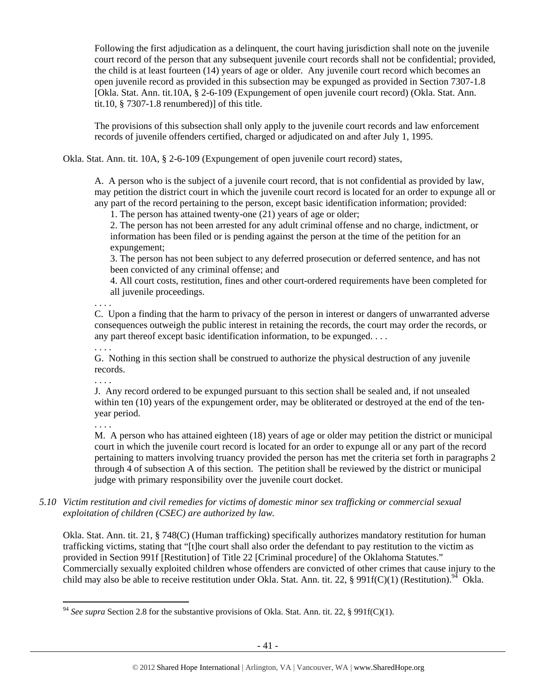Following the first adjudication as a delinquent, the court having jurisdiction shall note on the juvenile court record of the person that any subsequent juvenile court records shall not be confidential; provided, the child is at least fourteen (14) years of age or older. Any juvenile court record which becomes an open juvenile record as provided in this subsection may be expunged as provided in Section 7307-1.8 [Okla. Stat. Ann. tit.10A, § 2-6-109 (Expungement of open juvenile court record) (Okla. Stat. Ann. tit.10,  $\S$  7307-1.8 renumbered)] of this title.

The provisions of this subsection shall only apply to the juvenile court records and law enforcement records of juvenile offenders certified, charged or adjudicated on and after July 1, 1995.

Okla. Stat. Ann. tit. 10A, § 2-6-109 (Expungement of open juvenile court record) states,

A. A person who is the subject of a juvenile court record, that is not confidential as provided by law, may petition the district court in which the juvenile court record is located for an order to expunge all or any part of the record pertaining to the person, except basic identification information; provided:

1. The person has attained twenty-one (21) years of age or older;

2. The person has not been arrested for any adult criminal offense and no charge, indictment, or information has been filed or is pending against the person at the time of the petition for an expungement;

3. The person has not been subject to any deferred prosecution or deferred sentence, and has not been convicted of any criminal offense; and

4. All court costs, restitution, fines and other court-ordered requirements have been completed for all juvenile proceedings.

. . . .

C. Upon a finding that the harm to privacy of the person in interest or dangers of unwarranted adverse consequences outweigh the public interest in retaining the records, the court may order the records, or any part thereof except basic identification information, to be expunged. . . .

. . . .

G. Nothing in this section shall be construed to authorize the physical destruction of any juvenile records.

. . . .

J. Any record ordered to be expunged pursuant to this section shall be sealed and, if not unsealed within ten (10) years of the expungement order, may be obliterated or destroyed at the end of the tenyear period.

. . . .

M. A person who has attained eighteen (18) years of age or older may petition the district or municipal court in which the juvenile court record is located for an order to expunge all or any part of the record pertaining to matters involving truancy provided the person has met the criteria set forth in paragraphs 2 through 4 of subsection A of this section. The petition shall be reviewed by the district or municipal judge with primary responsibility over the juvenile court docket.

*5.10 Victim restitution and civil remedies for victims of domestic minor sex trafficking or commercial sexual exploitation of children (CSEC) are authorized by law.* 

Okla. Stat. Ann. tit. 21, § 748(C) (Human trafficking) specifically authorizes mandatory restitution for human trafficking victims, stating that "[t]he court shall also order the defendant to pay restitution to the victim as provided in Section 991f [Restitution] of Title 22 [Criminal procedure] of the Oklahoma Statutes." Commercially sexually exploited children whose offenders are convicted of other crimes that cause injury to the child may also be able to receive restitution under Okla. Stat. Ann. tit. 22, § 991f(C)(1) (Restitution).<sup>94</sup> Okla.

<sup>94</sup> *See supra* Section 2.8 for the substantive provisions of Okla. Stat. Ann. tit. 22, § 991f(C)(1).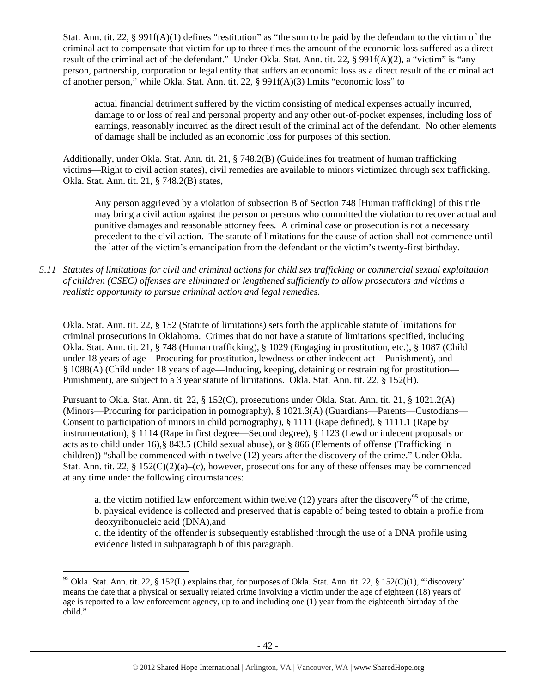Stat. Ann. tit. 22, § 991f(A)(1) defines "restitution" as "the sum to be paid by the defendant to the victim of the criminal act to compensate that victim for up to three times the amount of the economic loss suffered as a direct result of the criminal act of the defendant." Under Okla. Stat. Ann. tit. 22, § 991f(A)(2), a "victim" is "any person, partnership, corporation or legal entity that suffers an economic loss as a direct result of the criminal act of another person," while Okla. Stat. Ann. tit. 22, § 991f(A)(3) limits "economic loss" to

actual financial detriment suffered by the victim consisting of medical expenses actually incurred, damage to or loss of real and personal property and any other out-of-pocket expenses, including loss of earnings, reasonably incurred as the direct result of the criminal act of the defendant. No other elements of damage shall be included as an economic loss for purposes of this section.

Additionally, under Okla. Stat. Ann. tit. 21, § 748.2(B) (Guidelines for treatment of human trafficking victims—Right to civil action states), civil remedies are available to minors victimized through sex trafficking. Okla. Stat. Ann. tit. 21, § 748.2(B) states,

Any person aggrieved by a violation of subsection B of Section 748 [Human trafficking] of this title may bring a civil action against the person or persons who committed the violation to recover actual and punitive damages and reasonable attorney fees. A criminal case or prosecution is not a necessary precedent to the civil action. The statute of limitations for the cause of action shall not commence until the latter of the victim's emancipation from the defendant or the victim's twenty-first birthday.

*5.11 Statutes of limitations for civil and criminal actions for child sex trafficking or commercial sexual exploitation of children (CSEC) offenses are eliminated or lengthened sufficiently to allow prosecutors and victims a realistic opportunity to pursue criminal action and legal remedies.* 

Okla. Stat. Ann. tit. 22, § 152 (Statute of limitations) sets forth the applicable statute of limitations for criminal prosecutions in Oklahoma. Crimes that do not have a statute of limitations specified, including Okla. Stat. Ann. tit. 21, § 748 (Human trafficking), § 1029 (Engaging in prostitution, etc.), § 1087 (Child under 18 years of age—Procuring for prostitution, lewdness or other indecent act—Punishment), and § 1088(A) (Child under 18 years of age—Inducing, keeping, detaining or restraining for prostitution— Punishment), are subject to a 3 year statute of limitations. Okla. Stat. Ann. tit. 22, § 152(H).

Pursuant to Okla. Stat. Ann. tit. 22, § 152(C), prosecutions under Okla. Stat. Ann. tit. 21, § 1021.2(A) (Minors—Procuring for participation in pornography), § 1021.3(A) (Guardians—Parents—Custodians— Consent to participation of minors in child pornography), § 1111 (Rape defined), § 1111.1 (Rape by instrumentation), § 1114 (Rape in first degree—Second degree), § 1123 (Lewd or indecent proposals or acts as to child under 16),§ 843.5 (Child sexual abuse), or § 866 (Elements of offense (Trafficking in children)) "shall be commenced within twelve (12) years after the discovery of the crime." Under Okla. Stat. Ann. tit. 22, §  $152(C)(2)(a)-(c)$ , however, prosecutions for any of these offenses may be commenced at any time under the following circumstances:

a. the victim notified law enforcement within twelve (12) years after the discovery<sup>95</sup> of the crime, b. physical evidence is collected and preserved that is capable of being tested to obtain a profile from deoxyribonucleic acid (DNA),and

c. the identity of the offender is subsequently established through the use of a DNA profile using evidence listed in subparagraph b of this paragraph.

<sup>&</sup>lt;sup>95</sup> Okla. Stat. Ann. tit. 22, § 152(L) explains that, for purposes of Okla. Stat. Ann. tit. 22, § 152(C)(1), "'discovery' means the date that a physical or sexually related crime involving a victim under the age of eighteen (18) years of age is reported to a law enforcement agency, up to and including one (1) year from the eighteenth birthday of the child."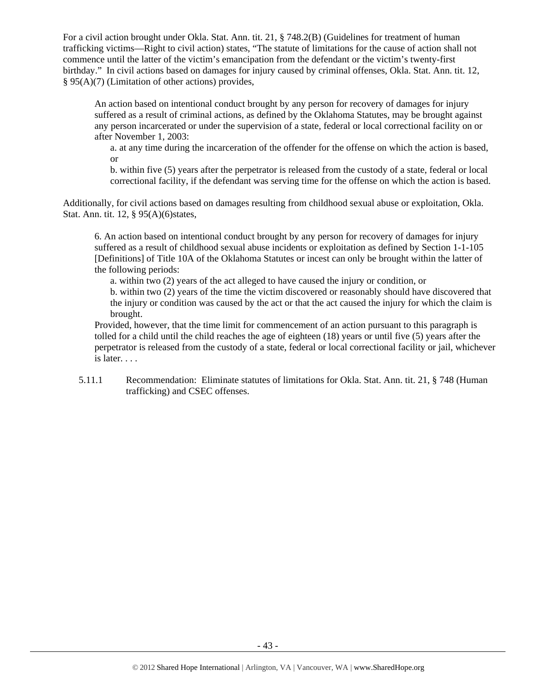For a civil action brought under Okla. Stat. Ann. tit. 21, § 748.2(B) (Guidelines for treatment of human trafficking victims—Right to civil action) states, "The statute of limitations for the cause of action shall not commence until the latter of the victim's emancipation from the defendant or the victim's twenty-first birthday." In civil actions based on damages for injury caused by criminal offenses, Okla. Stat. Ann. tit. 12, § 95(A)(7) (Limitation of other actions) provides,

An action based on intentional conduct brought by any person for recovery of damages for injury suffered as a result of criminal actions, as defined by the Oklahoma Statutes, may be brought against any person incarcerated or under the supervision of a state, federal or local correctional facility on or after November 1, 2003:

a. at any time during the incarceration of the offender for the offense on which the action is based, or

b. within five (5) years after the perpetrator is released from the custody of a state, federal or local correctional facility, if the defendant was serving time for the offense on which the action is based.

Additionally, for civil actions based on damages resulting from childhood sexual abuse or exploitation, Okla. Stat. Ann. tit. 12, § 95(A)(6)states,

6. An action based on intentional conduct brought by any person for recovery of damages for injury suffered as a result of childhood sexual abuse incidents or exploitation as defined by Section 1-1-105 [Definitions] of Title 10A of the Oklahoma Statutes or incest can only be brought within the latter of the following periods:

a. within two (2) years of the act alleged to have caused the injury or condition, or b. within two (2) years of the time the victim discovered or reasonably should have discovered that the injury or condition was caused by the act or that the act caused the injury for which the claim is brought.

Provided, however, that the time limit for commencement of an action pursuant to this paragraph is tolled for a child until the child reaches the age of eighteen (18) years or until five (5) years after the perpetrator is released from the custody of a state, federal or local correctional facility or jail, whichever is later. . . .

5.11.1 Recommendation: Eliminate statutes of limitations for Okla. Stat. Ann. tit. 21, § 748 (Human trafficking) and CSEC offenses.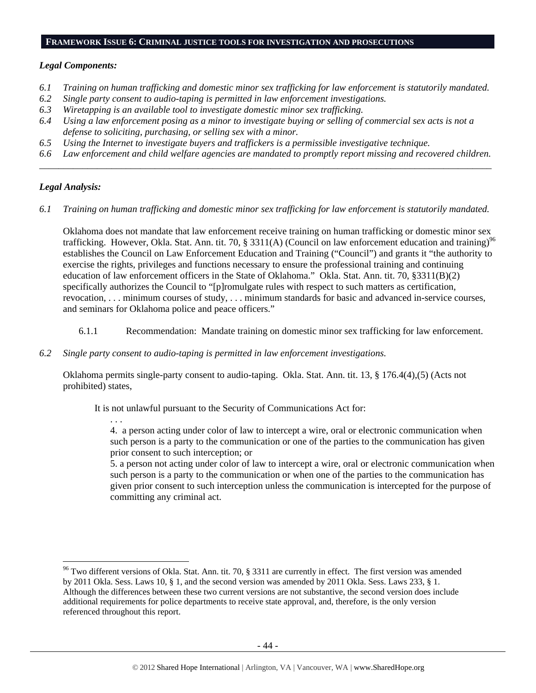#### **FRAMEWORK ISSUE 6: CRIMINAL JUSTICE TOOLS FOR INVESTIGATION AND PROSECUTIONS**

#### *Legal Components:*

- *6.1 Training on human trafficking and domestic minor sex trafficking for law enforcement is statutorily mandated.*
- *6.2 Single party consent to audio-taping is permitted in law enforcement investigations.*
- *6.3 Wiretapping is an available tool to investigate domestic minor sex trafficking.*
- *6.4 Using a law enforcement posing as a minor to investigate buying or selling of commercial sex acts is not a defense to soliciting, purchasing, or selling sex with a minor.*
- *6.5 Using the Internet to investigate buyers and traffickers is a permissible investigative technique.*
- *6.6 Law enforcement and child welfare agencies are mandated to promptly report missing and recovered children. \_\_\_\_\_\_\_\_\_\_\_\_\_\_\_\_\_\_\_\_\_\_\_\_\_\_\_\_\_\_\_\_\_\_\_\_\_\_\_\_\_\_\_\_\_\_\_\_\_\_\_\_\_\_\_\_\_\_\_\_\_\_\_\_\_\_\_\_\_\_\_\_\_\_\_\_\_\_\_\_\_\_\_\_\_\_\_\_\_\_\_\_\_\_*

## *Legal Analysis:*

*6.1 Training on human trafficking and domestic minor sex trafficking for law enforcement is statutorily mandated.* 

Oklahoma does not mandate that law enforcement receive training on human trafficking or domestic minor sex trafficking. However, Okla. Stat. Ann. tit. 70, § 3311(A) (Council on law enforcement education and training)<sup>96</sup> establishes the Council on Law Enforcement Education and Training ("Council") and grants it "the authority to exercise the rights, privileges and functions necessary to ensure the professional training and continuing education of law enforcement officers in the State of Oklahoma." Okla. Stat. Ann. tit. 70, §3311(B)(2) specifically authorizes the Council to "[p]romulgate rules with respect to such matters as certification, revocation, . . . minimum courses of study, . . . minimum standards for basic and advanced in-service courses, and seminars for Oklahoma police and peace officers."

- 6.1.1 Recommendation: Mandate training on domestic minor sex trafficking for law enforcement.
- *6.2 Single party consent to audio-taping is permitted in law enforcement investigations.*

Oklahoma permits single-party consent to audio-taping. Okla. Stat. Ann. tit. 13, § 176.4(4),(5) (Acts not prohibited) states,

It is not unlawful pursuant to the Security of Communications Act for:

. . .

4. a person acting under color of law to intercept a wire, oral or electronic communication when such person is a party to the communication or one of the parties to the communication has given prior consent to such interception; or

5. a person not acting under color of law to intercept a wire, oral or electronic communication when such person is a party to the communication or when one of the parties to the communication has given prior consent to such interception unless the communication is intercepted for the purpose of committing any criminal act.

  $96$  Two different versions of Okla. Stat. Ann. tit. 70, § 3311 are currently in effect. The first version was amended by 2011 Okla. Sess. Laws 10, § 1, and the second version was amended by 2011 Okla. Sess. Laws 233, § 1. Although the differences between these two current versions are not substantive, the second version does include additional requirements for police departments to receive state approval, and, therefore, is the only version referenced throughout this report.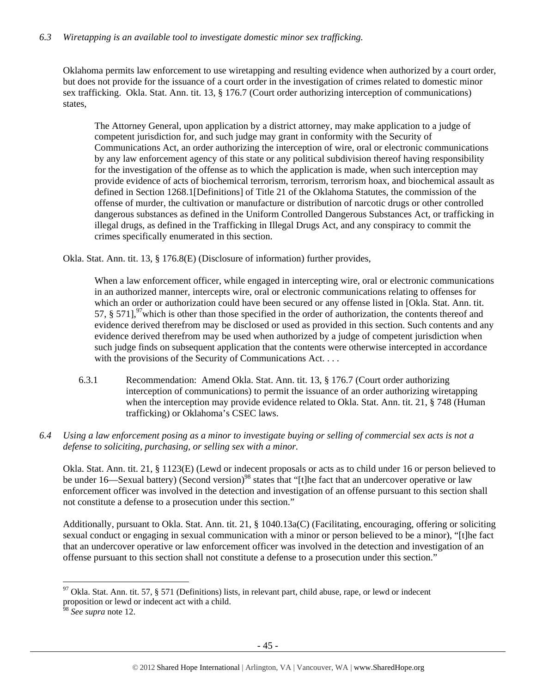## *6.3 Wiretapping is an available tool to investigate domestic minor sex trafficking.*

Oklahoma permits law enforcement to use wiretapping and resulting evidence when authorized by a court order, but does not provide for the issuance of a court order in the investigation of crimes related to domestic minor sex trafficking. Okla. Stat. Ann. tit. 13, § 176.7 (Court order authorizing interception of communications) states,

The Attorney General, upon application by a district attorney, may make application to a judge of competent jurisdiction for, and such judge may grant in conformity with the Security of Communications Act, an order authorizing the interception of wire, oral or electronic communications by any law enforcement agency of this state or any political subdivision thereof having responsibility for the investigation of the offense as to which the application is made, when such interception may provide evidence of acts of biochemical terrorism, terrorism, terrorism hoax, and biochemical assault as defined in Section 1268.1[Definitions] of Title 21 of the Oklahoma Statutes, the commission of the offense of murder, the cultivation or manufacture or distribution of narcotic drugs or other controlled dangerous substances as defined in the Uniform Controlled Dangerous Substances Act, or trafficking in illegal drugs, as defined in the Trafficking in Illegal Drugs Act, and any conspiracy to commit the crimes specifically enumerated in this section.

Okla. Stat. Ann. tit. 13, § 176.8(E) (Disclosure of information) further provides,

When a law enforcement officer, while engaged in intercepting wire, oral or electronic communications in an authorized manner, intercepts wire, oral or electronic communications relating to offenses for which an order or authorization could have been secured or any offense listed in [Okla. Stat. Ann. tit. 57,  $\S 571$ ,  $\frac{97}{100}$  which is other than those specified in the order of authorization, the contents thereof and evidence derived therefrom may be disclosed or used as provided in this section. Such contents and any evidence derived therefrom may be used when authorized by a judge of competent jurisdiction when such judge finds on subsequent application that the contents were otherwise intercepted in accordance with the provisions of the Security of Communications Act. . . .

- 6.3.1 Recommendation: Amend Okla. Stat. Ann. tit. 13, § 176.7 (Court order authorizing interception of communications) to permit the issuance of an order authorizing wiretapping when the interception may provide evidence related to Okla. Stat. Ann. tit. 21, § 748 (Human trafficking) or Oklahoma's CSEC laws.
- *6.4 Using a law enforcement posing as a minor to investigate buying or selling of commercial sex acts is not a defense to soliciting, purchasing, or selling sex with a minor.*

Okla. Stat. Ann. tit. 21, § 1123(E) (Lewd or indecent proposals or acts as to child under 16 or person believed to be under 16—Sexual battery) (Second version)<sup>98</sup> states that "[t]he fact that an undercover operative or law enforcement officer was involved in the detection and investigation of an offense pursuant to this section shall not constitute a defense to a prosecution under this section."

Additionally, pursuant to Okla. Stat. Ann. tit. 21, § 1040.13a(C) (Facilitating, encouraging, offering or soliciting sexual conduct or engaging in sexual communication with a minor or person believed to be a minor), "[t]he fact that an undercover operative or law enforcement officer was involved in the detection and investigation of an offense pursuant to this section shall not constitute a defense to a prosecution under this section."

<sup>&</sup>lt;sup>97</sup> Okla. Stat. Ann. tit. 57, § 571 (Definitions) lists, in relevant part, child abuse, rape, or lewd or indecent proposition or lewd or indecent act with a child.

<sup>98</sup> *See supra* note 12.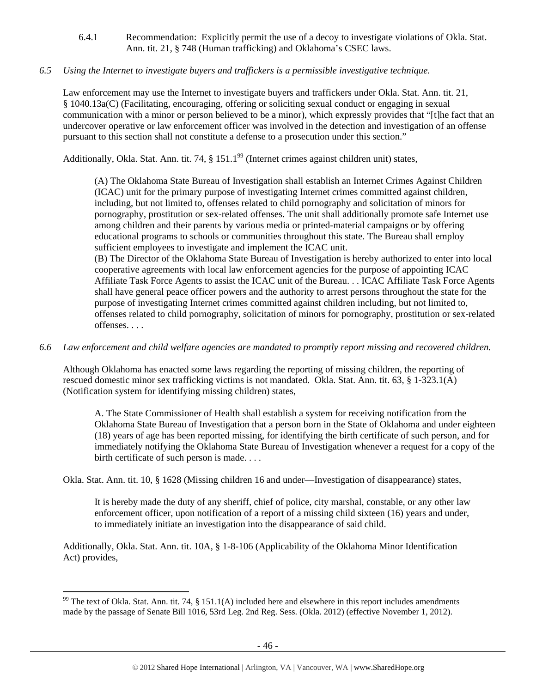6.4.1 Recommendation: Explicitly permit the use of a decoy to investigate violations of Okla. Stat. Ann. tit. 21, § 748 (Human trafficking) and Oklahoma's CSEC laws.

## *6.5 Using the Internet to investigate buyers and traffickers is a permissible investigative technique.*

Law enforcement may use the Internet to investigate buyers and traffickers under Okla. Stat. Ann. tit. 21, § 1040.13a(C) (Facilitating, encouraging, offering or soliciting sexual conduct or engaging in sexual communication with a minor or person believed to be a minor), which expressly provides that "[t]he fact that an undercover operative or law enforcement officer was involved in the detection and investigation of an offense pursuant to this section shall not constitute a defense to a prosecution under this section."

Additionally, Okla. Stat. Ann. tit. 74, § 151.1<sup>99</sup> (Internet crimes against children unit) states,

(A) The Oklahoma State Bureau of Investigation shall establish an Internet Crimes Against Children (ICAC) unit for the primary purpose of investigating Internet crimes committed against children, including, but not limited to, offenses related to child pornography and solicitation of minors for pornography, prostitution or sex-related offenses. The unit shall additionally promote safe Internet use among children and their parents by various media or printed-material campaigns or by offering educational programs to schools or communities throughout this state. The Bureau shall employ sufficient employees to investigate and implement the ICAC unit.

(B) The Director of the Oklahoma State Bureau of Investigation is hereby authorized to enter into local cooperative agreements with local law enforcement agencies for the purpose of appointing ICAC Affiliate Task Force Agents to assist the ICAC unit of the Bureau. . . ICAC Affiliate Task Force Agents shall have general peace officer powers and the authority to arrest persons throughout the state for the purpose of investigating Internet crimes committed against children including, but not limited to, offenses related to child pornography, solicitation of minors for pornography, prostitution or sex-related offenses. . . .

## *6.6 Law enforcement and child welfare agencies are mandated to promptly report missing and recovered children.*

Although Oklahoma has enacted some laws regarding the reporting of missing children, the reporting of rescued domestic minor sex trafficking victims is not mandated. Okla. Stat. Ann. tit. 63, § 1-323.1(A) (Notification system for identifying missing children) states,

A. The State Commissioner of Health shall establish a system for receiving notification from the Oklahoma State Bureau of Investigation that a person born in the State of Oklahoma and under eighteen (18) years of age has been reported missing, for identifying the birth certificate of such person, and for immediately notifying the Oklahoma State Bureau of Investigation whenever a request for a copy of the birth certificate of such person is made. . . .

Okla. Stat. Ann. tit. 10, § 1628 (Missing children 16 and under—Investigation of disappearance) states,

It is hereby made the duty of any sheriff, chief of police, city marshal, constable, or any other law enforcement officer, upon notification of a report of a missing child sixteen (16) years and under, to immediately initiate an investigation into the disappearance of said child.

Additionally, Okla. Stat. Ann. tit. 10A, § 1-8-106 (Applicability of the Oklahoma Minor Identification Act) provides,

<sup>&</sup>lt;sup>99</sup> The text of Okla. Stat. Ann. tit. 74, § 151.1(A) included here and elsewhere in this report includes amendments made by the passage of Senate Bill 1016, 53rd Leg. 2nd Reg. Sess. (Okla. 2012) (effective November 1, 2012).